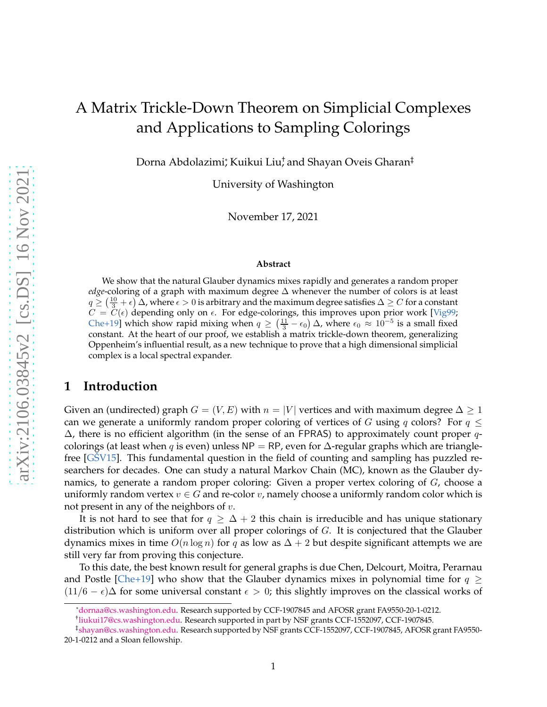# <span id="page-0-0"></span>A Matrix Trickle-Down Theorem on Simplicial Complexes and Applications to Sampling Colorings

Dorna Abdolazimi; Kuikui Liu; and Shayan Oveis Gharan‡

University of Washington

November 17, 2021

#### **Abstract**

We show that the natural Glauber dynamics mixes rapidly and generates a random proper *edge*-coloring of a graph with maximum degree ∆ whenever the number of colors is at least  $q \ge (\frac{10}{3} + \epsilon)$   $\Delta$ , where  $\epsilon > 0$  is arbitrary and the maximum degree satisfies  $\Delta \ge C$  for a constant  $C = C(\epsilon)$  depending only on  $\epsilon$ . For edge-colorings, this improves upon prior work [\[Vig99](#page-30-0); [Che+19\]](#page-28-0) which show rapid mixing when  $q \geq (\frac{11}{3} - \epsilon_0) \Delta$ , where  $\epsilon_0 \approx 10^{-5}$  is a small fixed constant. At the heart of our proof, we establish a matrix trickle-down theorem, generalizing Oppenheim's influential result, as a new technique to prove that a high dimensional simplicial complex is a local spectral expander.

### **1 Introduction**

Given an (undirected) graph  $G = (V, E)$  with  $n = |V|$  vertices and with maximum degree  $\Delta \geq 1$ can we generate a uniformly random proper coloring of vertices of G using q colors? For  $q \leq$  $\Delta$ , there is no efficient algorithm (in the sense of an FPRAS) to approximately count proper qcolorings (at least when q is even) unless NP = RP, even for  $\Delta$ -regular graphs which are trianglefree  $[GSV15]$ . This fundamental question in the field of counting and sampling has puzzled researchers for decades. One can study a natural Markov Chain (MC), known as the Glauber dynamics, to generate a random proper coloring: Given a proper vertex coloring of G, choose a uniformly random vertex  $v \in G$  and re-color  $v$ , namely choose a uniformly random color which is not present in any of the neighbors of  $v$ .

It is not hard to see that for  $q \geq \Delta + 2$  this chain is irreducible and has unique stationary distribution which is uniform over all proper colorings of G. It is conjectured that the Glauber dynamics mixes in time  $O(n \log n)$  for q as low as  $\Delta + 2$  but despite significant attempts we are still very far from proving this conjecture.

To this date, the best known result for general graphs is due Chen, Delcourt, Moitra, Perarnau and Postle [\[Che+19\]](#page-28-0) who show that the Glauber dynamics mixes in polynomial time for  $q \ge$  $(11/6 - \epsilon)\Delta$  for some universal constant  $\epsilon > 0$ ; this slightly improves on the classical works of

<sup>\*</sup>[dornaa@cs.washington.edu.](mailto:dornaa@cs.washington.edu) Research supported by CCF-1907845 and AFOSR grant FA9550-20-1-0212.

<sup>†</sup> [liukui17@cs.washington.edu.](mailto:liukui17@cs.washington.edu) Research supported in part by NSF grants CCF-1552097, CCF-1907845.

<sup>‡</sup> [shayan@cs.washington.edu.](mailto:shayan@cs.washington.edu) Research supported by NSF grants CCF-1552097, CCF-1907845, AFOSR grant FA9550- 20-1-0212 and a Sloan fellowship.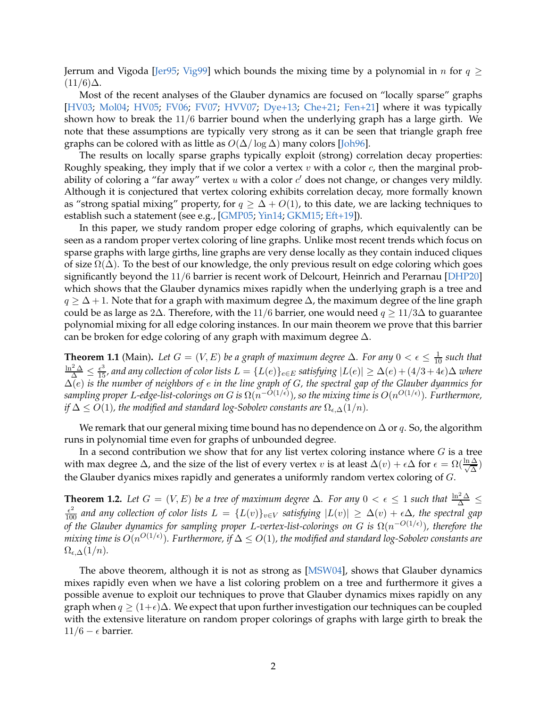<span id="page-1-0"></span>Jerrum and Vigoda [\[Jer95;](#page-29-1) [Vig99](#page-30-0)] which bounds the mixing time by a polynomial in n for  $q \ge$  $(11/6)\Delta$ .

Most of the recent analyses of the Glauber dynamics are focused on "locally sparse" graphs [\[HV03](#page-29-2); [Mol04;](#page-30-1) [HV05;](#page-29-3) [FV06;](#page-29-4) [FV07](#page-29-5); [HVV07](#page-29-6); [Dye+13;](#page-28-1) [Che+21](#page-28-2); [Fen+21\]](#page-28-3) where it was typically shown how to break the 11/6 barrier bound when the underlying graph has a large girth. We note that these assumptions are typically very strong as it can be seen that triangle graph free graphs can be colored with as little as  $O(\Delta/\log \Delta)$  many colors [\[Joh96\]](#page-29-7).

The results on locally sparse graphs typically exploit (strong) correlation decay properties: Roughly speaking, they imply that if we color a vertex  $v$  with a color  $c$ , then the marginal probability of coloring a "far away" vertex  $u$  with a color  $c'$  does not change, or changes very mildly. Although it is conjectured that vertex coloring exhibits correlation decay, more formally known as "strong spatial mixing" property, for  $q \geq \Delta + O(1)$ , to this date, we are lacking techniques to establish such a statement (see e.g., [\[GMP05](#page-29-8); [Yin14](#page-30-2); [GKM15](#page-29-9); [Eft+19\]](#page-28-4)).

In this paper, we study random proper edge coloring of graphs, which equivalently can be seen as a random proper vertex coloring of line graphs. Unlike most recent trends which focus on sparse graphs with large girths, line graphs are very dense locally as they contain induced cliques of size  $\Omega(\Delta)$ . To the best of our knowledge, the only previous result on edge coloring which goes significantly beyond the 11/6 barrier is recent work of Delcourt, Heinrich and Perarnau [\[DHP20](#page-28-5)] which shows that the Glauber dynamics mixes rapidly when the underlying graph is a tree and  $q \geq \Delta + 1$ . Note that for a graph with maximum degree  $\Delta$ , the maximum degree of the line graph could be as large as 2∆. Therefore, with the 11/6 barrier, one would need  $q \ge 11/3\Delta$  to guarantee polynomial mixing for all edge coloring instances. In our main theorem we prove that this barrier can be broken for edge coloring of any graph with maximum degree  $\Delta$ .

**Theorem 1.1** (Main). Let  $G = (V, E)$  be a graph of maximum degree  $\Delta$ . For any  $0 < \epsilon \le \frac{1}{10}$  such that  $\frac{\ln^2 \Delta}{\Delta} \le \frac{\epsilon^3}{15}$ , and any collection of color lists  $L = \{L(e)\}_{e \in E}$  satisfying  $|L(e)| \ge \Delta(e) + (4/3 + 4\epsilon)\Delta$  w ∆(e) *is the number of neighbors of* e *in the line graph of* G*, the spectral gap of the Glauber dyanmics for* sampling proper L-edge-list-colorings on G is  $\Omega(n^{-O(1/\epsilon)})$ , so the mixing time is  $O(n^{O(1/\epsilon)})$ . Furthermore, *if*  $\Delta \leq O(1)$ *, the modified and standard log-Sobolev constants are*  $\Omega_{\epsilon,\Delta}(1/n)$ *.* 

We remark that our general mixing time bound has no dependence on  $\Delta$  or q. So, the algorithm runs in polynomial time even for graphs of unbounded degree.

In a second contribution we show that for any list vertex coloring instance where  $G$  is a tree with max degree  $\Delta$ , and the size of the list of every vertex  $v$  is at least  $\Delta(v) + \epsilon \Delta$  for  $\epsilon = \Omega(\frac{\ln \Delta}{\sqrt{\Delta}})$ the Glauber dyanics mixes rapidly and generates a uniformly random vertex coloring of G.

**Theorem 1.2.** Let  $G = (V, E)$  be a tree of maximum degree  $\Delta$ . For any  $0 < \epsilon \leq 1$  such that  $\frac{\ln^2 \Delta}{\Delta} \leq$  $\frac{\epsilon^2}{100}$  and any collection of color lists  $L = \{L(v)\}_{v \in V}$  satisfying  $|L(v)| \ge \Delta(v) + \epsilon \Delta$ , the spectral gap *of the Glauber dynamics for sampling proper L-vertex-list-colorings on G is Ω(n<sup>-O(1/€)</sup>), therefore the*  $mixing$  time is  $O(n^{O(1/\epsilon)})$ . Furthermore, if  $\Delta \leq O(1)$ , the modified and standard log-Sobolev constants are  $\Omega_{\epsilon,\Delta}(1/n)$ .

The above theorem, although it is not as strong as [\[MSW04\]](#page-30-3), shows that Glauber dynamics mixes rapidly even when we have a list coloring problem on a tree and furthermore it gives a possible avenue to exploit our techniques to prove that Glauber dynamics mixes rapidly on any graph when  $q \geq (1+\epsilon)\Delta$ . We expect that upon further investigation our techniques can be coupled with the extensive literature on random proper colorings of graphs with large girth to break the 11/6 –  $\epsilon$  barrier.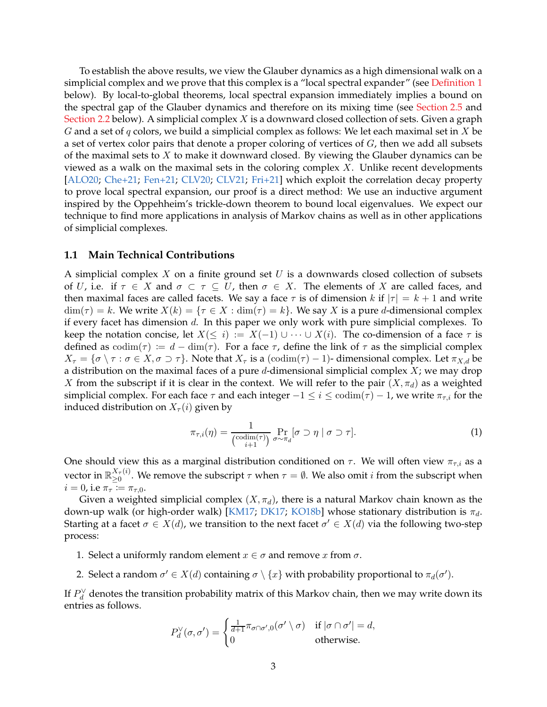<span id="page-2-1"></span>To establish the above results, we view the Glauber dynamics as a high dimensional walk on a simplicial complex and we prove that this complex is a "local spectral expander" (see [Definition 1](#page-3-0) below). By local-to-global theorems, local spectral expansion immediately implies a bound on the spectral gap of the Glauber dynamics and therefore on its mixing time (see [Section 2.5](#page-9-0) and [Section 2.2](#page-6-0) below). A simplicial complex  $X$  is a downward closed collection of sets. Given a graph G and a set of  $q$  colors, we build a simplicial complex as follows: We let each maximal set in  $X$  be a set of vertex color pairs that denote a proper coloring of vertices of  $G$ , then we add all subsets of the maximal sets to  $X$  to make it downward closed. By viewing the Glauber dynamics can be viewed as a walk on the maximal sets in the coloring complex  $X$ . Unlike recent developments [\[ALO20](#page-27-0); [Che+21](#page-28-2); [Fen+21](#page-28-3); [CLV20](#page-28-6); [CLV21;](#page-28-7) [Fri+21\]](#page-29-10) which exploit the correlation decay property to prove local spectral expansion, our proof is a direct method: We use an inductive argument inspired by the Oppehheim's trickle-down theorem to bound local eigenvalues. We expect our technique to find more applications in analysis of Markov chains as well as in other applications of simplicial complexes.

### **1.1 Main Technical Contributions**

A simplicial complex  $X$  on a finite ground set  $U$  is a downwards closed collection of subsets of U, i.e. if  $\tau \in X$  and  $\sigma \subset \tau \subseteq U$ , then  $\sigma \in X$ . The elements of X are called faces, and then maximal faces are called facets. We say a face  $\tau$  is of dimension k if  $|\tau| = k + 1$  and write  $\dim(\tau) = k$ . We write  $X(k) = \{\tau \in X : \dim(\tau) = k\}$ . We say X is a pure d-dimensional complex if every facet has dimension d. In this paper we only work with pure simplicial complexes. To keep the notation concise, let  $X(\leq i) := X(-1) \cup \cdots \cup X(i)$ . The co-dimension of a face  $\tau$  is defined as  $\text{codim}(\tau) := d - \dim(\tau)$ . For a face  $\tau$ , define the link of  $\tau$  as the simplicial complex  $X_{\tau} = \{\sigma \setminus \tau : \sigma \in X, \sigma \supset \tau\}.$  Note that  $X_{\tau}$  is a  $(\text{codim}(\tau) - 1)$ - dimensional complex. Let  $\pi_{X,d}$  be a distribution on the maximal faces of a pure d-dimensional simplicial complex  $X$ ; we may drop X from the subscript if it is clear in the context. We will refer to the pair  $(X, \pi_d)$  as a weighted simplicial complex. For each face  $\tau$  and each integer  $-1 \le i \le \text{codim}(\tau) - 1$ , we write  $\pi_{\tau,i}$  for the induced distribution on  $X_{\tau}(i)$  given by

<span id="page-2-0"></span>
$$
\pi_{\tau,i}(\eta) = \frac{1}{\binom{\operatorname{codim}(\tau)}{i+1}} \Pr_{\sigma \sim \pi_d} [\sigma \supset \eta \mid \sigma \supset \tau]. \tag{1}
$$

One should view this as a marginal distribution conditioned on  $\tau$ . We will often view  $\pi_{\tau,i}$  as a vector in  $\mathbb{R}_{\geq 0}^{X_\tau(i)}$  $\sum_{\geq 0}^{A_{\tau}(i)}$ . We remove the subscript  $\tau$  when  $\tau = \emptyset$ . We also omit *i* from the subscript when  $i=0$ , i.e  $\pi_{\tau} \coloneqq \pi_{\tau,0}$ .

Given a weighted simplicial complex  $(X, \pi_d)$ , there is a natural Markov chain known as the down-up walk (or high-order walk) [\[KM17](#page-29-11); [DK17](#page-28-8); [KO18b](#page-29-12)] whose stationary distribution is  $π_d$ . Starting at a facet  $\sigma \in X(d)$ , we transition to the next facet  $\sigma' \in X(d)$  via the following two-step process:

- 1. Select a uniformly random element  $x \in \sigma$  and remove x from  $\sigma$ .
- 2. Select a random  $\sigma' \in X(d)$  containing  $\sigma \setminus \{x\}$  with probability proportional to  $\pi_d(\sigma').$

If  $P_d^{\vee}$  denotes the transition probability matrix of this Markov chain, then we may write down its entries as follows.

$$
P_d^{\vee}(\sigma, \sigma') = \begin{cases} \frac{1}{d+1} \pi_{\sigma \cap \sigma', 0}(\sigma' \setminus \sigma) & \text{if } |\sigma \cap \sigma'| = d, \\ 0 & \text{otherwise.} \end{cases}
$$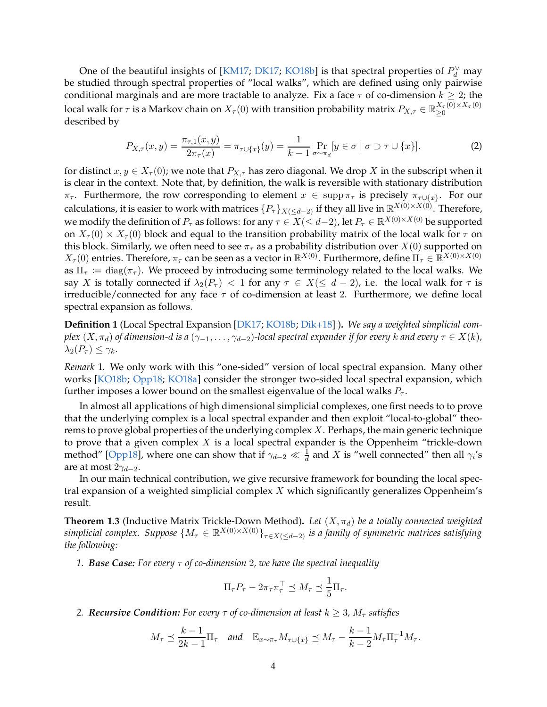<span id="page-3-3"></span>One of the beautiful insights of [\[KM17;](#page-29-11) [DK17](#page-28-8); [KO18b](#page-29-12)] is that spectral properties of  $P_d^{\vee}$  may be studied through spectral properties of "local walks", which are defined using only pairwise conditional marginals and are more tractable to analyze. Fix a face  $\tau$  of co-dimension  $k \geq 2$ ; the local walk for  $\tau$  is a Markov chain on  $X_\tau(0)$  with transition probability matrix  $P_{X,\tau}\in\mathbb{R}_{\geq0}^{X_\tau(0)\times X_\tau(0)}$ ≥0 described by

<span id="page-3-2"></span>
$$
P_{X,\tau}(x,y) = \frac{\pi_{\tau,1}(x,y)}{2\pi_{\tau}(x)} = \pi_{\tau \cup \{x\}}(y) = \frac{1}{k-1} \Pr_{\sigma \sim \pi_d}[y \in \sigma \mid \sigma \supset \tau \cup \{x\}].
$$
 (2)

for distinct  $x, y \in X_\tau(0)$ ; we note that  $P_{X,\tau}$  has zero diagonal. We drop X in the subscript when it is clear in the context. Note that, by definition, the walk is reversible with stationary distribution  $\pi_{\tau}$ . Furthermore, the row corresponding to element  $x \in \text{supp}\,\pi_{\tau}$  is precisely  $\pi_{\tau \cup \{x\}}$ . For our calculations, it is easier to work with matrices  $\{P_\tau\}_{X(\leq d-2)}$  if they all live in  $\mathbb{R}^{X(0)\times X(0)}$ . Therefore, we modify the definition of  $P_\tau$  as follows: for any  $\tau\in X(\leq d-2)$ , let  $P_\tau\in\mathbb{R}^{X(0)\times X(0)}$  be supported on  $X_{\tau}(0) \times X_{\tau}(0)$  block and equal to the transition probability matrix of the local walk for  $\tau$  on this block. Similarly, we often need to see  $\pi_{\tau}$  as a probability distribution over  $X(0)$  supported on  $X_{\tau}(0)$  entries. Therefore,  $\pi_{\tau}$  can be seen as a vector in  $\mathbb{R}^{X(0)}$ . Furthermore, define  $\Pi_{\tau} \in \mathbb{R}^{X(0) \times X(0)}$ as  $\Pi_\tau \coloneqq \text{diag}(\pi_\tau)$ . We proceed by introducing some terminology related to the local walks. We say X is totally connected if  $\lambda_2(P_\tau) < 1$  for any  $\tau \in X(\leq d-2)$ , i.e. the local walk for  $\tau$  is irreducible/connected for any face  $\tau$  of co-dimension at least 2. Furthermore, we define local spectral expansion as follows.

<span id="page-3-0"></span>**Definition 1** (Local Spectral Expansion [\[DK17](#page-28-8); [KO18b](#page-29-12); [Dik+18](#page-28-9)] )**.** *We say a weighted simplicial complex*  $(X, \pi_d)$  *of dimension-d is a*  $(\gamma_{-1}, \ldots, \gamma_{d-2})$ -local spectral expander if for every k and every  $\tau \in X(k)$ *,*  $\lambda_2(P_\tau) \leq \gamma_k$ .

*Remark* 1*.* We only work with this "one-sided" version of local spectral expansion. Many other works [\[KO18b](#page-29-12); [Opp18;](#page-30-4) [KO18a](#page-29-13)] consider the stronger two-sided local spectral expansion, which further imposes a lower bound on the smallest eigenvalue of the local walks  $P_{\tau}$ .

In almost all applications of high dimensional simplicial complexes, one first needs to to prove that the underlying complex is a local spectral expander and then exploit "local-to-global" theorems to prove global properties of the underlying complex  $X$ . Perhaps, the main generic technique to prove that a given complex  $X$  is a local spectral expander is the Oppenheim "trickle-down method" [\[Opp18](#page-30-4)], where one can show that if  $\gamma_{d-2} \ll \frac{1}{d}$  and X is "well connected" then all  $\gamma_i$ 's are at most  $2\gamma_{d-2}$ .

In our main technical contribution, we give recursive framework for bounding the local spectral expansion of a weighted simplicial complex  $X$  which significantly generalizes Oppenheim's result.

<span id="page-3-1"></span>**Theorem 1.3** (Inductive Matrix Trickle-Down Method). Let  $(X, \pi_d)$  be a totally connected weighted  $simplified$  complex. Suppose  $\{M_\tau\in\mathbb{R}^{X(0)\times X(0)}\}_{\tau\in X(\leq d-2)}$  *is a family of symmetric matrices satisfying the following:*

*1. Base Case: For every* τ *of co-dimension* 2*, we have the spectral inequality*

$$
\Pi_{\tau} P_{\tau} - 2\pi_{\tau} \pi_{\tau}^{\top} \preceq M_{\tau} \preceq \frac{1}{5} \Pi_{\tau}.
$$

*2. Recursive Condition: For every*  $\tau$  *of co-dimension at least*  $k \geq 3$ *,*  $M_{\tau}$  *satisfies* 

$$
M_{\tau} \preceq \frac{k-1}{2k-1} \Pi_{\tau}
$$
 and  $\mathbb{E}_{x \sim \pi_{\tau}} M_{\tau \cup \{x\}} \preceq M_{\tau} - \frac{k-1}{k-2} M_{\tau} \Pi_{\tau}^{-1} M_{\tau}.$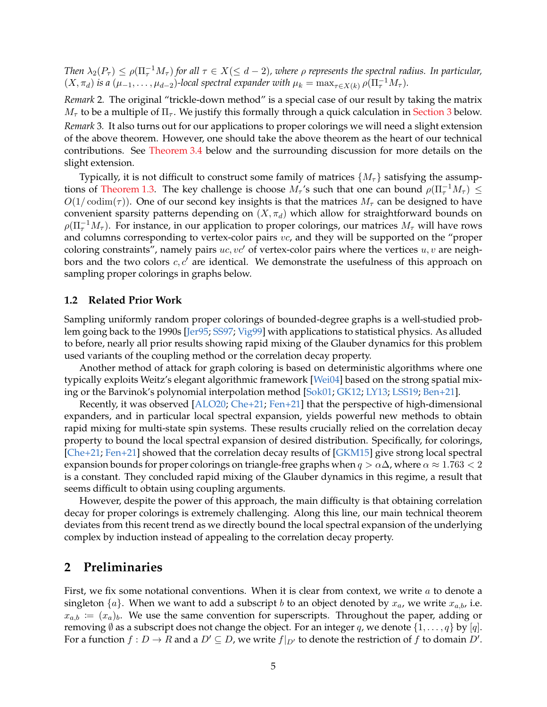<span id="page-4-0"></span>*Then*  $\lambda_2(P_\tau) \le \rho(\Pi_\tau^{-1}M_\tau)$  *for all*  $\tau \in X (\le d-2)$ *, where*  $\rho$  *represents the spectral radius. In particular,*  $(X, \pi_d)$  *is a*  $(\mu_{-1}, \dots, \mu_{d-2})$ -local spectral expander with  $\mu_k = \max_{\tau \in X(k)} \rho(\Pi_{\tau}^{-1}M_{\tau}).$ 

*Remark* 2*.* The original "trickle-down method" is a special case of our result by taking the matrix  $M_{\tau}$  to be a multiple of  $\Pi_{\tau}$ . We justify this formally through a quick calculation in [Section 3](#page-9-1) below. *Remark* 3*.* It also turns out for our applications to proper colorings we will need a slight extension of the above theorem. However, one should take the above theorem as the heart of our technical contributions. See [Theorem 3.4](#page-12-0) below and the surrounding discussion for more details on the slight extension.

Typically, it is not difficult to construct some family of matrices  $\{M_\tau\}$  satisfying the assump-tions of [Theorem 1.3.](#page-3-1) The key challenge is choose  $M_\tau$ 's such that one can bound  $\rho(\Pi_\tau^{-1}M_\tau) \leq$  $O(1/\text{codim}(\tau))$ . One of our second key insights is that the matrices  $M_{\tau}$  can be designed to have convenient sparsity patterns depending on  $(X, \pi_d)$  which allow for straightforward bounds on  $\rho(\Pi_\tau^{-1}M_\tau)$ . For instance, in our application to proper colorings, our matrices  $M_\tau$  will have rows and columns corresponding to vertex-color pairs vc, and they will be supported on the "proper coloring constraints", namely pairs  $uc, vc'$  of vertex-color pairs where the vertices  $u, v$  are neighbors and the two colors  $c, c'$  are identical. We demonstrate the usefulness of this approach on sampling proper colorings in graphs below.

### **1.2 Related Prior Work**

Sampling uniformly random proper colorings of bounded-degree graphs is a well-studied problem going back to the 1990s [\[Jer95](#page-29-1); [SS97](#page-30-5); [Vig99\]](#page-30-0) with applications to statistical physics. As alluded to before, nearly all prior results showing rapid mixing of the Glauber dynamics for this problem used variants of the coupling method or the correlation decay property.

Another method of attack for graph coloring is based on deterministic algorithms where one typically exploits Weitz's elegant algorithmic framework [\[Wei04](#page-30-6)] based on the strong spatial mixing or the Barvinok's polynomial interpolation method [\[Sok01;](#page-30-7) [GK12](#page-29-14); [LY13;](#page-30-8) [LSS19](#page-30-9); [Ben+21](#page-27-1)].

Recently, it was observed [\[ALO20;](#page-27-0) [Che+21](#page-28-2); [Fen+21\]](#page-28-3) that the perspective of high-dimensional expanders, and in particular local spectral expansion, yields powerful new methods to obtain rapid mixing for multi-state spin systems. These results crucially relied on the correlation decay property to bound the local spectral expansion of desired distribution. Specifically, for colorings, [\[Che+21](#page-28-2); [Fen+21](#page-28-3)] showed that the correlation decay results of [\[GKM15\]](#page-29-9) give strong local spectral expansion bounds for proper colorings on triangle-free graphs when  $q > \alpha \Delta$ , where  $\alpha \approx 1.763 < 2$ is a constant. They concluded rapid mixing of the Glauber dynamics in this regime, a result that seems difficult to obtain using coupling arguments.

However, despite the power of this approach, the main difficulty is that obtaining correlation decay for proper colorings is extremely challenging. Along this line, our main technical theorem deviates from this recent trend as we directly bound the local spectral expansion of the underlying complex by induction instead of appealing to the correlation decay property.

### **2 Preliminaries**

First, we fix some notational conventions. When it is clear from context, we write  $\alpha$  to denote a singleton  $\{a\}$ . When we want to add a subscript b to an object denoted by  $x_a$ , we write  $x_{a,b}$ , i.e.  $x_{a,b} := (x_a)_b$ . We use the same convention for superscripts. Throughout the paper, adding or removing  $\emptyset$  as a subscript does not change the object. For an integer q, we denote  $\{1, \ldots, q\}$  by  $[q]$ . For a function  $f: D \to R$  and a  $D' \subseteq D$ , we write  $f|_{D'}$  to denote the restriction of  $f$  to domain  $D'.$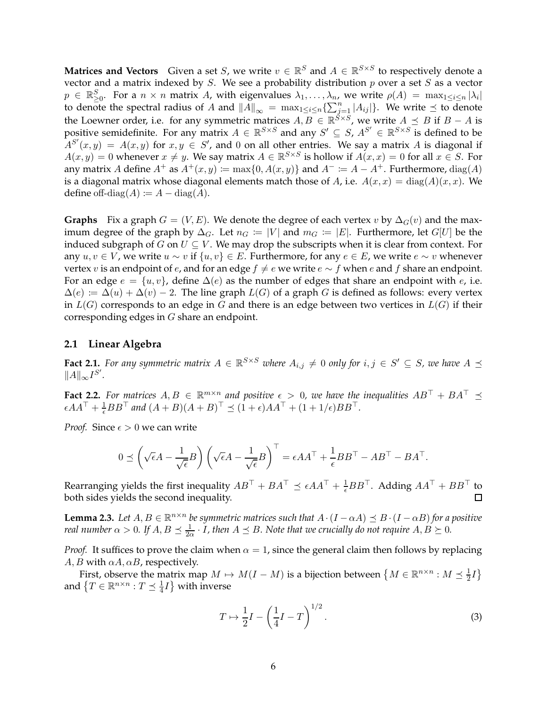**Matrices and Vectors** Given a set S, we write  $v \in \mathbb{R}^S$  and  $A \in \mathbb{R}^{S \times S}$  to respectively denote a vector and a matrix indexed by  $S$ . We see a probability distribution  $p$  over a set  $S$  as a vector  $p \in \mathbb{R}_{\geq 0}^S$ . For a  $n \times n$  matrix A, with eigenvalues  $\lambda_1, \ldots, \lambda_n$ , we write  $\rho(A) = \max_{1 \leq i \leq n} |\lambda_i|$ to denote the spectral radius of A and  $||A||_{\infty} = \max_{1 \leq i \leq n} \{\sum_{j=1}^{n} |A_{ij}|\}$ . We write  $\preceq$  to denote the Loewner order, i.e. for any symmetric matrices  $A, B \in \mathbb{R}^{S \times S}$ , we write  $A \preceq B$  if  $B - A$  is positive semidefinite. For any matrix  $A \in \mathbb{R}^{S \times S}$  and any  $S' \subseteq S$ ,  $A^{S'} \in \mathbb{R}^{S \times S}$  is defined to be  $A^{S'}(x,y) = A(x,y)$  for  $x, y \in S'$ , and 0 on all other entries. We say a matrix A is diagonal if  $A(x, y) = 0$  whenever  $x \neq y$ . We say matrix  $A \in \mathbb{R}^{S \times S}$  is hollow if  $A(x, x) = 0$  for all  $x \in S$ . For any matrix A define  $A^+$  as  $A^+(x, y) := \max\{0, A(x, y)\}\$  and  $A^- := A - A^+$ . Furthermore,  $\text{diag}(A)$ is a diagonal matrix whose diagonal elements match those of A, i.e.  $A(x, x) = diag(A)(x, x)$ . We define off-diag( $A$ ) :=  $A$  – diag( $A$ ).

**Graphs** Fix a graph  $G = (V, E)$ . We denote the degree of each vertex v by  $\Delta_G(v)$  and the maximum degree of the graph by  $\Delta_G$ . Let  $n_G := |V|$  and  $m_G := |E|$ . Furthermore, let  $G[U]$  be the induced subgraph of  $G$  on  $U \subseteq V$ . We may drop the subscripts when it is clear from context. For any  $u, v \in V$ , we write  $u \sim v$  if  $\{u, v\} \in E$ . Furthermore, for any  $e \in E$ , we write  $e \sim v$  whenever vertex v is an endpoint of  $e$ , and for an edge  $f \neq e$  we write  $e \sim f$  when  $e$  and  $f$  share an endpoint. For an edge  $e = \{u, v\}$ , define  $\Delta(e)$  as the number of edges that share an endpoint with  $e$ , i.e.  $\Delta(e) := \Delta(u) + \Delta(v) - 2$ . The line graph  $L(G)$  of a graph G is defined as follows: every vertex in  $L(G)$  corresponds to an edge in G and there is an edge between two vertices in  $L(G)$  if their corresponding edges in G share an endpoint.

### <span id="page-5-3"></span>**2.1 Linear Algebra**

**Fact 2.1.** For any symmetric matrix  $A \in \mathbb{R}^{S \times S}$  where  $A_{i,j} \neq 0$  only for  $i, j \in S' \subseteq S$ , we have  $A \preceq$  $||A||_{\infty}I^{S'}$ .

<span id="page-5-2"></span>**Fact 2.2.** For matrices  $A, B \in \mathbb{R}^{m \times n}$  and positive  $\epsilon > 0$ , we have the inequalities  $AB^{\top} + BA^{\top} \preceq$  $\epsilon AA^{\top} + \frac{1}{\epsilon} BB^{\top}$  and  $(A+B)(A+B)^{\top} \preceq (1+\epsilon)AA^{\top} + (1+1/\epsilon)BB^{\top}$ .

*Proof.* Since  $\epsilon > 0$  we can write

$$
0 \preceq \left(\sqrt{\epsilon}A - \frac{1}{\sqrt{\epsilon}}B\right)\left(\sqrt{\epsilon}A - \frac{1}{\sqrt{\epsilon}}B\right)^{\top} = \epsilon AA^{\top} + \frac{1}{\epsilon}BB^{\top} - AB^{\top} - BA^{\top}.
$$

Rearranging yields the first inequality  $AB^{\top} + BA^{\top} \preceq \epsilon AA^{\top} + \frac{1}{\epsilon} BB^{\top}$ . Adding  $AA^{\top} + BB^{\top}$  to both sides yields the second inequality.

<span id="page-5-1"></span>**Lemma 2.3.** *Let*  $A, B \in \mathbb{R}^{n \times n}$  *be symmetric matrices such that*  $A \cdot (I - \alpha A) \preceq B \cdot (I - \alpha B)$  *for a positive real number*  $\alpha > 0$ . If  $A, B \preceq \frac{1}{2\alpha} \cdot I$ , then  $A \preceq B$ . Note that we crucially do not require  $A, B \succeq 0$ .

*Proof.* It suffices to prove the claim when  $\alpha = 1$ , since the general claim then follows by replacing  $A, B$  with  $\alpha A, \alpha B$ , respectively.

First, observe the matrix map  $M \mapsto M(I-M)$  is a bijection between  $\left\{M \in \mathbb{R}^{n \times n}: M \leq \frac{1}{2}\right\}$  $\frac{1}{2}I$ and  $\left\{T \in \mathbb{R}^{n \times n}: T \preceq \frac{1}{4}\right\}$  $\frac{1}{4}I$  with inverse

<span id="page-5-0"></span>
$$
T \mapsto \frac{1}{2}I - \left(\frac{1}{4}I - T\right)^{1/2}.\tag{3}
$$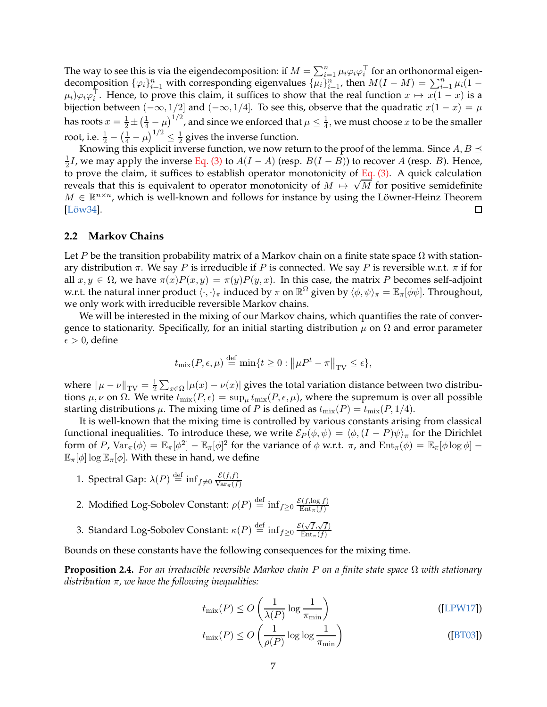<span id="page-6-1"></span>The way to see this is via the eigendecomposition: if  $M=\sum_{i=1}^n \mu_i\varphi_i\varphi_i^\top$  for an orthonormal eigendecomposition  $\{\varphi_i\}_{i=1}^n$  with corresponding eigenvalues  $\{\mu_i\}_{i=1}^n$ , then  $M(I-M) = \sum_{i=1}^n \mu_i(1-M)$  $\mu_i)\varphi_i\varphi_i^{\perp}$ . Hence, to prove this claim, it suffices to show that the real function  $x \mapsto x(1-x)$  is a bijection between  $(-\infty, 1/2]$  and  $(-\infty, 1/4]$ . To see this, observe that the quadratic  $x(1-x) = \mu$ has roots  $x = \frac{1}{2} \pm \left(\frac{1}{4} - \mu\right)^{1/2}$ , and since we enforced that  $\mu \leq \frac{1}{4}$  $\frac{1}{4}$ , we must choose  $x$  to be the smaller root, i.e.  $\frac{1}{2} - \left(\frac{1}{4} - \mu\right)^{1/2} \leq \frac{1}{2}$  gives the inverse function.

Knowing this explicit inverse function, we now return to the proof of the lemma. Since  $A, B \preceq$ 1  $\frac{1}{2}I$ , we may apply the inverse [Eq. \(3\)](#page-5-0) to  $A(I - A)$  (resp.  $B(I - B)$ ) to recover A (resp. B). Hence, to prove the claim, it suffices to establish operator monotonicity of [Eq. \(3\).](#page-5-0) A quick calculation reveals that this is equivalent to operator monotonicity of  $M \mapsto \sqrt{M}$  for positive semidefinite  $M \in \mathbb{R}^{n \times n}$ , which is well-known and follows for instance by using the Löwner-Heinz Theorem  $[L\ddot{\text{o}}w34]$ .  $\Box$ 

### <span id="page-6-0"></span>**2.2 Markov Chains**

Let P be the transition probability matrix of a Markov chain on a finite state space  $\Omega$  with stationary distribution π. We say P is irreducible if P is connected. We say P is reversible w.r.t. π if for all  $x, y \in \Omega$ , we have  $\pi(x)P(x, y) = \pi(y)P(y, x)$ . In this case, the matrix P becomes self-adjoint w.r.t. the natural inner product  $\langle\cdot,\cdot\rangle_\pi$  induced by  $\pi$  on  $\mathbb{R}^\Omega$  given by  $\langle\phi,\psi\rangle_\pi=\mathbb{E}_\pi[\phi\psi]$ . Throughout, we only work with irreducible reversible Markov chains.

We will be interested in the mixing of our Markov chains, which quantifies the rate of convergence to stationarity. Specifically, for an initial starting distribution  $\mu$  on  $\Omega$  and error parameter  $\epsilon > 0$ , define

$$
t_{\text{mix}}(P, \epsilon, \mu) \stackrel{\text{def}}{=} \min\{t \ge 0 : ||\mu P^t - \pi||_{\text{TV}} \le \epsilon\},\
$$

where  $\|\mu - \nu\|_{\text{TV}} = \frac{1}{2}$  $\frac{1}{2} \sum_{x \in \Omega} |\mu(x) - \nu(x)|$  gives the total variation distance between two distributions  $\mu$ ,  $\nu$  on  $\Omega$ . We write  $t_{\text{mix}}(P, \epsilon) = \sup_{\mu} t_{\text{mix}}(P, \epsilon, \mu)$ , where the supremum is over all possible starting distributions  $\mu$ . The mixing time of P is defined as  $t_{\text{mix}}(P) = t_{\text{mix}}(P, 1/4)$ .

It is well-known that the mixing time is controlled by various constants arising from classical functional inequalities. To introduce these, we write  $\mathcal{E}_P(\phi, \psi) = \langle \phi, (I - P)\psi \rangle_\pi$  for the Dirichlet form of P,  $Var_{\pi}(\phi) = \mathbb{E}_{\pi}[\phi^2] - \mathbb{E}_{\pi}[\phi]^2$  for the variance of  $\phi$  w.r.t.  $\pi$ , and  $Ent_{\pi}(\phi) = \mathbb{E}_{\pi}[\phi \log \phi] \mathbb{E}_{\pi}[\phi] \log \mathbb{E}_{\pi}[\phi]$ . With these in hand, we define

- 1. Spectral Gap:  $\lambda(P) \stackrel{\text{def}}{=} \inf_{f \neq 0} \frac{\mathcal{E}(f,f)}{\text{Var}_{\pi}(f)}$
- 2. Modified Log-Sobolev Constant:  $\rho(P) \stackrel{\text{def}}{=} \inf_{f \geq 0} \frac{\mathcal{E}(f,\log f)}{\mathrm{Ent}_{\pi}(f)}$
- 3. Standard Log-Sobolev Constant:  $\kappa(P) \stackrel{\text{def}}{=} \inf_{f \geq 0} \frac{\mathcal{E}(\sqrt{f},\sqrt{f})}{\mathrm{Ent}_{\pi}(f)}$  $\mathrm{Ent}_{\pi}(f)$

Bounds on these constants have the following consequences for the mixing time.

**Proposition 2.4.** *For an irreducible reversible Markov chain* P *on a finite state space* Ω *with stationary distribution* π*, we have the following inequalities:*

$$
t_{\text{mix}}(P) \le O\left(\frac{1}{\lambda(P)} \log \frac{1}{\pi_{\text{min}}}\right) \tag{[LPW17]}
$$

$$
t_{\text{mix}}(P) \le O\left(\frac{1}{\rho(P)}\log\log\frac{1}{\pi_{\text{min}}}\right) \tag{[BT03]}
$$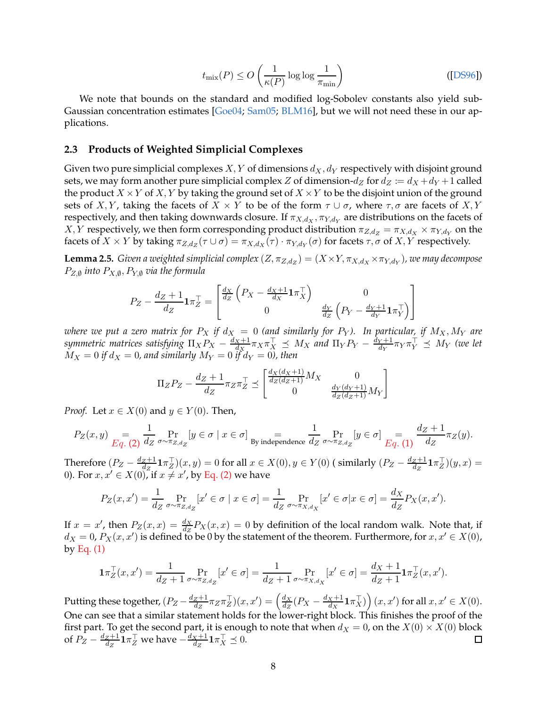$$
t_{\text{mix}}(P) \le O\left(\frac{1}{\kappa(P)}\log\log\frac{1}{\pi_{\text{min}}}\right)
$$
 ([DS96])

<span id="page-7-1"></span>We note that bounds on the standard and modified log-Sobolev constants also yield sub-Gaussian concentration estimates [\[Goe04](#page-29-15); [Sam05](#page-30-12); [BLM16\]](#page-28-12), but we will not need these in our applications.

#### **2.3 Products of Weighted Simplicial Complexes**

Given two pure simplicial complexes X, Y of dimensions  $d_X, d_Y$  respectively with disjoint ground sets, we may form another pure simplicial complex Z of dimension- $d_Z$  for  $d_Z := d_X + d_Y + 1$  called the product  $X \times Y$  of X, Y by taking the ground set of  $X \times Y$  to be the disjoint union of the ground sets of X, Y, taking the facets of  $X \times Y$  to be of the form  $\tau \cup \sigma$ , where  $\tau, \sigma$  are facets of X, Y respectively, and then taking downwards closure. If  $\pi_{X,d_X}, \pi_{Y,d_Y}$  are distributions on the facets of  $X,Y$  respectively, we then form corresponding product distribution  $\pi_{Z,d_Z} = \pi_{X,d_X} \times \pi_{Y,d_Y}$  on the facets of  $X \times Y$  by taking  $\pi_{Z,d_Z}(\tau \cup \sigma) = \pi_{X,d_X}(\tau) \cdot \pi_{Y,d_Y}(\sigma)$  for facets  $\tau, \sigma$  of  $X, Y$  respectively.

<span id="page-7-0"></span>**Lemma 2.5.** *Given a weighted simplicial complex*  $(Z, \pi_{Z, d_Z}) = (X \times Y, \pi_{X, d_X} \times \pi_{Y, d_Y})$ , we may decompose  $P_{Z, \emptyset}$  into  $P_{X, \emptyset}, P_{Y, \emptyset}$  via the formula

$$
P_Z - \frac{d_Z + 1}{dz} \mathbf{1} \pi_Z^{\top} = \begin{bmatrix} \frac{d_X}{dz} \left( P_X - \frac{d_X + 1}{dz} \mathbf{1} \pi_X^{\top} \right) & 0\\ 0 & \frac{d_Y}{dz} \left( P_Y - \frac{d_Y + 1}{dz} \mathbf{1} \pi_Y^{\top} \right) \end{bmatrix}
$$

*where we put a zero matrix for*  $P_X$  *if*  $d_X = 0$  (and similarly for  $P_Y$ ). In particular, if  $M_X, M_Y$  are *symmetric matrices satisfying*  $\Pi_X P_X - \frac{d_X+1}{d_X}$  $\frac{d_X + 1}{d_X} \pi_X \pi_X^\top \preceq M_X$  and  $\Pi_Y P_Y - \frac{d_Y + 1}{d_Y}$  $\frac{Y+1}{d_Y}\pi_Y\pi_Y^\perp \preceq M_Y$  (we let  $M_X = 0$  if  $d_X = 0$ , and similarly  $M_Y = 0$  if  $d_Y = 0$ ), then

$$
\Pi_Z P_Z - \frac{d_Z + 1}{dz} \pi_Z \pi_Z^{\top} \preceq \begin{bmatrix} \frac{d_X(d_X + 1)}{d_Z(d_Z + 1)} M_X & 0\\ 0 & \frac{d_Y(d_Y + 1)}{d_Z(d_Z + 1)} M_Y \end{bmatrix}
$$

*Proof.* Let  $x \in X(0)$  and  $y \in Y(0)$ . Then,

$$
P_Z(x,y) = \frac{1}{Eq. (2)} \frac{1}{d_Z} \Pr_{\sigma \sim \pi_{Z,d_Z}}[y \in \sigma \mid x \in \sigma] = \frac{1}{\text{By independence }} \frac{1}{d_Z} \Pr_{\sigma \sim \pi_{Z,d_Z}}[y \in \sigma] = \frac{d_Z + 1}{Eq. (1)} \pi_Z(y).
$$

Therefore  $(P_Z - \frac{d_Z + 1}{dz})$  $\frac{dZ+1}{dz}1\pi_Z^{\top}(x,y) = 0$  for all  $x \in X(0), y \in Y(0)$  (similarly  $(P_Z - \frac{d_Z+1}{dz})$  $\frac{z+1}{d_{Z}}\mathbf{1} \pi_{Z}^{\top})(y,x) =$ 0). For  $x, x' \in X(0)$ , if  $x \neq x'$ , by [Eq. \(2\)](#page-3-2) we have

$$
P_Z(x, x') = \frac{1}{d_Z} \Pr_{\sigma \sim \pi_{Z, d_Z}}[x' \in \sigma \mid x \in \sigma] = \frac{1}{d_Z} \Pr_{\sigma \sim \pi_{X, d_X}}[x' \in \sigma \mid x \in \sigma] = \frac{d_X}{d_Z} P_X(x, x').
$$

If  $x = x'$ , then  $P_Z(x, x) = \frac{dx}{dz} P_X(x, x) = 0$  by definition of the local random walk. Note that, if  $d_X = 0$ ,  $P_X(x, x')$  is defined to be 0 by the statement of the theorem. Furthermore, for  $x, x' \in X(0)$ , by Eq.  $(1)$ 

$$
\mathbf{1}\pi_Z^{\top}(x,x') = \frac{1}{d_Z + 1} \Pr_{\sigma \sim \pi_{Z,d_Z}}[x' \in \sigma] = \frac{1}{d_Z + 1} \Pr_{\sigma \sim \pi_{X,d_X}}[x' \in \sigma] = \frac{d_X + 1}{d_Z + 1} \mathbf{1}\pi_Z^{\top}(x,x').
$$

 $\frac{z+1}{d_z}\pi_Z\pi_Z^{\top}(x,x')=\left(\frac{d_X}{d_Z}\right)$  $\left(\frac{dX}{dx} + \mathbf{1} \pi_X^{\top}\right)(x, x')$  for all  $x, x' \in X(0)$ . Putting these together,  $(P_Z - \frac{d_Z + 1}{d_Z})$  $\frac{d_X}{d_Z}(P_X - \frac{d_X+1}{d_X})$ One can see that a similar statement holds for the lower-right block. This finishes the proof of the first part. To get the second part, it is enough to note that when  $d_X = 0$ , on the  $X(0) \times X(0)$  block of  $P_Z - \frac{d_Z + 1}{d_Z}$  $\frac{z+1}{d_z}\mathbf{1}\pi_Z^\top$  we have  $-\frac{d_X+1}{d_Z}$  $\frac{X+1}{d_Z}\mathbf{1}\pi_X^{\top} \preceq 0.$  $\Box$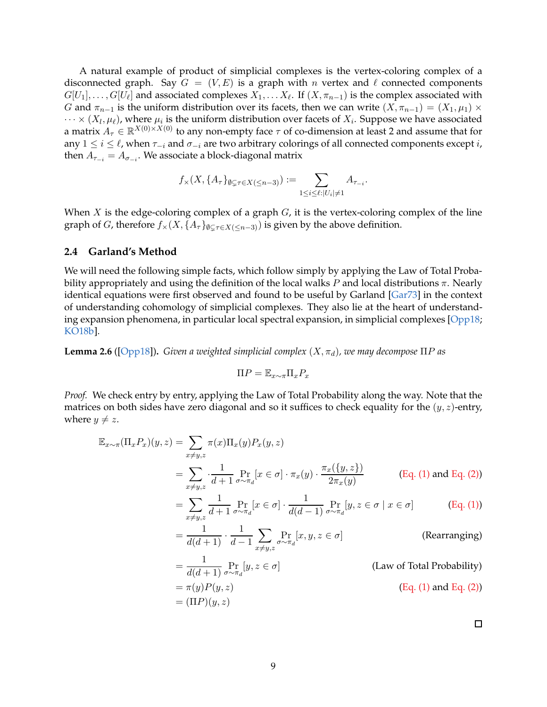<span id="page-8-2"></span>A natural example of product of simplicial complexes is the vertex-coloring complex of a disconnected graph. Say  $G = (V, E)$  is a graph with n vertex and  $\ell$  connected components  $G[U_1], \ldots, G[U_\ell]$  and associated complexes  $X_1, \ldots X_\ell$ . If  $(X, \pi_{n-1})$  is the complex associated with G and  $\pi_{n-1}$  is the uniform distribution over its facets, then we can write  $(X, \pi_{n-1}) = (X_1, \mu_1) \times$  $\cdots \times (X_l, \mu_\ell)$ , where  $\mu_i$  is the uniform distribution over facets of  $X_i$ . Suppose we have associated a matrix  $A_{\tau} \in \mathbb{R}^{X(0)\times X(0)}$  to any non-empty face  $\tau$  of co-dimension at least 2 and assume that for any  $1 \le i \le \ell$ , when  $\tau_{-i}$  and  $\sigma_{-i}$  are two arbitrary colorings of all connected components except *i*, then  $A_{\tau_{-i}}=A_{\sigma_{-i}}.$  We associate a block-diagonal matrix

$$
f_{\times}(X,\lbrace A_{\tau}\rbrace_{\emptyset\subsetneq\tau\in X(\leq n-3)}) := \sum_{1\leq i\leq \ell: |U_i|\neq 1} A_{\tau_{-i}}.
$$

When  $X$  is the edge-coloring complex of a graph  $G$ , it is the vertex-coloring complex of the line graph of *G*, therefore  $f_{\times}(X, \{A_{\tau}\}_{\emptyset \subset \tau \in X({\leq}n-3)})$  is given by the above definition.

### **2.4 Garland's Method**

We will need the following simple facts, which follow simply by applying the Law of Total Probability appropriately and using the definition of the local walks  $P$  and local distributions  $\pi$ . Nearly identical equations were first observed and found to be useful by Garland [\[Gar73](#page-29-16)] in the context of understanding cohomology of simplicial complexes. They also lie at the heart of understanding expansion phenomena, in particular local spectral expansion, in simplicial complexes [\[Opp18](#page-30-4); [KO18b](#page-29-12)].

<span id="page-8-0"></span>**Lemma 2.6** ([\[Opp18\]](#page-30-4)). *Given a weighted simplicial complex*  $(X, \pi_d)$ *, we may decompose*  $\Pi P$  *as* 

$$
\Pi P = \mathbb{E}_{x \sim \pi} \Pi_x P_x
$$

*Proof.* We check entry by entry, applying the Law of Total Probability along the way. Note that the matrices on both sides have zero diagonal and so it suffices to check equality for the  $(y, z)$ -entry, where  $y \neq z$ .

$$
\mathbb{E}_{x \sim \pi}(\Pi_x P_x)(y, z) = \sum_{x \neq y, z} \pi(x) \Pi_x(y) P_x(y, z)
$$
  
= 
$$
\sum_{x \neq y, z} \cdot \frac{1}{d+1} \Pr_{\sigma \sim \pi_d} [x \in \sigma] \cdot \pi_x(y) \cdot \frac{\pi_x(\{y, z\})}{2\pi_x(y)}
$$
 (Eq. (1) and Eq. (2))

$$
= \sum_{x \neq y,z} \frac{1}{d+1} \Pr_{\sigma \sim \pi_d} [x \in \sigma] \cdot \frac{1}{d(d-1)} \Pr_{\sigma \sim \pi_d} [y, z \in \sigma \mid x \in \sigma]
$$
(Eq. (1))

$$
= \frac{1}{d(d+1)} \cdot \frac{1}{d-1} \sum_{x \neq y, z} \Pr_{\sigma \sim \pi_d}[x, y, z \in \sigma]
$$
 (Rearranging)

$$
= \frac{1}{d(d+1)} \Pr_{\sigma \sim \pi_d}[y, z \in \sigma]
$$
 (Law of Total Probability)  
=  $\pi(y)P(y, z)$  (Eq. (1) and Eq. (2))

<span id="page-8-1"></span>
$$
= (\Pi P)(y, z)
$$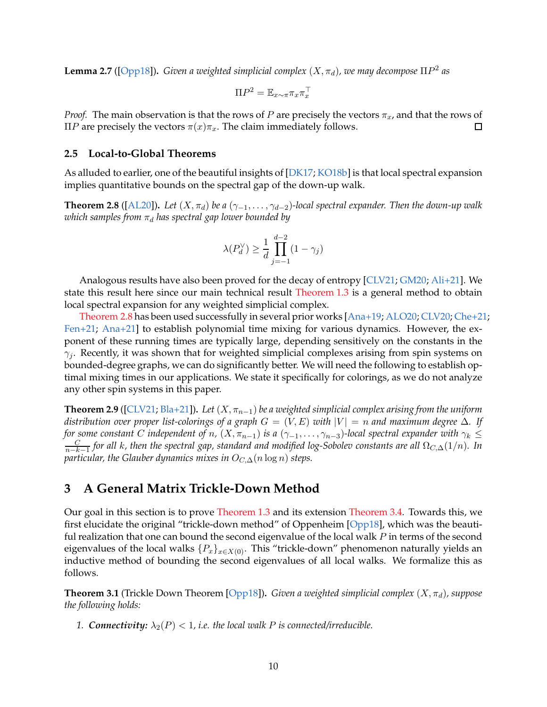<span id="page-9-4"></span>**Lemma 2.7** ([\[Opp18\]](#page-30-4)). *Given a weighted simplicial complex*  $(X, \pi_d)$ , we may decompose  $\Pi P^2$  as

$$
\Pi P^2 = \mathbb{E}_{x \sim \pi} \pi_x \pi_x^{\top}
$$

*Proof.* The main observation is that the rows of P are precisely the vectors  $\pi_x$ , and that the rows of ΠP are precisely the vectors  $π(x)π_x$ . The claim immediately follows. 口

#### **2.5 Local-to-Global Theorems**

<span id="page-9-0"></span>As alluded to earlier, one of the beautiful insights of [\[DK17](#page-28-8); [KO18b](#page-29-12)] is that local spectral expansion implies quantitative bounds on the spectral gap of the down-up walk.

**Theorem 2.8** ([\[AL20](#page-27-2)]). *Let*  $(X, \pi_d)$  *be a*  $(\gamma_{-1}, \ldots, \gamma_{d-2})$ -local spectral expander. Then the down-up walk *which samples from*  $\pi_d$  *has spectral gap lower bounded by* 

$$
\lambda(P_d^{\vee}) \ge \frac{1}{d} \prod_{j=-1}^{d-2} (1 - \gamma_j)
$$

Analogous results have also been proved for the decay of entropy [\[CLV21](#page-28-7); [GM20](#page-29-17); [Ali+21](#page-27-3)]. We state this result here since our main technical result [Theorem 1.3](#page-3-1) is a general method to obtain local spectral expansion for any weighted simplicial complex.

[Theorem 2.8](#page-9-0) has been used successfully in several prior works [\[Ana+19;](#page-27-4) [ALO20;](#page-27-0) [CLV20;](#page-28-6) [Che+21;](#page-28-2) [Fen+21](#page-28-3); [Ana+21](#page-27-5)] to establish polynomial time mixing for various dynamics. However, the exponent of these running times are typically large, depending sensitively on the constants in the  $\gamma_i$ . Recently, it was shown that for weighted simplicial complexes arising from spin systems on bounded-degree graphs, we can do significantly better. We will need the following to establish optimal mixing times in our applications. We state it specifically for colorings, as we do not analyze any other spin systems in this paper.

<span id="page-9-3"></span>**Theorem 2.9** ([\[CLV21](#page-28-7); [Bla+21](#page-27-6)]). *Let*  $(X, \pi_{n-1})$  *be a weighted simplicial complex arising from the uniform distribution over proper list-colorings of a graph*  $G = (V, E)$  *with*  $|V| = n$  *and maximum degree*  $\Delta$ *. If for some constant* C *independent of* n,  $(X, \pi_{n-1})$  *is a*  $(\gamma_{-1}, \ldots, \gamma_{n-3})$ -local spectral expander with  $\gamma_k \leq$ C n−k−1 *for all* k*, then the spectral gap, standard and modified log-Sobolev constants are all* ΩC,∆(1/n)*. In particular, the Glauber dynamics mixes in*  $O_{C,\Delta}(n \log n)$  *steps.* 

### <span id="page-9-1"></span>**3 A General Matrix Trickle-Down Method**

Our goal in this section is to prove [Theorem 1.3](#page-3-1) and its extension [Theorem 3.4.](#page-12-0) Towards this, we first elucidate the original "trickle-down method" of Oppenheim [\[Opp18](#page-30-4)], which was the beautiful realization that one can bound the second eigenvalue of the local walk  $P$  in terms of the second eigenvalues of the local walks  $\{P_x\}_{x \in X(0)}$ . This "trickle-down" phenomenon naturally yields an inductive method of bounding the second eigenvalues of all local walks. We formalize this as follows.

<span id="page-9-2"></span>**Theorem 3.1** (Trickle Down Theorem [\[Opp18\]](#page-30-4)). *Given a weighted simplicial complex*  $(X, \pi_d)$ *, suppose the following holds:*

*1. Connectivity:*  $\lambda_2(P) < 1$ , *i.e.* the local walk P is connected/irreducible.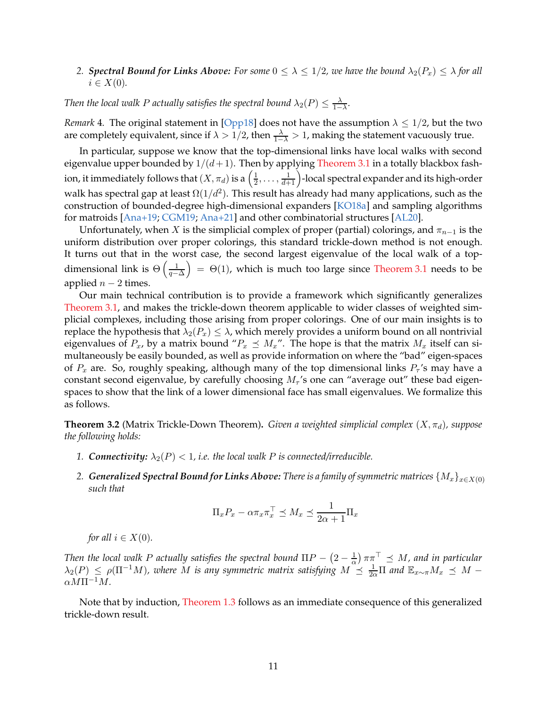### <span id="page-10-1"></span>*2. Spectral Bound for Links Above:* For some  $0 \leq \lambda \leq 1/2$ , we have the bound  $\lambda_2(P_x) \leq \lambda$  for all  $i \in X(0)$ .

*Then the local walk P actually satisfies the spectral bound*  $\lambda_2(P) \leq \frac{\lambda}{1-P}$  $\frac{\lambda}{1-\lambda}$ .

*Remark* 4. The original statement in [\[Opp18\]](#page-30-4) does not have the assumption  $\lambda \leq 1/2$ , but the two are completely equivalent, since if  $\lambda > 1/2$ , then  $\frac{\lambda}{1-\lambda} > 1$ , making the statement vacuously true.

In particular, suppose we know that the top-dimensional links have local walks with second eigenvalue upper bounded by  $1/(d+1)$ . Then by applying [Theorem 3.1](#page-9-2) in a totally blackbox fashion, it immediately follows that  $(X, \pi_d)$  is a  $\left(\frac{1}{2}\right)$  $\frac{1}{2}, \ldots, \frac{1}{d+1}$ )-local spectral expander and its high-order walk has spectral gap at least  $\Omega(1/d^2)$ . This result has already had many applications, such as the construction of bounded-degree high-dimensional expanders [\[KO18a](#page-29-13)] and sampling algorithms for matroids [\[Ana+19;](#page-27-4) [CGM19;](#page-28-13) [Ana+21\]](#page-27-5) and other combinatorial structures [\[AL20\]](#page-27-2).

Unfortunately, when X is the simplicial complex of proper (partial) colorings, and  $\pi_{n-1}$  is the uniform distribution over proper colorings, this standard trickle-down method is not enough. It turns out that in the worst case, the second largest eigenvalue of the local walk of a topdimensional link is  $\Theta\left(\frac{1}{n-1}\right)$  $q-\Delta$  $= \Theta(1)$ , which is much too large since [Theorem 3.1](#page-9-2) needs to be applied  $n − 2$  times.

Our main technical contribution is to provide a framework which significantly generalizes [Theorem 3.1,](#page-9-2) and makes the trickle-down theorem applicable to wider classes of weighted simplicial complexes, including those arising from proper colorings. One of our main insights is to replace the hypothesis that  $\lambda_2(P_x) \leq \lambda$ , which merely provides a uniform bound on all nontrivial eigenvalues of  $P_x$ , by a matrix bound " $P_x \preceq M_x$ ". The hope is that the matrix  $M_x$  itself can simultaneously be easily bounded, as well as provide information on where the "bad" eigen-spaces of  $P_x$  are. So, roughly speaking, although many of the top dimensional links  $P_\tau$ 's may have a constant second eigenvalue, by carefully choosing  $M_\tau$ 's one can "average out" these bad eigenspaces to show that the link of a lower dimensional face has small eigenvalues. We formalize this as follows.

<span id="page-10-0"></span>**Theorem 3.2** (Matrix Trickle-Down Theorem). *Given a weighted simplicial complex*  $(X, \pi_d)$ *, suppose the following holds:*

- *1. Connectivity:*  $\lambda_2(P) < 1$ , *i.e.* the local walk P is connected/irreducible.
- 2. *Generalized Spectral Bound for Links Above: There is a family of symmetric matrices*  $\{M_x\}_{x \in X(0)}$ *such that*

$$
\Pi_x P_x - \alpha \pi_x \pi_x^{\top} \preceq M_x \preceq \frac{1}{2\alpha + 1} \Pi_x
$$

*for all*  $i \in X(0)$ *.* 

*Then the local walk P actually satisfies the spectral bound*  $\Pi P - (2 - \frac{1}{\alpha})$  $\frac{1}{\alpha}$ )  $\pi\pi$ <sup>T</sup>  $\preceq$  *M*, and in particular  $\lambda_2(P) \le \rho(\Pi^{-1}M)$ , where M is any symmetric matrix satisfying  $M \le \frac{1}{2\alpha}\Pi$  and  $\mathbb{E}_{x\sim \pi}M_x \preceq M \alpha M \Pi^{-1} M$ .

Note that by induction, [Theorem 1.3](#page-3-1) follows as an immediate consequence of this generalized trickle-down result.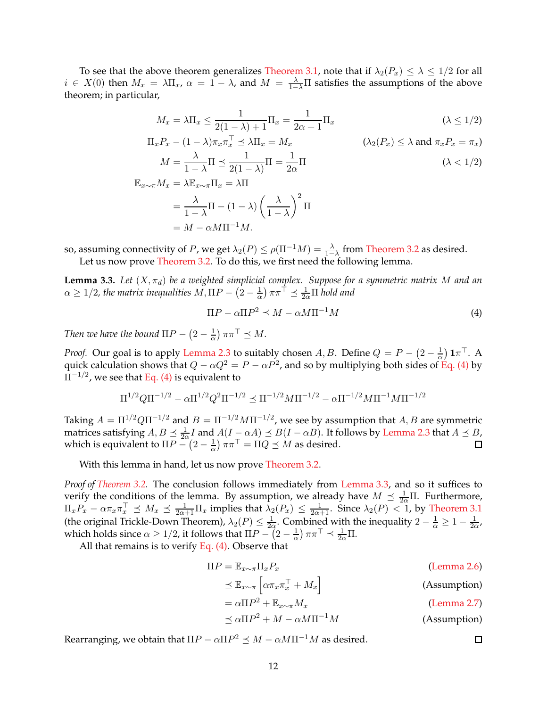To see that the above theorem generalizes [Theorem 3.1,](#page-9-2) note that if  $\lambda_2(P_x) \leq \lambda \leq 1/2$  for all  $i \in X(0)$  then  $M_x = \lambda \Pi_x$ ,  $\alpha = 1 - \lambda$ , and  $M = \frac{\lambda}{1 - \lambda} \Pi$  satisfies the assumptions of the above theorem; in particular,

$$
M_x = \lambda \Pi_x \le \frac{1}{2(1-\lambda)+1} \Pi_x = \frac{1}{2\alpha+1} \Pi_x
$$
  
\n
$$
( \lambda \le 1/2 )
$$
  
\n
$$
P_{-} (1-\lambda) \pi \pi^{\top} \le \lambda \Pi_{-} M
$$
  
\n
$$
( \lambda_0(P) \le \lambda \text{ and } \pi \in P_{-} \pi )
$$

$$
\Pi_x P_x - (1 - \lambda)\pi_x \pi_x^{\perp} \le \lambda \Pi_x = M_x \qquad (\lambda_2(P_x) \le \lambda \text{ and } \pi_x P_x = \pi_x)
$$
  

$$
M = \frac{\lambda}{1 - \lambda} \Pi \le \frac{1}{2(1 - \lambda)} \Pi = \frac{1}{2\alpha} \Pi \qquad (\lambda < 1/2)
$$
  

$$
\mathbb{E}_{T \sim \pi} M_x = \lambda \mathbb{E}_{T \sim \pi} \Pi_x = \lambda \Pi
$$

$$
= \frac{\lambda}{1-\lambda}\Pi - (1-\lambda)\left(\frac{\lambda}{1-\lambda}\right)^2\Pi
$$

$$
= M - \alpha M\Pi^{-1}M.
$$

<span id="page-11-1"></span>so, assuming connectivity of P, we get  $\lambda_2(P) \le \rho(\Pi^{-1}M) = \frac{\lambda}{1-\lambda}$  from [Theorem 3.2](#page-10-0) as desired. Let us now prove [Theorem 3.2.](#page-10-0) To do this, we first need the following lemma.

**Lemma 3.3.** Let  $(X, \pi_d)$  be a weighted simplicial complex. Suppose for a symmetric matrix M and an  $\alpha \geq 1/2$ , the matrix inequalities  $M, \Pi P - (2 - \frac{1}{\alpha}) \pi \pi^{\dagger} \preceq \frac{1}{2\alpha} \Pi$  hold and

<span id="page-11-0"></span>
$$
\Pi P - \alpha \Pi P^2 \preceq M - \alpha M \Pi^{-1} M \tag{4}
$$

*Then we have the bound*  $\Pi P - \left(2 - \frac{1}{\alpha}\right) \pi \pi^{\top} \preceq M$ .

*Proof.* Our goal is to apply [Lemma 2.3](#page-5-1) to suitably chosen A, B. Define  $Q = P - \left(2 - \frac{1}{\alpha}\right)$  $\frac{1}{\alpha}$ )  $1\pi^{\top}$ . A quick calculation shows that  $Q - \alpha Q^2 = P - \alpha P^2$ , and so by multiplying both sides of [Eq. \(4\)](#page-11-0) by  $\Pi^{-1/2}$ , we see that [Eq. \(4\)](#page-11-0) is equivalent to

$$
\Pi^{1/2}Q\Pi^{-1/2} - \alpha\Pi^{1/2}Q^2\Pi^{-1/2} \preceq \Pi^{-1/2}M\Pi^{-1/2} - \alpha\Pi^{-1/2}M\Pi^{-1}M\Pi^{-1/2}
$$

Taking  $A = \Pi^{1/2} Q \Pi^{-1/2}$  and  $B = \Pi^{-1/2} M \Pi^{-1/2}$ , we see by assumption that  $A, B$  are symmetric matrices satisfying  $A, B \leq \frac{1}{2\alpha} I$  and  $A(I - \alpha A) \leq B(I - \alpha B)$ . It follows by [Lemma 2.3](#page-5-1) that  $A \leq B$ , which is equivalent to  $\Pi P - (2 - \frac{1}{\alpha})$  $\frac{1}{\alpha}$ )  $\pi\pi^{\top} = \Pi Q \preceq M$  as desired.

With this lemma in hand, let us now prove [Theorem 3.2.](#page-10-0)

*Proof of [Theorem 3.2.](#page-10-0)* The conclusion follows immediately from [Lemma 3.3,](#page-11-1) and so it suffices to verify the conditions of the lemma. By assumption, we already have  $M \leq \frac{1}{2\alpha}\Pi$ . Furthermore,  $\Pi_x P_x - \alpha \pi_x \pi_x^{\top} \preceq M_x \preceq \frac{1}{2\alpha+1} \Pi_x$  implies that  $\lambda_2(P_x) \leq \frac{1}{2\alpha+1}$ . Since  $\lambda_2(P) < 1$ , by [Theorem 3.1](#page-9-2) (the original Trickle-Down Theorem),  $\lambda_2(P) \leq \frac{1}{2c}$  $\frac{1}{2\alpha}$ . Combined with the inequality  $2 - \frac{1}{\alpha} \geq 1 - \frac{1}{2\alpha}$  $\frac{1}{2\alpha}$ which holds since  $\alpha \geq 1/2$ , it follows that  $\Pi P - \left(2 - \frac{1}{\alpha}\right)$  $\frac{1}{\alpha}$ )  $\pi \pi^{\top} \preceq \frac{1}{2\alpha} \Pi$ .

All that remains is to verify [Eq. \(4\).](#page-11-0) Observe that

$$
\Pi P = \mathbb{E}_{x \sim \pi} \Pi_x P_x \tag{Lemma 2.6}
$$

$$
\preceq \mathbb{E}_{x \sim \pi} \left[ \alpha \pi_x \pi_x^{\top} + M_x \right] \tag{Assumption}
$$

$$
= \alpha \Pi P^2 + \mathbb{E}_{x \sim \pi} M_x \tag{Lemma 2.7}
$$

$$
\preceq \alpha \Pi P^2 + M - \alpha M \Pi^{-1} M \tag{Assumption}
$$

Rearranging, we obtain that  $\Pi P - \alpha \Pi P^2 \preceq M - \alpha M \Pi^{-1} M$  as desired.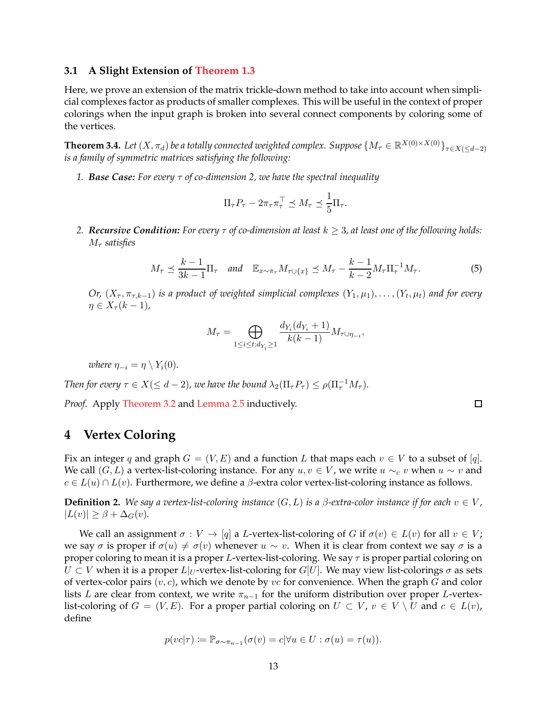### **3.1 A Slight Extension of [Theorem 1.3](#page-3-1)**

Here, we prove an extension of the matrix trickle-down method to take into account when simplicial complexes factor as products of smaller complexes. This will be useful in the context of proper colorings when the input graph is broken into several connect components by coloring some of the vertices.

<span id="page-12-0"></span>**Theorem 3.4.** *Let*  $(X, \pi_d)$  *be a totally connected weighted complex. Suppose*  $\{M_\tau \in \mathbb{R}^{X(0) \times X(0)}\}_{\tau \in X(\leq d-2)}$ *is a family of symmetric matrices satisfying the following:*

*1. Base Case: For every* τ *of co-dimension 2, we have the spectral inequality*

<span id="page-12-1"></span>
$$
\Pi_{\tau} P_{\tau} - 2\pi_{\tau} \pi_{\tau}^{\top} \preceq M_{\tau} \preceq \frac{1}{5} \Pi_{\tau}.
$$

*2. Recursive Condition:* For every  $\tau$  of co-dimension at least  $k \geq 3$ , at least one of the following holds:  $M<sub>\tau</sub>$  *satisfies* 

$$
M_{\tau} \preceq \frac{k-1}{3k-1} \Pi_{\tau}
$$
 and  $\mathbb{E}_{x \sim \pi_{\tau}} M_{\tau \cup \{x\}} \preceq M_{\tau} - \frac{k-1}{k-2} M_{\tau} \Pi_{\tau}^{-1} M_{\tau}.$  (5)

*Or,*  $(X_{\tau}, \pi_{\tau,k-1})$  is a product of weighted simplicial complexes  $(Y_1, \mu_1), \ldots, (Y_t, \mu_t)$  and for every  $\eta \in X_\tau(k-1)$ ,

$$
M_{\tau} = \bigoplus_{1 \leq i \leq t: d_{Y_i} \geq 1} \frac{d_{Y_i}(d_{Y_i} + 1)}{k(k-1)} M_{\tau \cup \eta_{-i}},
$$

*where*  $\eta_{-i} = \eta \setminus Y_i(0)$ *.* 

*Then for every*  $\tau \in X (\leq d-2)$ , we have the bound  $\lambda_2(\Pi_\tau P_\tau) \leq \rho(\Pi_\tau^{-1} M_\tau)$ .

*Proof.* Apply [Theorem 3.2](#page-10-0) and [Lemma 2.5](#page-7-0) inductively.

## <span id="page-12-2"></span>**4 Vertex Coloring**

Fix an integer q and graph  $G = (V, E)$  and a function L that maps each  $v \in V$  to a subset of [q]. We call  $(G, L)$  a vertex-list-coloring instance. For any  $u, v \in V$ , we write  $u \sim_c v$  when  $u \sim v$  and  $c \in L(u) \cap L(v)$ . Furthermore, we define a  $\beta$ -extra color vertex-list-coloring instance as follows.

**Definition 2.** We say a vertex-list-coloring instance  $(G, L)$  is a  $\beta$ -extra-color instance if for each  $v \in V$ ,  $|L(v)| \geq \beta + \Delta_G(v)$ .

We call an assignment  $\sigma: V \to [q]$  a L-vertex-list-coloring of G if  $\sigma(v) \in L(v)$  for all  $v \in V$ ; we say  $\sigma$  is proper if  $\sigma(u) \neq \sigma(v)$  whenever  $u \sim v$ . When it is clear from context we say  $\sigma$  is a proper coloring to mean it is a proper L-vertex-list-coloring. We say  $\tau$  is proper partial coloring on  $U \subset V$  when it is a proper  $L|_U$ -vertex-list-coloring for  $G[U]$ . We may view list-colorings  $\sigma$  as sets of vertex-color pairs  $(v, c)$ , which we denote by vc for convenience. When the graph G and color lists L are clear from context, we write  $\pi_{n-1}$  for the uniform distribution over proper L-vertexlist-coloring of  $G = (V, E)$ . For a proper partial coloring on  $U \subset V$ ,  $v \in V \setminus U$  and  $c \in L(v)$ , define

$$
p(vc|\tau) := \mathbb{P}_{\sigma \sim \pi_{n-1}}(\sigma(v) = c|\forall u \in U : \sigma(u) = \tau(u)).
$$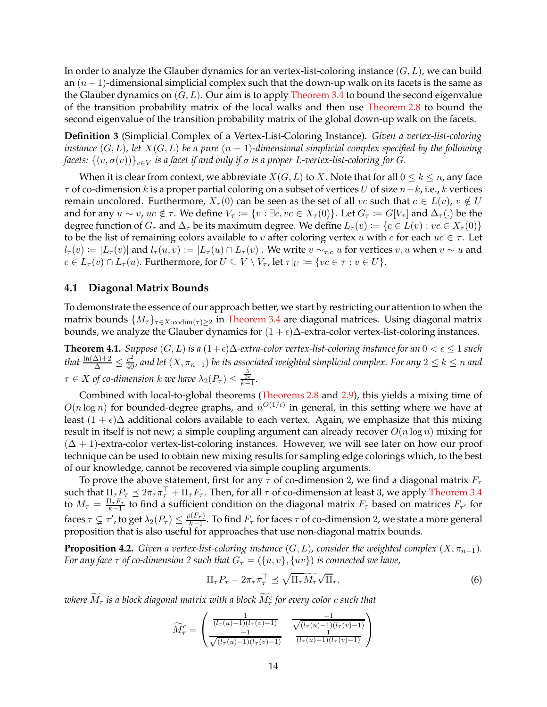In order to analyze the Glauber dynamics for an vertex-list-coloring instance  $(G, L)$ , we can build an  $(n - 1)$ -dimensional simplicial complex such that the down-up walk on its facets is the same as the Glauber dynamics on  $(G, L)$ . Our aim is to apply [Theorem 3.4](#page-12-0) to bound the second eigenvalue of the transition probability matrix of the local walks and then use [Theorem 2.8](#page-9-0) to bound the second eigenvalue of the transition probability matrix of the global down-up walk on the facets.

**Definition 3** (Simplicial Complex of a Vertex-List-Coloring Instance)**.** *Given a vertex-list-coloring instance*  $(G, L)$ *, let*  $X(G, L)$  *be a pure*  $(n - 1)$ *-dimensional simplicial complex specified by the following facets:*  $\{(v, \sigma(v))\}_{v \in V}$  *is a facet if and only if*  $\sigma$  *is a proper* L-vertex-list-coloring for G.

When it is clear from context, we abbreviate  $X(G, L)$  to X. Note that for all  $0 \leq k \leq n$ , any face  $\tau$  of co-dimension k is a proper partial coloring on a subset of vertices U of size  $n-k$ , i.e., k vertices remain uncolored. Furthermore,  $X_{\tau}(0)$  can be seen as the set of all vc such that  $c \in L(v)$ ,  $v \notin U$ and for any  $u \sim v$ ,  $uc \notin \tau$ . We define  $V_{\tau} := \{v : \exists c, vc \in X_{\tau}(0)\}$ . Let  $G_{\tau} := G[V_{\tau}]$  and  $\Delta_{\tau}(.)$  be the degree function of  $G_{\tau}$  and  $\Delta_{\tau}$  be its maximum degree. We define  $L_{\tau}(v) := \{c \in L(v) : v \in X_{\tau}(0)\}\$ to be the list of remaining colors available to v after coloring vertex u with c for each  $uc \in \tau$ . Let  $l_{\tau}(v) := |L_{\tau}(v)|$  and  $l_{\tau}(u, v) := |L_{\tau}(u) \cap L_{\tau}(v)|$ . We write  $v \sim_{\tau, c} u$  for vertices  $v, u$  when  $v \sim u$  and  $c \in L_{\tau}(v) \cap L_{\tau}(u)$ . Furthermore, for  $U \subseteq V \setminus V_{\tau}$ , let  $\tau|_{U} := \{vc \in \tau : v \in U\}$ .

### **4.1 Diagonal Matrix Bounds**

To demonstrate the essence of our approach better, we start by restricting our attention to when the matrix bounds  $\{M_{\tau}\}_{\tau \in X: \text{codim}(\tau) \geq 2}$  in [Theorem 3.4](#page-12-0) are diagonal matrices. Using diagonal matrix bounds, we analyze the Glauber dynamics for  $(1 + \epsilon)\Delta$ -extra-color vertex-list-coloring instances.

<span id="page-13-2"></span>**Theorem 4.1.** *Suppose*  $(G, L)$  *is a*  $(1 + \epsilon)\Delta$ *-extra-color vertex-list-coloring instance for an*  $0 < \epsilon \leq 1$  *such* that  $\frac{\ln(\Delta)+2}{\Delta}\leq\frac{\epsilon^2}{40}$ , and let  $(X,\pi_{n-1})$  be its associated weighted simplicial complex. For any  $2\leq k\leq n$  and  $\tau \in X$  of co-dimension  $k$  we have  $\lambda_2(P_\tau) \leq \frac{\frac{5}{2\epsilon}}{k-1}$ .

Combined with local-to-global theorems [\(Theorems 2.8](#page-9-0) and [2.9\)](#page-9-3), this yields a mixing time of  $O(n \log n)$  for bounded-degree graphs, and  $n^{O(1/\epsilon)}$  in general, in this setting where we have at least  $(1 + \epsilon)\Delta$  additional colors available to each vertex. Again, we emphasize that this mixing result in itself is not new; a simple coupling argument can already recover  $O(n \log n)$  mixing for  $(\Delta + 1)$ -extra-color vertex-list-coloring instances. However, we will see later on how our proof technique can be used to obtain new mixing results for sampling edge colorings which, to the best of our knowledge, cannot be recovered via simple coupling arguments.

To prove the above statement, first for any  $\tau$  of co-dimension 2, we find a diagonal matrix  $F_{\tau}$ such that  $\Pi_{\tau}P_{\tau} \preceq 2\pi_{\tau}\pi_{\tau}^{\perp} + \Pi_{\tau}F_{\tau}$ . Then, for all  $\tau$  of co-dimension at least 3, we apply [Theorem 3.4](#page-12-0) to  $M_{\tau} = \frac{\Pi_{\tau} F_{\tau}}{k-1}$  $\frac{1+\mu_{\tau}}{k-1}$  to find a sufficient condition on the diagonal matrix  $F_{\tau}$  based on matrices  $F_{\tau'}$  for faces  $\tau \subsetneq \tau'$ , to get  $\lambda_2(P_\tau) \leq \frac{\rho(F_\tau)}{k-1}$  $\frac{\lambda(F\tau)}{k-1}$ . To find  $F_{\tau}$  for faces  $\tau$  of co-dimension 2, we state a more general proposition that is also useful for approaches that use non-diagonal matrix bounds.

<span id="page-13-1"></span>**Proposition 4.2.** *Given a vertex-list-coloring instance*  $(G, L)$ *, consider the weighted complex*  $(X, \pi_{n-1})$ *. For any face*  $\tau$  *of co-dimension 2 such that*  $G_{\tau} = (\{u, v\}, \{uv\})$  *is connected we have,* 

<span id="page-13-0"></span>
$$
\Pi_{\tau} P_{\tau} - 2\pi_{\tau} \pi_{\tau}^{\top} \preceq \sqrt{\Pi_{\tau} M_{\tau}} \sqrt{\Pi_{\tau}}, \tag{6}
$$

where  $\bar{M}_\tau$  is a block diagonal matrix with a block  $\bar{M}_\tau^c$  for every color  $c$  such that

$$
\widetilde{M}_{\tau}^{c} = \begin{pmatrix} \frac{1}{(l_{\tau}(u)-1)(l_{\tau}(v)-1)} & \frac{-1}{\sqrt{(l_{\tau}(u)-1)(l_{\tau}(v)-1)}}\\ \frac{-1}{\sqrt{(l_{\tau}(u)-1)(l_{\tau}(v)-1)}} & \frac{1}{(l_{\tau}(u)-1)(l_{\tau}(v)-1)} \end{pmatrix}
$$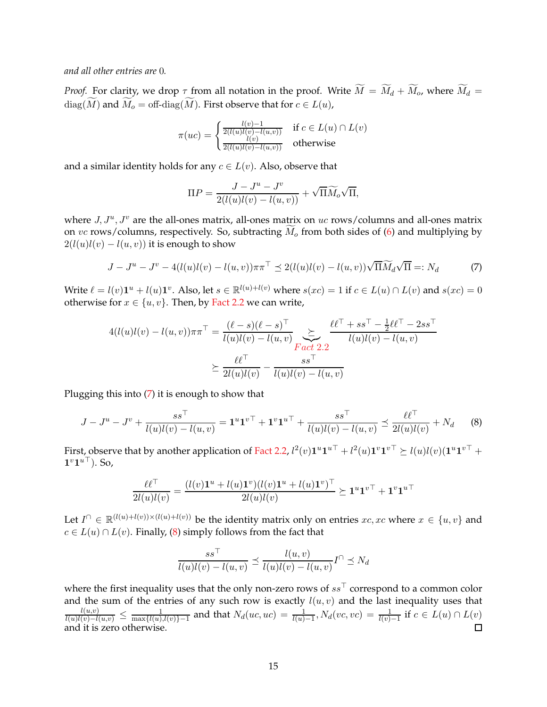*and all other entries are* 0*.*

*Proof.* For clarity, we drop  $\tau$  from all notation in the proof. Write  $\widetilde{M} = \widetilde{M}_d + \widetilde{M}_o$ , where  $\widetilde{M}_d =$  $diag(\widetilde{M})$  and  $\widetilde{M}_o = \text{off-diag}(\widetilde{M})$ . First observe that for  $c \in L(u)$ ,

$$
\pi(uc) = \begin{cases} \frac{l(v)-1}{2(l(u)l(v)-l(u,v))} & \text{if } c \in L(u) \cap L(v) \\ \frac{l(v)}{2(l(u)l(v)-l(u,v))} & \text{otherwise} \end{cases}
$$

and a similar identity holds for any  $c \in L(v)$ . Also, observe that

<span id="page-14-0"></span>
$$
\Pi P = \frac{J - J^u - J^v}{2(l(u)l(v) - l(u, v))} + \sqrt{\Pi} \widetilde{M}_o \sqrt{\Pi},
$$

where  $J, J^u, J^v$  are the all-ones matrix, all-ones matrix on uc rows/columns and all-ones matrix on vc rows/columns, respectively. So, subtracting  $\widetilde{M}_o$  from both sides of [\(6\)](#page-13-0) and multiplying by  $2(l(u)l(v) - l(u, v))$  it is enough to show

$$
J - Ju - Jv - 4(l(u)l(v) - l(u, v))\pi\pi^{\top} \preceq 2(l(u)l(v) - l(u, v))\sqrt{\Pi}\widetilde{M}_d\sqrt{\Pi} =: N_d
$$
 (7)

Write  $\ell = l(v)\mathbf{1}^u + l(u)\mathbf{1}^v$ . Also, let  $s \in \mathbb{R}^{l(u)+l(v)}$  where  $s(xc) = 1$  if  $c \in L(u) \cap L(v)$  and  $s(xc) = 0$ otherwise for  $x \in \{u, v\}$ . Then, by [Fact 2.2](#page-5-2) we can write,

$$
4(l(u)l(v) - l(u,v))\pi\pi^{\top} = \frac{(\ell - s)(\ell - s)^{\top}}{l(u)l(v) - l(u,v)} \sum_{\substack{F \text{act } 2.2}} \frac{\ell \ell^{\top} + ss^{\top} - \frac{1}{2}\ell \ell^{\top} - 2ss^{\top}}{l(u)l(v) - l(u,v)}
$$

$$
\geq \frac{\ell \ell^{\top}}{2l(u)l(v)} - \frac{ss^{\top}}{l(u)l(v) - l(u,v)}
$$

Plugging this into [\(7\)](#page-14-0) it is enough to show that

$$
J - J^u - J^v + \frac{ss^\top}{l(u)l(v) - l(u,v)} = \mathbf{1}^u \mathbf{1}^{v\top} + \mathbf{1}^v \mathbf{1}^{u\top} + \frac{ss^\top}{l(u)l(v) - l(u,v)} \preceq \frac{\ell \ell^\top}{2l(u)l(v)} + N_d \tag{8}
$$

First, observe that by another application of [Fact 2.2,](#page-5-2)  $l^2(v) \mathbf{1}^u \mathbf{1}^{u\top} + l^2(u) \mathbf{1}^v \mathbf{1}^{v\top} \succeq l(u)l(v)(\mathbf{1}^u \mathbf{1}^{v\top} + \mathbf{1}^u \mathbf{1}^u)$  $1^v1^{u\top}$ ). So,

$$
\frac{\ell\ell^\top}{2l(u)l(v)} = \frac{(l(v)\mathbf{1}^u + l(u)\mathbf{1}^v)(l(v)\mathbf{1}^u + l(u)\mathbf{1}^v)^\top}{2l(u)l(v)} \succeq \mathbf{1}^u \mathbf{1}^{v\top} + \mathbf{1}^v \mathbf{1}^{u\top}
$$

Let  $I^{\cap} \in \mathbb{R}^{(l(u)+l(v))\times(l(u)+l(v))}$  be the identity matrix only on entries  $xc, xc$  where  $x \in \{u, v\}$  and  $c \in L(u) \cap L(v)$ . Finally, [\(8\)](#page-14-1) simply follows from the fact that

<span id="page-14-1"></span>
$$
\frac{ss'}{l(u)l(v) - l(u,v)} \preceq \frac{l(u,v)}{l(u)l(v) - l(u,v)}I^{\cap} \preceq N_d
$$

where the first inequality uses that the only non-zero rows of  $ss<sup>T</sup>$  correspond to a common color and the sum of the entries of any such row is exactly  $l(u, v)$  and the last inequality uses that  $\frac{l(u,v)}{l(u)l(v)-l(u,v)}$  ≤  $\frac{1}{\max\{l(u),l(v)\}-1}$  and that  $N_d(uc,uc) = \frac{1}{l(u)-1}, N_d(vc,vc) = \frac{1}{l(v)-1}$  if  $c \in L(u) \cap L(v)$ and it is zero otherwise.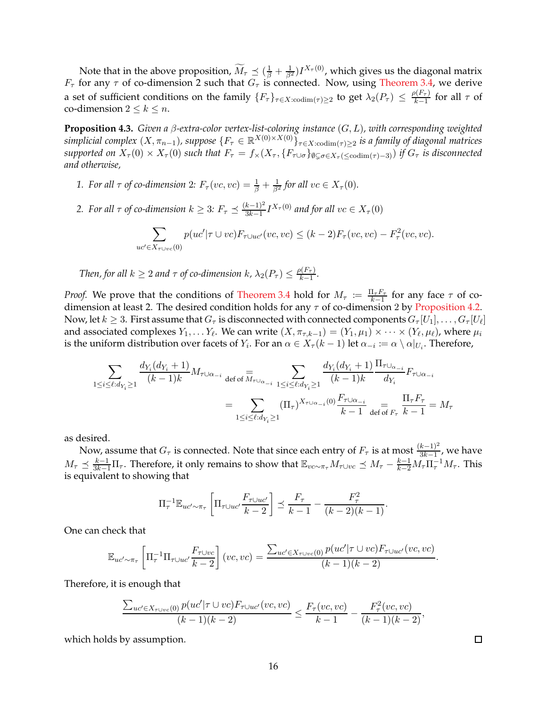Note that in the above proposition,  $\widetilde{M}_{\tau} \preceq (\frac{1}{\beta} + \frac{1}{\beta^2}) I^{X_{\tau}(0)}$ , which gives us the diagonal matrix  $F_{\tau}$  for any  $\tau$  of co-dimension 2 such that  $G_{\tau}$  is connected. Now, using [Theorem 3.4,](#page-12-0) we derive a set of sufficient conditions on the family  $\{F_\tau\}_{\tau \in X: \text{codim}(\tau) \geq 2}$  to get  $\lambda_2(P_\tau) \leq \frac{\rho(F_\tau)}{k-1}$  $\frac{\rho(r_{\tau})}{k-1}$  for all  $\tau$  of co-dimension  $2 \leq k \leq n$ .

<span id="page-15-0"></span>**Proposition 4.3.** *Given a* β*-extra-color vertex-list-coloring instance* (G, L)*, with corresponding weighted*  $simplified complex (X, \pi_{n-1}), suppose \{F_\tau \in \mathbb{R}^{X(0) \times X(0)}\}_{\tau \in X: \text{codim}(\tau) \geq 2}$  *is a family of diagonal matrices supported on*  $X_{\tau}(0) \times X_{\tau}(0)$  *such that*  $F_{\tau} = f_{\times}(X_{\tau}, \{F_{\tau \cup \sigma}\}_{\emptyset \subset \sigma \in X_{\tau}}(\{<sub>\tau \in \sigma \}^{\infty})</sub>$  *if*  $G_{\tau}$  *is disconnected and otherwise,*

- *1. For all*  $\tau$  *of co-dimension* 2:  $F_{\tau}(vc, vc) = \frac{1}{\beta} + \frac{1}{\beta^2}$  for all  $vc \in X_{\tau}(0)$ .
- *2.* For all  $\tau$  of co-dimension  $k \geq 3$ :  $F_{\tau} \preceq \frac{(k-1)^2}{3k-1}$  $\frac{k-1)^2}{3k-1} I^{X_\tau(0)}$  and for all  $vc \in X_\tau(0)$

$$
\sum_{uc'\in X_{\tau\cup vc}(0)} p(uc'|\tau \cup vc)F_{\tau\cup uc'}(vc, vc) \le (k-2)F_{\tau}(vc, vc) - F_{\tau}^2(vc, vc).
$$

*Then, for all*  $k \geq 2$  *and*  $\tau$  *of co-dimension*  $k$ ,  $\lambda_2(P_{\tau}) \leq \frac{\rho(F_{\tau})}{k-1}$  $\frac{n(r_{\tau})}{k-1}$ .

*Proof.* We prove that the conditions of [Theorem 3.4](#page-12-0) hold for  $M_{\tau} := \frac{\prod_{\tau} F_{\tau}}{k-1}$  $\frac{1\tau F\tau}{k-1}$  for any face  $\tau$  of codimension at least 2. The desired condition holds for any  $\tau$  of co-dimension 2 by [Proposition 4.2.](#page-13-1) Now, let  $k\geq 3$ . First assume that  $G_\tau$  is disconnected with connected components  $G_\tau[U_1],\ldots,G_\tau[U_\ell]$ and associated complexes  $Y_1, \ldots Y_\ell$ . We can write  $(X, \pi_{\tau,k-1}) = (Y_1, \mu_1) \times \cdots \times (Y_\ell, \mu_\ell)$ , where  $\mu_i$ is the uniform distribution over facets of  $Y_i$ . For an  $\alpha \in X_\tau (k-1)$  let  $\alpha_{-i} \coloneqq \alpha \setminus \alpha|_{U_i}$ . Therefore,

$$
\sum_{1 \le i \le \ell: d_{Y_i} \ge 1} \frac{d_{Y_i}(d_{Y_i} + 1)}{(k - 1)k} M_{\tau \cup \alpha_{-i}} \det_{\text{def of } \overline{M}_{\tau \cup \alpha_{-i}}} \sum_{1 \le i \le \ell: d_{Y_i} \ge 1} \frac{d_{Y_i}(d_{Y_i} + 1)}{(k - 1)k} \frac{\Pi_{\tau \cup \alpha_{-i}}}{d_{Y_i}} F_{\tau \cup \alpha_{-i}}
$$
\n
$$
= \sum_{1 \le i \le \ell: d_{Y_i} \ge 1} (\Pi_{\tau})^{X_{\tau \cup \alpha_{-i}}(0)} \frac{F_{\tau \cup \alpha_{-i}}}{k - 1} \det_{\text{def } \tau_{\tau}} \frac{\Pi_{\tau} F_{\tau}}{k - 1} = M_{\tau}
$$

as desired.

Now, assume that  $G_{\tau}$  is connected. Note that since each entry of  $F_{\tau}$  is at most  $\frac{(k-1)^2}{3k-1}$ , we have  $M_{\tau} \preceq \frac{k-1}{3k-1}\Pi_{\tau}$ . Therefore, it only remains to show that  $\mathbb{E}_{v c \sim \pi_{\tau}} M_{\tau \cup v c} \preceq M_{\tau} - \frac{k-1}{k-2}M_{\tau}\Pi_{\tau}^{-1}M_{\tau}$ . This is equivalent to showing that

$$
\Pi_{\tau}^{-1} \mathbb{E}_{uc' \sim \pi_{\tau}} \left[ \Pi_{\tau \cup uc'} \frac{F_{\tau \cup uc'}}{k-2} \right] \preceq \frac{F_{\tau}}{k-1} - \frac{F_{\tau}^2}{(k-2)(k-1)}.
$$

One can check that

$$
\mathbb{E}_{uc'\sim\pi_{\tau}}\left[\Pi_{\tau}^{-1}\Pi_{\tau\cup uc'}\frac{F_{\tau\cup vc}}{k-2}\right](vc, vc) = \frac{\sum_{uc'\in X_{\tau\cup vc}(0)}p(uc'|\tau\cup vc)F_{\tau\cup uc'}(vc, vc)}{(k-1)(k-2)}.
$$

Therefore, it is enough that

$$
\frac{\sum_{uc'\in X_{\tau\cup vc}(0)}p(uc'|\tau\cup vc)F_{\tau\cup uc'}(vc,vc)}{(k-1)(k-2)} \leq \frac{F_{\tau}(vc,vc)}{k-1} - \frac{F_{\tau}^2(vc,vc)}{(k-1)(k-2)},
$$

which holds by assumption.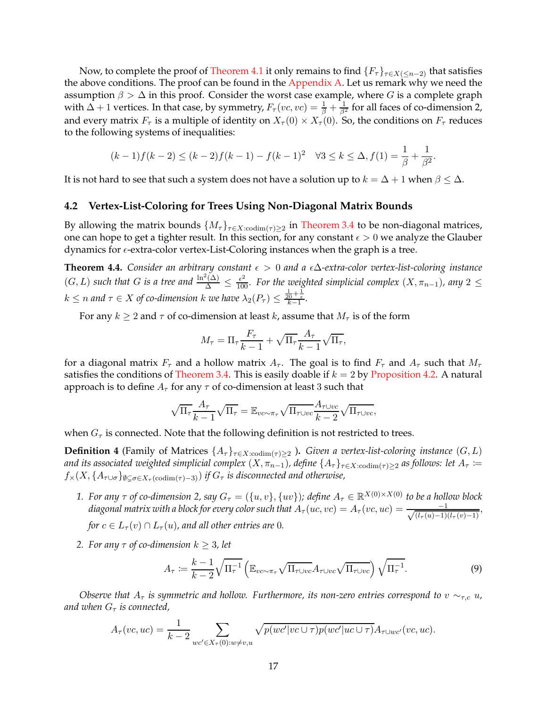Now, to complete the proof of [Theorem 4.1](#page-13-2) it only remains to find  $\{F_\tau\}_{\tau \in X(\leq n-2)}$  that satisfies the above conditions. The proof can be found in the [Appendix A.](#page-30-13) Let us remark why we need the assumption  $\beta > \Delta$  in this proof. Consider the worst case example, where G is a complete graph with  $\Delta+1$  vertices. In that case, by symmetry,  $F_\tau(vc,vc)=\frac{1}{\beta}+\frac{1}{\beta^2}$  for all faces of co-dimension 2, and every matrix  $F_{\tau}$  is a multiple of identity on  $X_{\tau}(0) \times X_{\tau}(0)$ . So, the conditions on  $F_{\tau}$  reduces to the following systems of inequalities:

$$
(k-1)f(k-2) \le (k-2)f(k-1) - f(k-1)^2 \quad \forall 3 \le k \le \Delta, f(1) = \frac{1}{\beta} + \frac{1}{\beta^2}.
$$

It is not hard to see that such a system does not have a solution up to  $k = \Delta + 1$  when  $\beta \leq \Delta$ .

#### **4.2 Vertex-List-Coloring for Trees Using Non-Diagonal Matrix Bounds**

By allowing the matrix bounds  $\{M_{\tau}\}_{\tau \in X: \text{codim}(\tau) \geq 2}$  in [Theorem 3.4](#page-12-0) to be non-diagonal matrices, one can hope to get a tighter result. In this section, for any constant  $\epsilon > 0$  we analyze the Glauber dynamics for  $\epsilon$ -extra-color vertex-List-Coloring instances when the graph is a tree.

<span id="page-16-2"></span>**Theorem 4.4.** *Consider an arbitrary constant*  $\epsilon > 0$  *and a*  $\epsilon \Delta$ *-extra-color vertex-list-coloring instance*  $(G, L)$  such that G is a tree and  $\frac{\ln^2(\Delta)}{\Delta} \leq \frac{\epsilon^2}{100}$ . For the weighted simplicial complex  $(X, \pi_{n-1})$ , any  $2 \leq$  $k \leq n$  and  $\tau \in X$  of co-dimension  $k$  we have  $\lambda_2(P_\tau) \leq \frac{\frac{1}{20} + \frac{1}{\epsilon}}{k-1}$ .

For any  $k \ge 2$  and  $\tau$  of co-dimension at least k, assume that  $M_{\tau}$  is of the form

$$
M_{\tau} = \Pi_{\tau} \frac{F_{\tau}}{k-1} + \sqrt{\Pi_{\tau}} \frac{A_{\tau}}{k-1} \sqrt{\Pi_{\tau}},
$$

for a diagonal matrix  $F_{\tau}$  and a hollow matrix  $A_{\tau}$ . The goal is to find  $F_{\tau}$  and  $A_{\tau}$  such that  $M_{\tau}$ satisfies the conditions of [Theorem 3.4.](#page-12-0) This is easily doable if  $k = 2$  by [Proposition 4.2.](#page-13-1) A natural approach is to define  $A_\tau$  for any  $\tau$  of co-dimension at least 3 such that

$$
\sqrt{\Pi_{\tau}} \frac{A_{\tau}}{k-1} \sqrt{\Pi_{\tau}} = \mathbb{E}_{vc \sim \pi_{\tau}} \sqrt{\Pi_{\tau \cup vc}} \frac{A_{\tau \cup vc}}{k-2} \sqrt{\Pi_{\tau \cup vc}},
$$

<span id="page-16-0"></span>when  $G_{\tau}$  is connected. Note that the following definition is not restricted to trees.

**Definition 4** (Family of Matrices  $\{A_\tau\}_{\tau \in X: \text{codim}(\tau) \geq 2}$ ). *Given a vertex-list-coloring instance*  $(G, L)$ *and its associated weighted simplicial complex*  $(X, \pi_{n-1})$ , define  $\{A_\tau\}_{\tau \in X: \text{codim}(\tau) \geq 2}$  *as follows: let*  $A_\tau \coloneqq$  $f_{\times}(X, \{A_{\tau \cup \sigma}\}_{\emptyset \subset \sigma \in X_{\tau}(\text{codim}(\tau)-3)})$  *if*  $G_{\tau}$  *is disconnected and otherwise*,

- *1. For any*  $\tau$  *of co-dimension 2, say*  $G_{\tau} = (\{u, v\}, \{uv\})$ ; define  $A_{\tau} \in \mathbb{R}^{X(0) \times X(0)}$  to be a hollow block diagonal matrix with a block for every color such that  $A_\tau (uc,vc) = A_\tau (vc,uc) = \frac{-1}{\sqrt{(l_\tau(u)-1)(l_\tau(v)-1)}},$ *for*  $c \in L_{\tau}(v) \cap L_{\tau}(u)$ *, and all other entries are 0.*
- *2. For any*  $\tau$  *of co-dimension*  $k \geq 3$ *, let*

<span id="page-16-1"></span>
$$
A_{\tau} := \frac{k-1}{k-2} \sqrt{\Pi_{\tau}^{-1}} \left( \mathbb{E}_{vc \sim \pi_{\tau}} \sqrt{\Pi_{\tau \cup vc}} A_{\tau \cup vc} \sqrt{\Pi_{\tau \cup vc}} \right) \sqrt{\Pi_{\tau}^{-1}}.
$$
 (9)

*Observe that*  $A_{\tau}$  *is symmetric and hollow. Furthermore, its non-zero entries correspond to*  $v \sim_{\tau.c} u$ , *and when*  $G_{\tau}$  *is connected,* 

$$
A_{\tau}(vc,uc)=\frac{1}{k-2}\sum_{wc'\in X_{\tau}(0):w\neq v,u}\sqrt{p(wc'|vc\cup\tau)p(wc'|uc\cup\tau)}A_{\tau\cup wc'}(vc,uc).
$$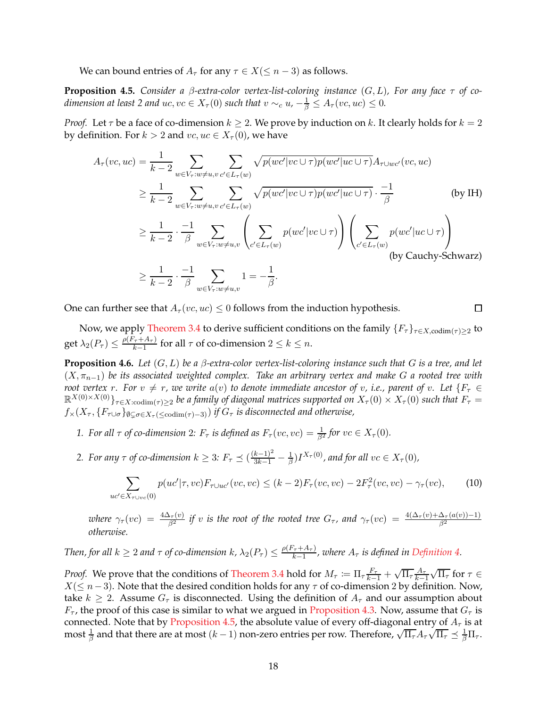<span id="page-17-0"></span>We can bound entries of  $A_\tau$  for any  $\tau \in X(\leq n-3)$  as follows.

**Proposition 4.5.** *Consider a* β*-extra-color vertex-list-coloring instance* (G, L)*, For any face* τ *of codimension at least 2 and uc,*  $vc \in X_\tau(0)$  *such that*  $v \sim_c u$ ,  $-\frac{1}{\beta} \leq A_\tau (vc, uc) \leq 0$ .

*Proof.* Let  $\tau$  be a face of co-dimension  $k \geq 2$ . We prove by induction on  $k$ . It clearly holds for  $k = 2$ by definition. For  $k > 2$  and  $vc, uc \in X_\tau(0)$ , we have

$$
A_{\tau}(vc,uc) = \frac{1}{k-2} \sum_{w \in V_{\tau}:w \neq u,v} \sum_{c' \in L_{\tau}(w)} \sqrt{p(wc'|vc \cup \tau)p(wc'|uc \cup \tau)} A_{\tau \cup wc'}(vc,uc)
$$
  
\n
$$
\geq \frac{1}{k-2} \sum_{w \in V_{\tau}:w \neq u,v} \sum_{c' \in L_{\tau}(w)} \sqrt{p(wc'|vc \cup \tau)p(wc'|uc \cup \tau)} \cdot \frac{-1}{\beta}
$$
 (by IH)  
\n
$$
\geq \frac{1}{k-2} \cdot \frac{-1}{\beta} \sum_{w \in V_{\tau}:w \neq u,v} \left( \sum_{c' \in L_{\tau}(w)} p(wc'|vc \cup \tau) \right) \left( \sum_{c' \in L_{\tau}(w)} p(wc'|uc \cup \tau) \right)
$$
  
\n
$$
\geq \frac{1}{k-2} \cdot \frac{-1}{\beta} \sum_{w \in V_{\tau}:w \neq u,v} 1 = -\frac{1}{\beta}.
$$
 (by Cauchy-Schwarz)

<span id="page-17-1"></span> $\Box$ 

One can further see that  $A_{\tau}(vc,uc) \leq 0$  follows from the induction hypothesis.

<span id="page-17-2"></span>Now, we apply [Theorem 3.4](#page-12-0) to derive sufficient conditions on the family  $\{F_\tau\}_{\tau \in X, \text{codim}(\tau) \geq 2}$  to get  $\lambda_2(P_\tau) \leq \frac{\rho(F_\tau + A_\tau)}{k-1}$  $\frac{\tau + A_{\tau}}{k-1}$  for all  $\tau$  of co-dimension  $2 \leq k \leq n$ .

**Proposition 4.6.** Let  $(G, L)$  be a  $\beta$ -extra-color vertex-list-coloring instance such that  $G$  is a tree, and let (X, πn−1) *be its associated weighted complex. Take an arbitrary vertex and make* G *a rooted tree with root vertex* r. For  $v \neq r$ , we write  $a(v)$  to denote immediate ancestor of v, i.e., parent of v. Let  $\{F_\tau \in$  $\mathbb{R}^{X(0)\times X(0)}\}_{\tau\in X: {\rm codim}(\tau)\geq 2}$  *be a family of diagonal matrices supported on*  $X_{\tau}(0)\times X_{\tau}(0)$  *such that*  $F_{\tau} =$  $f_*(X_\tau, \{F_{\tau \cup \sigma}\}_{\emptyset \subset \sigma \in X_\tau \left(\text{&} \text{codim}(\tau) - 3\right)}\text{ if }G_\tau \text{ is disconnected and otherwise,}$ 

- *1. For all*  $\tau$  *of co-dimension* 2*:*  $F_{\tau}$  *is defined as*  $F_{\tau}(vc, vc) = \frac{1}{\beta^2}$  *for*  $vc \in X_{\tau}(0)$ *.*
- 2. For any  $\tau$  of co-dimension  $k \geq 3$ :  $F_{\tau} \preceq (\frac{(k-1)^2}{3k-1} \frac{1}{\beta})$  $\frac{1}{\beta}$ )I<sup>X<sub>τ</sub>(0)</sup>, and for all  $vc \in X_\tau(0)$ ,

$$
\sum_{uc' \in X_{\tau \cup vc}(0)} p(uc' | \tau, vc) F_{\tau \cup uc'}(vc, vc) \le (k-2) F_{\tau}(vc, vc) - 2F_{\tau}^2(vc, vc) - \gamma_{\tau}(vc), \tag{10}
$$

*where*  $\gamma_\tau(vc) = \frac{4\Delta_\tau(v)}{\beta^2}$  *if* v *is the root of the rooted tree*  $G_\tau$ *, and*  $\gamma_\tau(vc) = \frac{4(\Delta_\tau(v)+\Delta_\tau(a(v))-1)}{\beta^2}$ *otherwise.*

#### *Then, for all*  $k \geq 2$  *and*  $\tau$  *of co-dimension*  $k$ ,  $\lambda_2(P_{\tau}) \leq \frac{\rho(F_{\tau} + A_{\tau})}{k-1}$  $\frac{f_{\tau} + A_{\tau}}{k-1}$ , where  $A_{\tau}$  is defined in [Definition 4.](#page-16-0)

*Proof.* We prove that the conditions of [Theorem 3.4](#page-12-0) hold for  $M_{\tau} := \prod_{\tau} \frac{F_{\tau}}{k-1} + \sqrt{\prod_{\tau}} \frac{A_{\tau}}{k-1}$  $\frac{k-1}{c}$  $\sqrt{\Pi_{\tau}}$  for  $\tau \in$  $X$ ( $≤$  n − 3). Note that the desired condition holds for any  $τ$  of co-dimension 2 by definition. Now, take  $k \geq 2$ . Assume  $G_{\tau}$  is disconnected. Using the definition of  $A_{\tau}$  and our assumption about  $F_{\tau}$ , the proof of this case is similar to what we argued in [Proposition 4.3.](#page-15-0) Now, assume that  $G_{\tau}$  is connected. Note that by [Proposition 4.5,](#page-17-0) the absolute value of every off-diagonal entry of  $A_\tau$  is at most  $\frac{1}{\beta}$  and that there are at most  $(k-1)$  non-zero entries per row. Therefore,  $\sqrt{\Pi_{\tau}}A_{\tau}\sqrt{\Pi_{\tau}} \preceq \frac{1}{\beta}\Pi_{\tau}$ .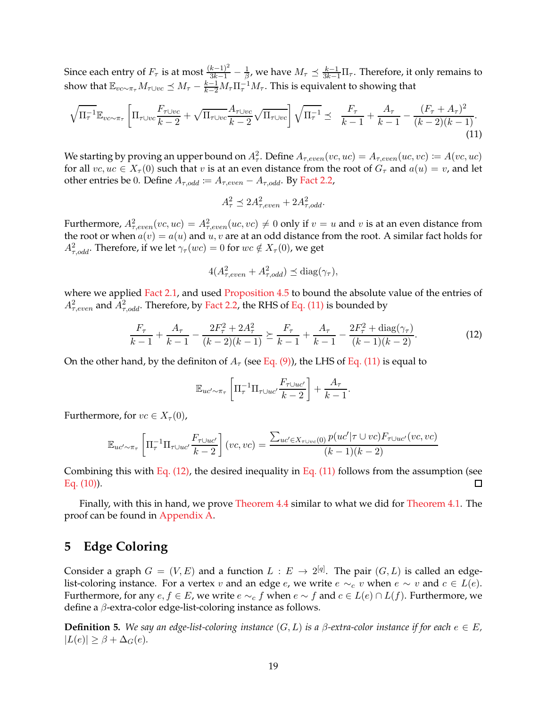Since each entry of  $F_\tau$  is at most  $\frac{(k-1)^2}{3k-1} - \frac{1}{\beta}$ , we have  $M_\tau \preceq \frac{k-1}{3k-1}\Pi_\tau$ . Therefore, it only remains to show that  $\mathbb{E}_{vc\sim\pi_\tau}M_{\tau\cup vc}\preceq M_\tau-\frac{k-1}{k-2}M_\tau\Pi_\tau^{-1}M_\tau.$  This is equivalent to showing that

$$
\sqrt{\Pi_{\tau}^{-1}} \mathbb{E}_{v c \sim \pi_{\tau}} \left[ \Pi_{\tau \cup v c} \frac{F_{\tau \cup v c}}{k-2} + \sqrt{\Pi_{\tau \cup v c}} \frac{A_{\tau \cup v c}}{k-2} \sqrt{\Pi_{\tau \cup v c}} \right] \sqrt{\Pi_{\tau}^{-1}} \preceq \frac{F_{\tau}}{k-1} + \frac{A_{\tau}}{k-1} - \frac{(F_{\tau} + A_{\tau})^2}{(k-2)(k-1)}.
$$
\n(11)

We starting by proving an upper bound on  $A^2_\tau$ . Define  $A_{\tau,even}(vc,uc) = A_{\tau,even}(uc,vc) := A(vc,uc)$ for all  $vc, uc \in X_\tau(0)$  such that v is at an even distance from the root of  $G_\tau$  and  $a(u) = v$ , and let other entries be 0. Define  $A_{\tau,odd} := A_{\tau,even} - A_{\tau,odd}$ . By [Fact 2.2,](#page-5-2)

<span id="page-18-0"></span>
$$
A_{\tau}^2 \preceq 2A_{\tau,even}^2 + 2A_{\tau,odd}^2.
$$

Furthermore,  $A^2_{\tau,even}(vc,uc) = A^2_{\tau,even}(uc,vc) \neq 0$  only if  $v = u$  and  $v$  is at an even distance from the root or when  $a(v) = a(u)$  and  $u, v$  are at an odd distance from the root. A similar fact holds for  $A^2_{\tau,odd}$ . Therefore, if we let  $\gamma_\tau(wc)=0$  for  $wc\notin X_\tau(0)$ , we get

<span id="page-18-1"></span>
$$
4(A_{\tau,even}^2 + A_{\tau,odd}^2) \preceq \text{diag}(\gamma_\tau),
$$

where we applied [Fact 2.1,](#page-5-3) and used [Proposition 4.5](#page-17-0) to bound the absolute value of the entries of  $A^2_{\tau,even}$  and  $A^2_{\tau,odd}$ . Therefore, by [Fact 2.2,](#page-5-2) the RHS of [Eq. \(11\)](#page-18-0) is bounded by

$$
\frac{F_{\tau}}{k-1} + \frac{A_{\tau}}{k-1} - \frac{2F_{\tau}^2 + 2A_{\tau}^2}{(k-2)(k-1)} \succeq \frac{F_{\tau}}{k-1} + \frac{A_{\tau}}{k-1} - \frac{2F_{\tau}^2 + \text{diag}(\gamma_{\tau})}{(k-1)(k-2)}.
$$
(12)

On the other hand, by the definiton of  $A_\tau$  (see [Eq. \(9\)\)](#page-16-1), the LHS of [Eq. \(11\)](#page-18-0) is equal to

$$
\mathbb{E}_{uc'\sim\pi_{\tau}}\left[\Pi_{\tau}^{-1}\Pi_{\tau\cup uc'}\frac{F_{\tau\cup uc'}}{k-2}\right]+\frac{A_{\tau}}{k-1}.
$$

Furthermore, for  $vc \in X_\tau(0)$ ,

$$
\mathbb{E}_{uc'\sim\pi_{\tau}}\left[\Pi_{\tau}^{-1}\Pi_{\tau\cup uc'}\frac{F_{\tau\cup uc'}}{k-2}\right](vc, vc) = \frac{\sum_{uc'\in X_{\tau\cup vc}(0)}p(uc'|\tau\cup vc)F_{\tau\cup uc'}(vc, vc)}{(k-1)(k-2)}
$$

Combining this with Eq.  $(12)$ , the desired inequality in Eq.  $(11)$  follows from the assumption (see [Eq. \(10\)\)](#page-17-1). П

Finally, with this in hand, we prove [Theorem 4.4](#page-16-2) similar to what we did for [Theorem 4.1.](#page-13-2) The proof can be found in [Appendix A.](#page-30-13)

# **5 Edge Coloring**

Consider a graph  $G = (V, E)$  and a function  $L : E \to 2^{[q]}$ . The pair  $(G, L)$  is called an edgelist-coloring instance. For a vertex v and an edge e, we write  $e \sim_c v$  when  $e \sim v$  and  $c \in L(e)$ . Furthermore, for any  $e, f \in E$ , we write  $e \sim_c f$  when  $e \sim f$  and  $c \in L(e) \cap L(f)$ . Furthermore, we define a β-extra-color edge-list-coloring instance as follows.

**Definition 5.** We say an edge-list-coloring instance  $(G, L)$  is a  $\beta$ -extra-color instance if for each  $e \in E$ ,  $|L(e)| \geq \beta + \Delta_G(e)$ .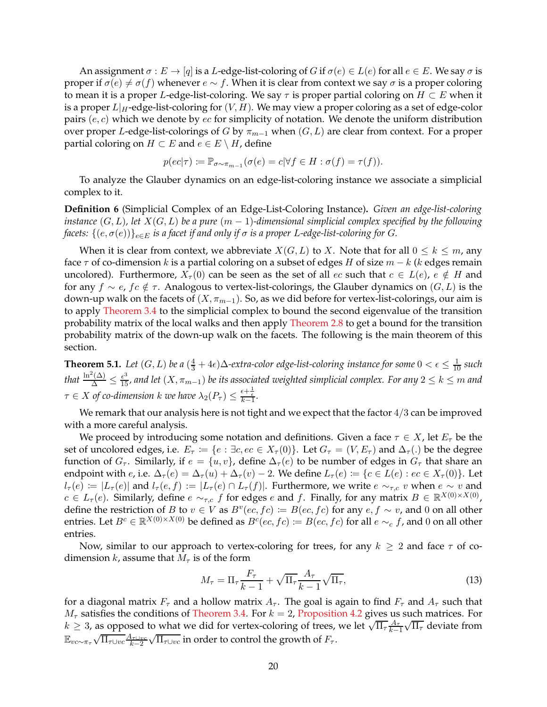An assignment  $\sigma: E \to [q]$  is a L-edge-list-coloring of G if  $\sigma(e) \in L(e)$  for all  $e \in E$ . We say  $\sigma$  is proper if  $σ(e) ≠ σ(f)$  whenever  $e ∼ f$ . When it is clear from context we say  $σ$  is a proper coloring to mean it is a proper L-edge-list-coloring. We say  $\tau$  is proper partial coloring on  $H \subset E$  when it is a proper  $L|_H$ -edge-list-coloring for  $(V, H)$ . We may view a proper coloring as a set of edge-color pairs  $(e, c)$  which we denote by  $ec$  for simplicity of notation. We denote the uniform distribution over proper L-edge-list-colorings of G by  $\pi_{m-1}$  when  $(G, L)$  are clear from context. For a proper partial coloring on  $H \subset E$  and  $e \in E \setminus H$ , define

$$
p(ec|\tau) := \mathbb{P}_{\sigma \sim \pi_{m-1}}(\sigma(e) = c|\forall f \in H : \sigma(f) = \tau(f)).
$$

To analyze the Glauber dynamics on an edge-list-coloring instance we associate a simplicial complex to it.

**Definition 6** (Simplicial Complex of an Edge-List-Coloring Instance)**.** *Given an edge-list-coloring instance*  $(G, L)$ *, let*  $X(G, L)$  *be a pure*  $(m - 1)$ *-dimensional simplicial complex specified by the following facets:*  $\{(e, \sigma(e))\}_{e \in E}$  *is a facet if and only if*  $\sigma$  *is a proper L-edge-list-coloring for G.* 

When it is clear from context, we abbreviate  $X(G, L)$  to X. Note that for all  $0 \leq k \leq m$ , any face  $\tau$  of co-dimension k is a partial coloring on a subset of edges H of size  $m - k$  (k edges remain uncolored). Furthermore,  $X_{\tau}(0)$  can be seen as the set of all ec such that  $c \in L(e)$ ,  $e \notin H$  and for any  $f \sim e$ ,  $f \in \mathcal{F}$ . Analogous to vertex-list-colorings, the Glauber dynamics on  $(G, L)$  is the down-up walk on the facets of  $(X, \pi_{m-1})$ . So, as we did before for vertex-list-colorings, our aim is to apply [Theorem 3.4](#page-12-0) to the simplicial complex to bound the second eigenvalue of the transition probability matrix of the local walks and then apply [Theorem 2.8](#page-9-0) to get a bound for the transition probability matrix of the down-up walk on the facets. The following is the main theorem of this section.

<span id="page-19-2"></span>**Theorem 5.1.** Let  $(G, L)$  be a  $(\frac{4}{3} + 4\epsilon)\Delta$ -extra-color edge-list-coloring instance for some  $0 < \epsilon \leq \frac{1}{10}$  such that  $\frac{\ln^2(\Delta)}{\Delta}\leq \frac{\epsilon^3}{15}$ , and let  $(X,\pi_{m-1})$  be its associated weighted simplicial complex. For any  $2\leq k\leq m$  and  $\tau \in X$  of co-dimension  $k$  we have  $\lambda_2(P_\tau) \leq \frac{\epsilon + \frac{1}{\epsilon}}{k-1}$ .

We remark that our analysis here is not tight and we expect that the factor 4/3 can be improved with a more careful analysis.

We proceed by introducing some notation and definitions. Given a face  $\tau \in X$ , let  $E_{\tau}$  be the set of uncolored edges, i.e.  $E_{\tau} := \{e : \exists c, ec \in X_{\tau}(0)\}$ . Let  $G_{\tau} = (V, E_{\tau})$  and  $\Delta_{\tau}(.)$  be the degree function of  $G_\tau$ . Similarly, if  $e = \{u, v\}$ , define  $\Delta_\tau(e)$  to be number of edges in  $G_\tau$  that share an endpoint with e, i.e.  $\Delta_{\tau}(e) = \Delta_{\tau}(u) + \Delta_{\tau}(v) - 2$ . We define  $L_{\tau}(e) := \{c \in L(e) : ec \in X_{\tau}(0)\}\)$ . Let  $l_{\tau}(e) := |L_{\tau}(e)|$  and  $l_{\tau}(e, f) := |L_{\tau}(e) \cap L_{\tau}(f)|$ . Furthermore, we write  $e \sim_{\tau,c} v$  when  $e \sim v$  and  $c \in L_{\tau}(e)$ . Similarly, define  $e \sim_{\tau,c} f$  for edges  $e$  and  $f$ . Finally, for any matrix  $B \in \mathbb{R}^{X(0)\times X(0)}$ , define the restriction of B to  $v \in V$  as  $B^v(ec, fc) := B(ec, fc)$  for any  $e, f \sim v$ , and 0 on all other entries. Let  $B^c \in \mathbb{R}^{X(0)\times X(0)}$  be defined as  $B^c(ec, fc) \coloneqq B(ec, fc)$  for all  $e \sim_c f$ , and 0 on all other entries.

Now, similar to our approach to vertex-coloring for trees, for any  $k \geq 2$  and face  $\tau$  of codimension  $k$ , assume that  $M_{\tau}$  is of the form

<span id="page-19-0"></span>
$$
M_{\tau} = \Pi_{\tau} \frac{F_{\tau}}{k - 1} + \sqrt{\Pi_{\tau}} \frac{A_{\tau}}{k - 1} \sqrt{\Pi_{\tau}},
$$
\n(13)

<span id="page-19-1"></span>for a diagonal matrix  $F_{\tau}$  and a hollow matrix  $A_{\tau}$ . The goal is again to find  $F_{\tau}$  and  $A_{\tau}$  such that  $M_{\tau}$  satisfies the conditions of [Theorem 3.4.](#page-12-0) For  $k = 2$ , [Proposition 4.2](#page-13-1) gives us such matrices. For  $k \geq 3$ , as opposed to what we did for vertex-coloring of trees, we let  $\sqrt{\Pi_{\tau}} \frac{A_{\tau}}{k-1}$  $k-1$  $\sqrt{\Pi_{\tau}}$  deviate from  $\mathbb{E}_{vc\sim\pi_{\tau}}\sqrt{\Pi_{\tau}\cup v c}\frac{A_{\tau\cup v c}}{k-2}$  $k-2$  $\sqrt{\Pi_{\tau\cup vc}}$  in order to control the growth of  $F_\tau$ .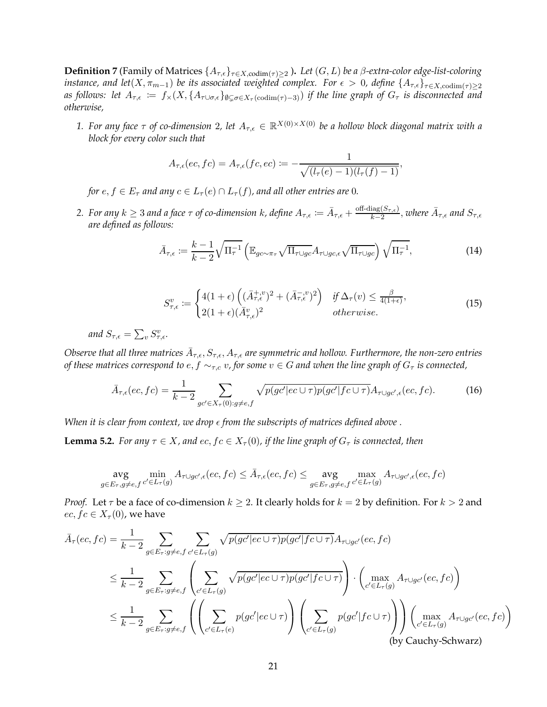**Definition 7** (Family of Matrices  $\{A_{\tau,\epsilon}\}_{\tau \in X, \text{codim}(\tau) \geq 2}$ ). Let  $(G, L)$  be a  $\beta$ -extra-color edge-list-coloring *instance, and let*( $X, \pi_{m-1}$ ) *be its associated weighted complex. For*  $\epsilon > 0$ *, define*  $\{A_{\tau,\epsilon}\}_{\tau \in X, \text{codim}(\tau) \geq 2}$ as follows: let  $A_{\tau,\epsilon} := f_*(X, \{A_{\tau \cup \sigma,\epsilon}\}_{\emptyset \subset \sigma \in X_\tau(\text{codim}(\tau)-3)})$  *if the line graph of*  $G_\tau$  *is disconnected and otherwise,*

1. For any face  $\tau$  of co-dimension 2, let  $A_{\tau,\epsilon} \in \mathbb{R}^{X(0)\times X(0)}$  be a hollow block diagonal matrix with a *block for every color such that*

$$
A_{\tau,\epsilon}(ec,fc) = A_{\tau,\epsilon}(fc,ec) := -\frac{1}{\sqrt{(l_{\tau}(e) - 1)(l_{\tau}(f) - 1)}},
$$

*for*  $e, f \in E_{\tau}$  *and any*  $c \in L_{\tau}(e) \cap L_{\tau}(f)$ *, and all other entries are* 0*.* 

2. For any  $k \geq 3$  and a face  $\tau$  of co-dimension  $k$ , define  $A_{\tau,\epsilon} \coloneqq \bar{A}_{\tau,\epsilon} + \frac{\text{off-diag}(S_{\tau,\epsilon})}{k-2}$  $\frac{\log(S_{\tau,\epsilon})}{k-2}$ , where  $\bar{A}_{\tau,\epsilon}$  and  $S_{\tau,\epsilon}$ *are defined as follows:*

$$
\bar{A}_{\tau,\epsilon} := \frac{k-1}{k-2} \sqrt{\Pi_{\tau}^{-1}} \left( \mathbb{E}_{g c \sim \pi_{\tau}} \sqrt{\Pi_{\tau \cup g c}} A_{\tau \cup g c, \epsilon} \sqrt{\Pi_{\tau \cup g c}} \right) \sqrt{\Pi_{\tau}^{-1}},\tag{14}
$$

<span id="page-20-2"></span><span id="page-20-1"></span>
$$
S_{\tau,\epsilon}^{v} := \begin{cases} 4(1+\epsilon) \left( (\bar{A}_{\tau,\epsilon}^{+,v})^2 + (\bar{A}_{\tau,\epsilon}^{-,v})^2 \right) & \text{if } \Delta_{\tau}(v) \le \frac{\beta}{4(1+\epsilon)}, \\ 2(1+\epsilon) (\bar{A}_{\tau,\epsilon}^{v})^2 & \text{otherwise.} \end{cases}
$$
(15)

and  $S_{\tau,\epsilon} = \sum_{v} S_{\tau,\epsilon}^v$ .

Observe that all three matrices  $\bar A_{\tau,\epsilon},S_{\tau,\epsilon},A_{\tau,\epsilon}$  are symmetric and hollow. Furthermore, the non-zero entries *of these matrices correspond to e, f*  $\sim_{\tau,c} v$ , for some  $v \in G$  *and when the line graph of*  $G_{\tau}$  *is connected*,

$$
\bar{A}_{\tau,\epsilon}(ec,fc) = \frac{1}{k-2} \sum_{gc' \in X_{\tau}(0):g \neq e,f} \sqrt{p(gc'|ec \cup \tau)p(gc'|fc \cup \tau)} A_{\tau \cup gc',\epsilon}(ec,fc). \tag{16}
$$

<span id="page-20-0"></span>*When it is clear from context, we drop*  $\epsilon$  *from the subscripts of matrices defined above*.

**Lemma 5.2.** *For any*  $\tau \in X$ *, and*  $ec, fc \in X_\tau(0)$ *, if the line graph of*  $G_\tau$  *is connected, then* 

$$
\arg\min_{g\in E_{\tau}, g\neq e,f} A_{\tau\cup gc',\epsilon}(ec,fc) \leq \bar{A}_{\tau,\epsilon}(ec,fc) \leq \arg\max_{g\in E_{\tau}, g\neq e,f} A_{\tau\cup gc',\epsilon}(ec,fc)
$$

*Proof.* Let  $\tau$  be a face of co-dimension  $k \geq 2$ . It clearly holds for  $k = 2$  by definition. For  $k > 2$  and  $ec, fc \in X_\tau(0)$ , we have

$$
\bar{A}_{\tau}(ec, fc) = \frac{1}{k-2} \sum_{g \in E_{\tau}: g \neq e, f} \sum_{c' \in L_{\tau}(g)} \sqrt{p(gc'|ec \cup \tau)p(gc'|fc \cup \tau)} A_{\tau \cup gc'}(ec, fc)
$$
\n
$$
\leq \frac{1}{k-2} \sum_{g \in E_{\tau}: g \neq e, f} \left( \sum_{c' \in L_{\tau}(g)} \sqrt{p(gc'|ec \cup \tau)p(gc'|fc \cup \tau)} \right) \cdot \left( \max_{c' \in L_{\tau}(g)} A_{\tau \cup gc'}(ec, fc) \right)
$$
\n
$$
\leq \frac{1}{k-2} \sum_{g \in E_{\tau}: g \neq e, f} \left( \left( \sum_{c' \in L_{\tau}(e)} p(gc'|ec \cup \tau) \right) \left( \sum_{c' \in L_{\tau}(g)} p(gc'|fc \cup \tau) \right) \right) \left( \max_{c' \in L_{\tau}(g)} A_{\tau \cup gc'}(ec, fc) \right)
$$
\n(by Cauchy-Schwarz)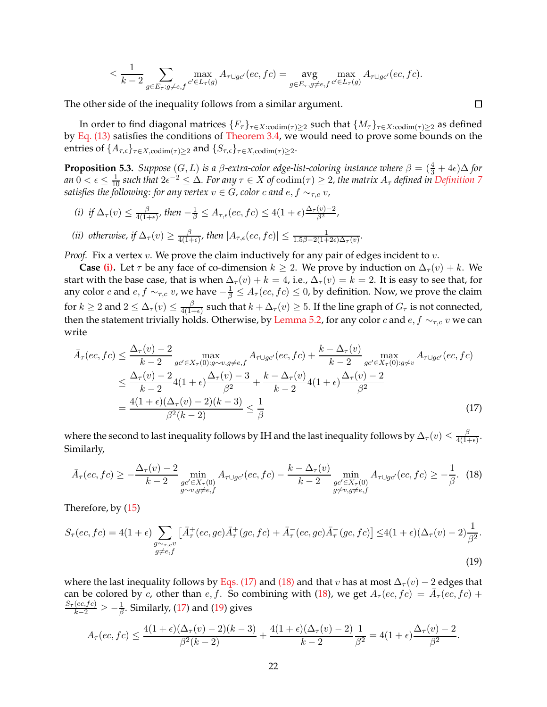$$
\leq \frac{1}{k-2} \sum_{g \in E_{\tau}: g \neq e,f} \max_{c' \in L_{\tau}(g)} A_{\tau \cup gc'}(ec, fc) = \arg_{g \in E_{\tau}, g \neq e,f} \max_{c' \in L_{\tau}(g)} A_{\tau \cup gc'}(ec, fc).
$$

The other side of the inequality follows from a similar argument.

In order to find diagonal matrices  $\{F_\tau\}_{\tau \in X: \text{codim}(\tau) \geq 2}$  such that  $\{M_\tau\}_{\tau \in X: \text{codim}(\tau) \geq 2}$  as defined by [Eq. \(13\)](#page-19-0) satisfies the conditions of [Theorem 3.4,](#page-12-0) we would need to prove some bounds on the entries of  $\{A_{\tau,\epsilon}\}_{\tau\in X, \mathop{\rm codim}(\tau)\geq 2}$  and  $\{S_{\tau,\epsilon}\}_{\tau\in X, \mathop{\rm codim}(\tau)\geq 2}$ .

<span id="page-21-5"></span>**Proposition 5.3.** *Suppose*  $(G, L)$  *is a*  $\beta$ *-extra-color edge-list-coloring instance where*  $\beta = (\frac{4}{3} + 4\epsilon)\Delta$  *for* an  $0<\epsilon\leq\frac{1}{10}$  such that  $2\epsilon^{-2}\leq\Delta$ . For any  $\tau\in X$  of  $\mathrm{codim}(\tau)\geq2$ , the matrix  $A_\tau$  defined in [Definition 7](#page-19-1) *satisfies the following: for any vertex*  $v \in G$ , color c and  $e, f \sim_{\tau,c} v$ ,

- <span id="page-21-4"></span><span id="page-21-0"></span>*(i)* if  $\Delta_{\tau}(v) \leq \frac{\beta}{4(1-\epsilon)}$  $\frac{\beta}{4(1+\epsilon)}$ , then  $-\frac{1}{\beta} \leq A_{\tau,\epsilon}(ec,fc) \leq 4(1+\epsilon)\frac{\Delta_{\tau}(v)-2}{\beta^2}$ ,
- *(ii) otherwise, if*  $\Delta_{\tau}(v) \geq \frac{\beta}{4(1-\beta)^{2}}$  $\frac{\beta}{4(1+\epsilon)}$ , then  $|A_{\tau,\epsilon}(ec,fc)| \leq \frac{1}{1.5\beta-2(1+2\epsilon)\Delta_{\tau}(v)}$ .

*Proof.* Fix a vertex  $v$ . We prove the claim inductively for any pair of edges incident to  $v$ .

**Case [\(i\).](#page-21-0)** Let  $\tau$  be any face of co-dimension  $k \geq 2$ . We prove by induction on  $\Delta_{\tau}(v) + k$ . We start with the base case, that is when  $\Delta_{\tau}(v) + k = 4$ , i.e.,  $\Delta_{\tau}(v) = k = 2$ . It is easy to see that, for any color  $c$  and  $e, f \sim_{\tau,c} v$ , we have  $-\frac{1}{\beta} \leq A_\tau(ec,fc) \leq 0$ , by definition. Now, we prove the claim for  $k\geq 2$  and  $2\leq\Delta_{\tau}(v)\leq\frac{\beta}{4(1+\alpha)}$  $\frac{\beta}{4(1+\epsilon)}$  such that  $k + \Delta_{\tau}(v) \geq 5$ . If the line graph of  $G_{\tau}$  is not connected, then the statement trivially holds. Otherwise, by [Lemma 5.2,](#page-20-0) for any color c and  $e, f \sim_{\tau,c} v$  we can write

<span id="page-21-1"></span>
$$
\bar{A}_{\tau}(ec, fc) \leq \frac{\Delta_{\tau}(v) - 2}{k - 2} \max_{gc' \in X_{\tau}(0): g \sim v, g \neq e, f} A_{\tau \cup gc'}(ec, fc) + \frac{k - \Delta_{\tau}(v)}{k - 2} \max_{gc' \in X_{\tau}(0): g \not\sim v} A_{\tau \cup gc'}(ec, fc)
$$
\n
$$
\leq \frac{\Delta_{\tau}(v) - 2}{k - 2} 4(1 + \epsilon) \frac{\Delta_{\tau}(v) - 3}{\beta^2} + \frac{k - \Delta_{\tau}(v)}{k - 2} 4(1 + \epsilon) \frac{\Delta_{\tau}(v) - 2}{\beta^2}
$$
\n
$$
= \frac{4(1 + \epsilon)(\Delta_{\tau}(v) - 2)(k - 3)}{\beta^2(k - 2)} \leq \frac{1}{\beta}
$$
\n(17)

where the second to last inequality follows by IH and the last inequality follows by  $\Delta_\tau(v)\leq\frac{\beta}{4(1-\epsilon)}$  $\frac{p}{4(1+\epsilon)}$ . Similarly,

<span id="page-21-2"></span>
$$
\bar{A}_{\tau}(ec, fc) \ge -\frac{\Delta_{\tau}(v) - 2}{k - 2} \min_{\substack{gc' \in X_{\tau}(0) \\ g \sim v, g \neq e, f}} A_{\tau \cup gc'}(ec, fc) - \frac{k - \Delta_{\tau}(v)}{k - 2} \min_{\substack{gc' \in X_{\tau}(0) \\ g \not\sim v, g \neq e, f}} A_{\tau \cup gc'}(ec, fc) \ge -\frac{1}{\beta}.
$$
 (18)

Therefore, by [\(15\)](#page-20-1)

$$
S_{\tau}(ec, fc) = 4(1+\epsilon) \sum_{\substack{g \sim \tau, cv \\ g \neq e,f}} \left[ \bar{A}_{\tau}^{+}(ec, gc) \bar{A}_{\tau}^{+}(gc, fc) + \bar{A}_{\tau}^{-}(ec, gc) \bar{A}_{\tau}^{-}(gc, fc) \right] \leq 4(1+\epsilon)(\Delta_{\tau}(v) - 2)\frac{1}{\beta^{2}}.
$$
\n
$$
(19)
$$

where the last inequality follows by [Eqs. \(17\)](#page-21-1) and [\(18\)](#page-21-2) and that v has at most  $\Delta_{\tau}(v) - 2$  edges that can be colored by c, other than e, f. So combining with [\(18\)](#page-21-2), we get  $A_\tau(e^c, fc) = \bar{A}_\tau(e^c, fc) +$  $\frac{S_{\tau}(ec,fc)}{k-2}\geq -\frac{1}{\beta}$ . Similarly, [\(17\)](#page-21-1) and [\(19\)](#page-21-3) gives

<span id="page-21-3"></span>
$$
A_{\tau}(ec, fc) \leq \frac{4(1+\epsilon)(\Delta_{\tau}(v)-2)(k-3)}{\beta^2(k-2)} + \frac{4(1+\epsilon)(\Delta_{\tau}(v)-2)}{k-2} \frac{1}{\beta^2} = 4(1+\epsilon)\frac{\Delta_{\tau}(v)-2}{\beta^2}.
$$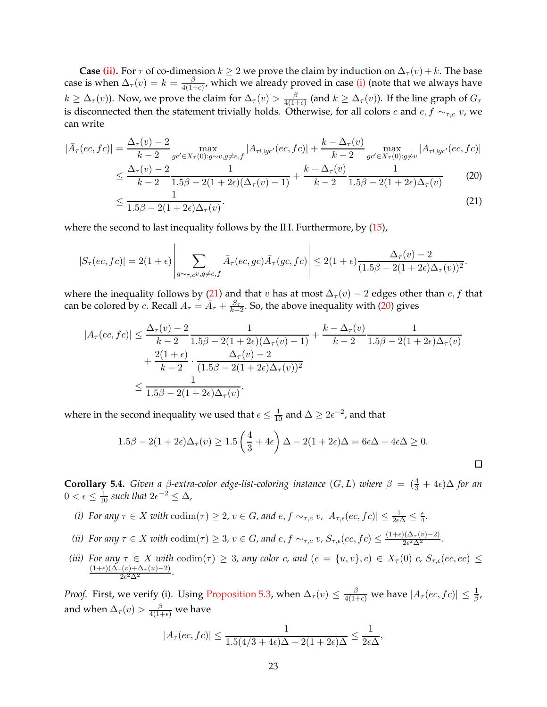**Case [\(ii\).](#page-21-4)** For  $\tau$  of co-dimension  $k \geq 2$  we prove the claim by induction on  $\Delta_{\tau}(v) + k$ . The base case is when  $\Delta_{\tau}(v) = k = \frac{\beta}{4(1-\beta)}$  $\frac{\beta}{4(1+\epsilon)}$ , which we already proved in case [\(i\)](#page-21-0) (note that we always have  $k \geq \Delta_\tau(v)$ ). Now, we prove the claim for  $\Delta_\tau(v) > \frac{\beta}{4(1+\beta)}$  $\frac{\beta}{4(1+\epsilon)}$  (and  $k \geq \Delta_{\tau}(v)$ ). If the line graph of  $G_{\tau}$ is disconnected then the statement trivially holds. Otherwise, for all colors c and  $e, f \sim_{\tau,c} v$ , we can write

$$
|\bar{A}_{\tau}(ec, fc)| = \frac{\Delta_{\tau}(v) - 2}{k - 2} \max_{gc' \in X_{\tau}(0): g \sim v, g \neq e, f} |A_{\tau \cup gc'}(ec, fc)| + \frac{k - \Delta_{\tau}(v)}{k - 2} \max_{gc' \in X_{\tau}(0): g \not\sim v} |A_{\tau \cup gc'}(ec, fc)|
$$

$$
\leq \frac{\Delta_{\tau}(v) - 2}{k - 2} \frac{1}{1.5\beta - 2(1 + 2\epsilon)(\Delta_{\tau}(v) - 1)} + \frac{k - \Delta_{\tau}(v)}{k - 2} \frac{1}{1.5\beta - 2(1 + 2\epsilon)\Delta_{\tau}(v)}
$$
(20)

$$
\leq \frac{1}{1.5\beta - 2(1 + 2\epsilon)\Delta_{\tau}(v)}.\tag{21}
$$

where the second to last inequality follows by the IH. Furthermore, by  $(15)$ ,

$$
|S_{\tau}(ec, fc)| = 2(1+\epsilon)\left|\sum_{g\sim\tau,cv,g\neq e,f}\bar{A}_{\tau}(ec, gc)\bar{A}_{\tau}(gc, fc)\right| \leq 2(1+\epsilon)\frac{\Delta_{\tau}(v)-2}{(1.5\beta-2(1+2\epsilon)\Delta_{\tau}(v))^2}.
$$

where the inequality follows by [\(21\)](#page-22-0) and that v has at most  $\Delta_{\tau}(v) - 2$  edges other than e, f that can be colored by c. Recall  $A_{\tau} = \bar{A}_{\tau} + \frac{S_{\tau}}{k_{\tau}}$  $\frac{S_{\tau}}{k-2}$ . So, the above inequality with [\(20\)](#page-22-1) gives

$$
|A_{\tau}(ec, fc)| \leq \frac{\Delta_{\tau}(v) - 2}{k - 2} \frac{1}{1.5\beta - 2(1 + 2\epsilon)(\Delta_{\tau}(v) - 1)} + \frac{k - \Delta_{\tau}(v)}{k - 2} \frac{1}{1.5\beta - 2(1 + 2\epsilon)\Delta_{\tau}(v)} + \frac{2(1 + \epsilon)}{k - 2} \cdot \frac{\Delta_{\tau}(v) - 2}{(1.5\beta - 2(1 + 2\epsilon)\Delta_{\tau}(v))^2} \leq \frac{1}{1.5\beta - 2(1 + 2\epsilon)\Delta_{\tau}(v)}.
$$

where in the second inequality we used that  $\epsilon \leq \frac{1}{10}$  and  $\Delta \geq 2\epsilon^{-2}$ , and that

$$
1.5\beta - 2(1 + 2\epsilon)\Delta_{\tau}(v) \ge 1.5\left(\frac{4}{3} + 4\epsilon\right)\Delta - 2(1 + 2\epsilon)\Delta = 6\epsilon\Delta - 4\epsilon\Delta \ge 0.
$$

<span id="page-22-1"></span><span id="page-22-0"></span> $\Box$ 

<span id="page-22-2"></span>**Corollary 5.4.** *Given a*  $\beta$ -extra-color edge-list-coloring instance  $(G, L)$  *where*  $\beta = (\frac{4}{3} + 4\epsilon)\Delta$  for an 0 <  $\epsilon$  ≤  $\frac{1}{10}$  such that  $2\epsilon^{-2}$  ≤  $\Delta$ ,

- *(i)* For any  $\tau \in X$  with  $\text{codim}(\tau) \geq 2$ ,  $v \in G$ , and  $e, f \sim_{\tau,c} v$ ,  $|A_{\tau,\epsilon}(ec, fc)| \leq \frac{1}{2\epsilon\Delta} \leq \frac{\epsilon}{4}$  $\frac{\epsilon}{4}$ .
- *(ii)* For any  $\tau \in X$  with  $\text{codim}(\tau) \geq 3$ ,  $v \in G$ , and  $e, f \sim_{\tau,c} v$ ,  $S_{\tau,\epsilon}(ec, fc) \leq \frac{(1+\epsilon)(\Delta_{\tau}(v)-2)}{2\epsilon^2\Delta^2}$ .
- *(iii)* For any  $\tau \in X$  with  $\text{codim}(\tau) \geq 3$ , any color c, and  $(e = \{u, v\}, c) \in X_{\tau}(0)$  c,  $S_{\tau, \epsilon}(ec, ec) \leq$  $\frac{(1+\epsilon)(\Delta_{\tau}(v)+\Delta_{\tau}(u)-2)}{2\epsilon^2\Delta^2}$ .

*Proof.* First, we verify (i). Using [Proposition 5.3,](#page-21-5) when  $\Delta_{\tau}(v) \leq \frac{\beta}{4(1+\epsilon)}$  we have  $|A_{\tau}(ec, fc)| \leq \frac{1}{\beta}$ , and when  $\Delta_\tau(v) > \frac{\beta}{4(1+\epsilon)}$  we have

$$
|A_{\tau}(ec, fc)| \leq \frac{1}{1.5(4/3 + 4\epsilon)\Delta - 2(1 + 2\epsilon)\Delta} \leq \frac{1}{2\epsilon\Delta},
$$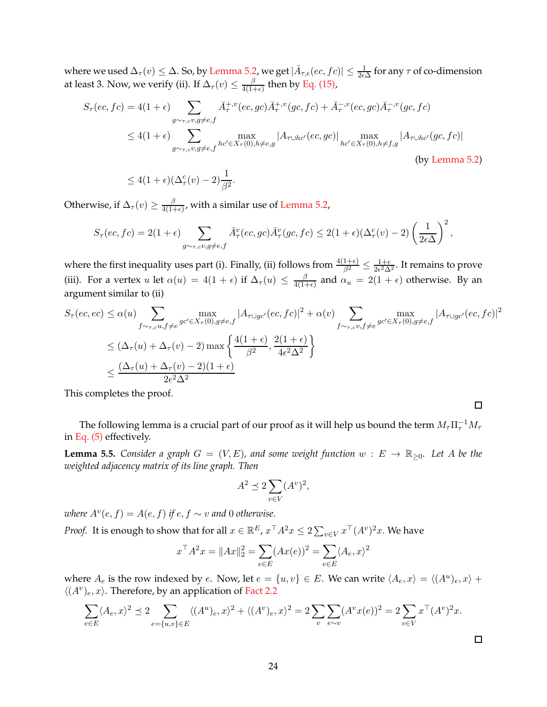where we used  $\Delta_\tau(v) \leq \Delta$ . So, by [Lemma 5.2,](#page-20-0) we get  $|\bar{A}_{\tau,\epsilon}(ec,fc)| \leq \frac{1}{2\epsilon\Delta}$  for any  $\tau$  of co-dimension at least 3. Now, we verify (ii). If  $\Delta_\tau(v)\leq\frac{\beta}{4(1-\epsilon)}$  $\frac{\beta}{4(1+\epsilon)}$  then by [Eq. \(15\),](#page-20-1)

$$
S_{\tau}(ec, fc) = 4(1+\epsilon) \sum_{g\sim_{\tau,c}v,g\neq e,f} \bar{A}_{\tau}^{+,v}(ec, gc)\bar{A}_{\tau}^{+,v}(gc, fc) + \bar{A}_{\tau}^{-,v}(ec, gc)\bar{A}_{\tau}^{-,v}(gc, fc)
$$
  

$$
\leq 4(1+\epsilon) \sum_{g\sim_{\tau,c}v,g\neq e,f} \max_{hc'\in X_{\tau}(0),h\neq e,g} |A_{\tau\cup hc'}(ec, gc)| \max_{hc'\in X_{\tau}(0),h\neq f,g} |A_{\tau\cup hc'}(gc, fc)|
$$
  
(by Lemma 5.2)

$$
\leq 4(1+\epsilon)(\Delta^c_\tau(v)-2)\frac{1}{\beta^2}.
$$

Otherwise, if  $\Delta_\tau(v) \geq \frac{\beta}{4(1-\epsilon)}$  $\frac{\rho}{4(1+\epsilon)}$ , with a similar use of [Lemma 5.2,](#page-20-0)

$$
S_{\tau}(ec, fc) = 2(1+\epsilon) \sum_{g \sim \tau, c^v, g \neq e, f} \bar{A}_{\tau}^v(ec, gc) \bar{A}_{\tau}^v(gc, fc) \leq 2(1+\epsilon)(\Delta_{\tau}^c(v) - 2) \left(\frac{1}{2\epsilon\Delta}\right)^2,
$$

where the first inequality uses part (i). Finally, (ii) follows from  $\frac{4(1+\epsilon)}{\beta^2} \leq \frac{1+\epsilon}{2\epsilon^2\Delta}$  $\frac{1+\epsilon}{2\epsilon^2\Delta^2}$ . It remains to prove (iii). For a vertex u let  $\alpha(u) = 4(1 + \epsilon)$  if  $\Delta_{\tau}(u) \leq \frac{\beta}{4(1 - \epsilon)}$  $\frac{\beta}{4(1+\epsilon)}$  and  $\alpha_u = 2(1+\epsilon)$  otherwise. By an argument similar to (ii)

$$
S_{\tau}(ec,ec) \leq \alpha(u) \sum_{f \sim_{\tau,c} u, f \neq e} \max_{g c' \in X_{\tau}(0), g \neq e, f} |A_{\tau \cup gc'}(ec, fc)|^2 + \alpha(v) \sum_{f \sim_{\tau,c} v, f \neq e} \max_{g c' \in X_{\tau}(0), g \neq e, f} |A_{\tau \cup gc'}(ec, fc)|^2
$$
  

$$
\leq (\Delta_{\tau}(u) + \Delta_{\tau}(v) - 2) \max \left\{ \frac{4(1+\epsilon)}{\beta^2}, \frac{2(1+\epsilon)}{4\epsilon^2 \Delta^2} \right\}
$$
  

$$
\leq \frac{(\Delta_{\tau}(u) + \Delta_{\tau}(v) - 2)(1+\epsilon)}{2\epsilon^2 \Delta^2}
$$

This completes the proof.

<span id="page-23-0"></span>The following lemma is a crucial part of our proof as it will help us bound the term  $M_\tau \Pi_\tau^{-1} M_\tau$ in [Eq. \(5\)](#page-12-1) effectively.

**Lemma 5.5.** *Consider a graph*  $G = (V, E)$ *, and some weight function*  $w : E \to \mathbb{R}_{\geq 0}$ *. Let* A *be the weighted adjacency matrix of its line graph. Then*

$$
A^2 \preceq 2 \sum_{v \in V} (A^v)^2,
$$

*where*  $A^v(e, f) = A(e, f)$  *if*  $e, f \sim v$  *and* 0 *otherwise.* 

*Proof.* It is enough to show that for all  $x \in \mathbb{R}^E$ ,  $x^\top A^2 x \leq 2 \sum_{v \in V} x^\top (A^v)^2 x$ . We have

$$
x^{\top} A^2 x = \|Ax\|_2^2 = \sum_{e \in E} (Ax(e))^2 = \sum_{e \in E} \langle A_e, x \rangle^2
$$

where  $A_e$  is the row indexed by  $e$ . Now, let  $e = \{u, v\} \in E$ . We can write  $\langle A_e, x \rangle = \langle (A^u)_e, x \rangle +$  $\langle (A^v)_e,x\rangle.$  Therefore, by an application of [Fact 2.2](#page-5-2)

$$
\sum_{e \in E} \langle A_e, x \rangle^2 \le 2 \sum_{e = \{u, v\} \in E} \langle (A^u)_e, x \rangle^2 + \langle (A^v)_e, x \rangle^2 = 2 \sum_v \sum_{e \sim v} (A^v x(e))^2 = 2 \sum_{v \in V} x^{\top} (A^v)^2 x.
$$

 $\Box$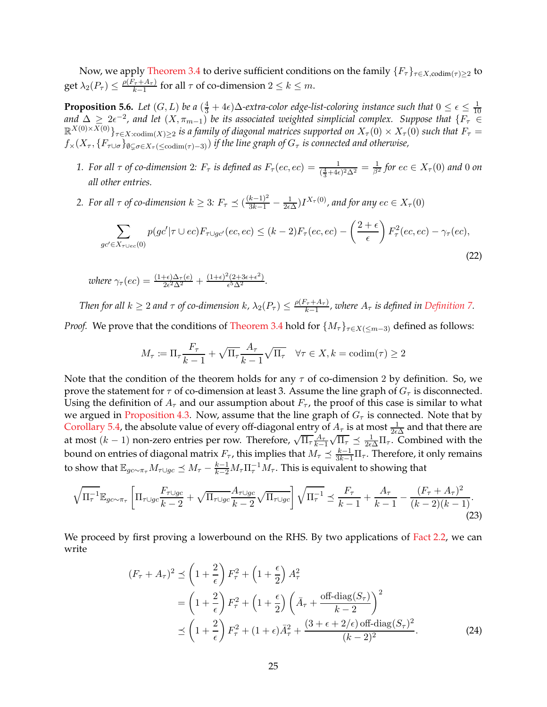<span id="page-24-3"></span>Now, we apply [Theorem 3.4](#page-12-0) to derive sufficient conditions on the family  $\{F_\tau\}_{\tau \in X, \text{codim}(\tau) \geq 2}$  to get  $\lambda_2(P_\tau) \leq \frac{\rho(F_\tau + A_\tau)}{k-1}$  $\frac{\tau + A_{\tau}}{k-1}$  for all  $\tau$  of co-dimension  $2 \leq k \leq m$ .

**Proposition 5.6.** *Let*  $(G, L)$  *be a*  $(\frac{4}{3} + 4\epsilon)\Delta$ *-extra-color edge-list-coloring instance such that*  $0 \le \epsilon \le \frac{1}{10}$ 10 and  $\Delta \geq 2\epsilon^{-2}$ , and let  $(X, \pi_{m-1})$  be its associated weighted simplicial complex. Suppose that  $\{F_\tau \in$  $\mathbb{R}^{X(0)\times X(0)}$ <sub> $\tau\in X:\text{codim}(X)\geq 2$  is a family of diagonal matrices supported on  $X_{\tau}(0)\times X_{\tau}(0)$  such that  $F_{\tau}=\text{codim}(X)$ </sub>  $f_*(X_\tau, \{F_{\tau \cup \sigma}\}_{\emptyset \subset \sigma \in X_\tau \mid \leq \text{codim}(\tau)-3)}$  *if the line graph of*  $G_\tau$  *is connected and otherwise*,

- *1.* For all  $\tau$  of co-dimension 2:  $F_{\tau}$  is defined as  $F_{\tau}(ec, ec) = \frac{1}{(\frac{4}{3}+4\epsilon)^2\Delta^2} = \frac{1}{\beta^2}$  for  $ec \in X_{\tau}(0)$  and 0 on *all other entries.*
- 2. For all  $\tau$  of co-dimension  $k \geq 3$ :  $F_{\tau} \preceq (\frac{(k-1)^2}{3k-1} \frac{1}{2\epsilon})$  $\frac{1}{2\epsilon\Delta}$ )*I*<sup>X<sub>τ</sub>(0)</sup>, and for any  $ec \in X_\tau(0)$

$$
\sum_{gc' \in X_{\tau \cup ec}(0)} p(gc' | \tau \cup ec) F_{\tau \cup gc'}(ec, ec) \le (k-2) F_{\tau}(ec, ec) - \left(\frac{2+\epsilon}{\epsilon}\right) F_{\tau}^2(cc, ec) - \gamma_{\tau}(ec),\tag{22}
$$

*where*  $\gamma_{\tau}(ec) = \frac{(1+\epsilon)\Delta_{\tau}(e)}{2\epsilon^2\Delta^2} + \frac{(1+\epsilon)^2(2+3\epsilon+\epsilon^2)}{\epsilon^5\Delta^2}$  $rac{(2+3\epsilon+\epsilon)}{\epsilon^5\Delta^2}$ .

*Then for all*  $k \geq 2$  *and*  $\tau$  *of co-dimension*  $k$ ,  $\lambda_2(P_{\tau}) \leq \frac{\rho(F_{\tau} + A_{\tau})}{k-1}$  $\frac{f_\tau + A_\tau}{k-1}$ , where  $A_\tau$  is defined in [Definition 7.](#page-19-1)

*Proof.* We prove that the conditions of [Theorem 3.4](#page-12-0) hold for  $\{M_{\tau}\}_{\tau \in X(\leq m-3)}$  defined as follows:

<span id="page-24-2"></span>
$$
M_{\tau} := \Pi_{\tau} \frac{F_{\tau}}{k - 1} + \sqrt{\Pi_{\tau}} \frac{A_{\tau}}{k - 1} \sqrt{\Pi_{\tau}} \quad \forall \tau \in X, k = \text{codim}(\tau) \ge 2
$$

Note that the condition of the theorem holds for any  $\tau$  of co-dimension 2 by definition. So, we prove the statement for  $\tau$  of co-dimension at least 3. Assume the line graph of  $G_{\tau}$  is disconnected. Using the definition of  $A_{\tau}$  and our assumption about  $F_{\tau}$ , the proof of this case is similar to what we argued in [Proposition 4.3.](#page-15-0) Now, assume that the line graph of  $G<sub>\tau</sub>$  is connected. Note that by [Corollary 5.4,](#page-22-2) the absolute value of every off-diagonal entry of  $A_\tau$  is at most  $\frac{1}{2\epsilon\Delta}$  and that there are at most  $(k-1)$  non-zero entries per row. Therefore,  $\sqrt{\Pi_{\tau}} \frac{A_{\tau}}{k-1}$  $\frac{k-1}{2}$  $\sqrt{\Pi_{\tau}} \preceq \frac{1}{2\epsilon\Delta}\Pi_{\tau}$ . Combined with the bound on entries of diagonal matrix  $F_\tau$ , this implies that  $M_\tau \preceq \frac{k-1}{3k-1}\Pi_\tau$ . Therefore, it only remains to show that  $\mathbb{E}_{gc\sim \pi_{\tau}}M_{\tau}\cup g_{C}\preceq M_{\tau}-\frac{k-1}{k-2}M_{\tau}\Pi_{\tau}^{-1}M_{\tau}.$  This is equivalent to showing that

$$
\sqrt{\Pi_{\tau}^{-1}} \mathbb{E}_{g c \sim \pi_{\tau}} \left[ \Pi_{\tau \cup g c} \frac{F_{\tau \cup g c}}{k-2} + \sqrt{\Pi_{\tau \cup g c}} \frac{A_{\tau \cup g c}}{k-2} \sqrt{\Pi_{\tau \cup g c}} \right] \sqrt{\Pi_{\tau}^{-1}} \preceq \frac{F_{\tau}}{k-1} + \frac{A_{\tau}}{k-1} - \frac{(F_{\tau} + A_{\tau})^2}{(k-2)(k-1)}.
$$
\n(23)

We proceed by first proving a lowerbound on the RHS. By two applications of [Fact 2.2,](#page-5-2) we can write

<span id="page-24-1"></span><span id="page-24-0"></span>
$$
(F_{\tau} + A_{\tau})^2 \preceq \left(1 + \frac{2}{\epsilon}\right) F_{\tau}^2 + \left(1 + \frac{\epsilon}{2}\right) A_{\tau}^2
$$
  
= 
$$
\left(1 + \frac{2}{\epsilon}\right) F_{\tau}^2 + \left(1 + \frac{\epsilon}{2}\right) \left(\bar{A}_{\tau} + \frac{\text{off-diag}(S_{\tau})}{k - 2}\right)^2
$$
  

$$
\preceq \left(1 + \frac{2}{\epsilon}\right) F_{\tau}^2 + \left(1 + \epsilon\right) \bar{A}_{\tau}^2 + \frac{\left(3 + \epsilon + 2/\epsilon\right) \text{off-diag}(S_{\tau})^2}{(k - 2)^2}.
$$
 (24)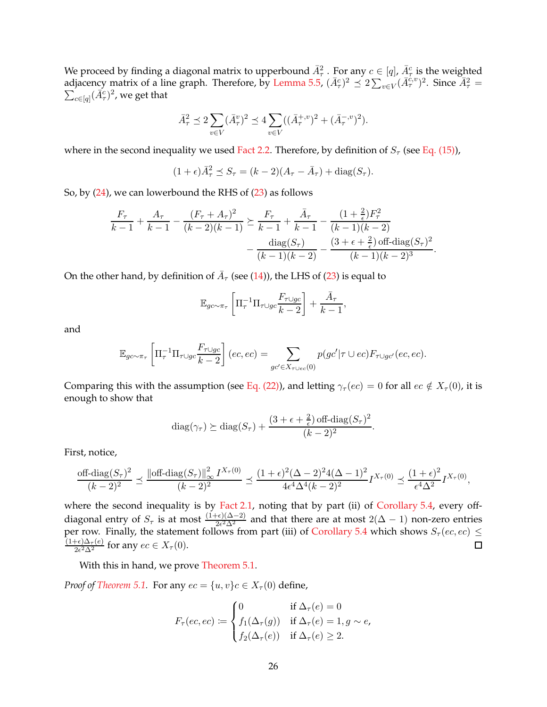We proceed by finding a diagonal matrix to upperbound  $\bar{A}^2_\tau$ . For any  $c \in [q]$ ,  $\bar{A}^c_\tau$  is the weighted adjacency matrix of a line graph. Therefore, by [Lemma 5.5,](#page-23-0)  $(\bar{A}_{\tau}^c)^2 \preceq 2\sum_{v \in V} (\bar{A}_{\tau}^{c,v})^2$ . Since  $\bar{A}_{\tau}^2 = \sum_{v \in V} (\bar{A}_{\tau}^{c,v})^2$ , we get that  $\epsilon_{c\in [q]}(\bar{A}_\tau^c)^2$ , we get that

$$
\bar{A}_\tau^2 \preceq 2\sum_{v\in V}(\bar{A}_\tau^v)^2 \preceq 4\sum_{v\in V}((\bar{A}_\tau^{+,v})^2+(\bar{A}_\tau^{-,v})^2).
$$

where in the second inequality we used [Fact 2.2.](#page-5-2) Therefore, by definition of  $S_\tau$  (see [Eq. \(15\)\)](#page-20-1),

$$
(1+\epsilon)\bar{A}_{\tau}^2 \preceq S_{\tau} = (k-2)(A_{\tau} - \bar{A}_{\tau}) + \text{diag}(S_{\tau}).
$$

So, by [\(24\)](#page-24-0), we can lowerbound the RHS of [\(23\)](#page-24-1) as follows

$$
\frac{F_{\tau}}{k-1} + \frac{A_{\tau}}{k-1} - \frac{(F_{\tau} + A_{\tau})^2}{(k-2)(k-1)} \succeq \frac{F_{\tau}}{k-1} + \frac{\bar{A}_{\tau}}{k-1} - \frac{(1+\frac{2}{\epsilon})F_{\tau}^2}{(k-1)(k-2)} - \frac{(\bar{A}_{\tau} + \bar{A}_{\tau})^2 (k-1)(k-2)}{(k-1)(k-2)} - \frac{(3+\epsilon+\frac{2}{\epsilon})\operatorname{off-diag}(S_{\tau})^2}{(k-1)(k-2)^3}.
$$

On the other hand, by definition of  $\bar{A}_{\tau}$  (see [\(14\)](#page-20-2)), the LHS of [\(23\)](#page-24-1) is equal to

$$
\mathbb{E}_{gc \sim \pi_{\tau}} \left[ \Pi_{\tau}^{-1} \Pi_{\tau \cup gc} \frac{F_{\tau \cup gc}}{k-2} \right] + \frac{\bar{A}_{\tau}}{k-1},
$$

and

$$
\mathbb{E}_{gc\sim\pi_{\tau}}\left[\Pi_{\tau}^{-1}\Pi_{\tau\cup gc}\frac{F_{\tau\cup gc}}{k-2}\right](ec,ec) = \sum_{gc'\in X_{\tau\cup ec}(0)}p(gc'|\tau\cup ec)F_{\tau\cup gc'}(ec,ec).
$$

Comparing this with the assumption (see [Eq. \(22\)\)](#page-24-2), and letting  $\gamma_\tau(ec) = 0$  for all  $ec \notin X_\tau(0)$ , it is enough to show that

diag
$$
(\gamma_{\tau}) \ge
$$
diag $(S_{\tau}) + \frac{(3 + \epsilon + \frac{2}{\epsilon}) \text{ off-diag}(S_{\tau})^2}{(k - 2)^2}$ .

First, notice,

$$
\frac{\text{off-diag}(S_{\tau})^2}{(k-2)^2} \preceq \frac{\left\| \text{off-diag}(S_{\tau}) \right\|_{\infty}^2 I^{X_{\tau}(0)}}{(k-2)^2} \preceq \frac{(1+\epsilon)^2 (\Delta-2)^2 4(\Delta-1)^2}{4\epsilon^4 \Delta^4 (k-2)^2} I^{X_{\tau}(0)} \preceq \frac{(1+\epsilon)^2}{\epsilon^4 \Delta^2} I^{X_{\tau}(0)},
$$

where the second inequality is by [Fact 2.1,](#page-5-3) noting that by part (ii) of [Corollary 5.4,](#page-22-2) every offdiagonal entry of  $S_{\tau}$  is at most  $\frac{(1+\epsilon)(\Delta-2)}{2\epsilon^2\Delta^2}$  and that there are at most  $2(\Delta-1)$  non-zero entries per row. Finally, the statement follows from part (iii) of [Corollary 5.4](#page-22-2) which shows  $S_\tau$  (ec, ec)  $\leq$  $(1+\epsilon)\Delta_\tau(e)$  $\Box$  $\frac{2\epsilon^2\Delta^2\tau(e)}{2\epsilon^2\Delta^2}$  for any  $ec \in X_\tau(0)$ .

With this in hand, we prove [Theorem 5.1.](#page-19-2)

*Proof of [Theorem 5.1.](#page-19-2)* For any  $ec = \{u, v\}c \in X_\tau(0)$  define,

$$
F_{\tau}(ec,ec) := \begin{cases} 0 & \text{if } \Delta_{\tau}(e) = 0 \\ f_1(\Delta_{\tau}(g)) & \text{if } \Delta_{\tau}(e) = 1, g \sim e, \\ f_2(\Delta_{\tau}(e)) & \text{if } \Delta_{\tau}(e) \ge 2. \end{cases}
$$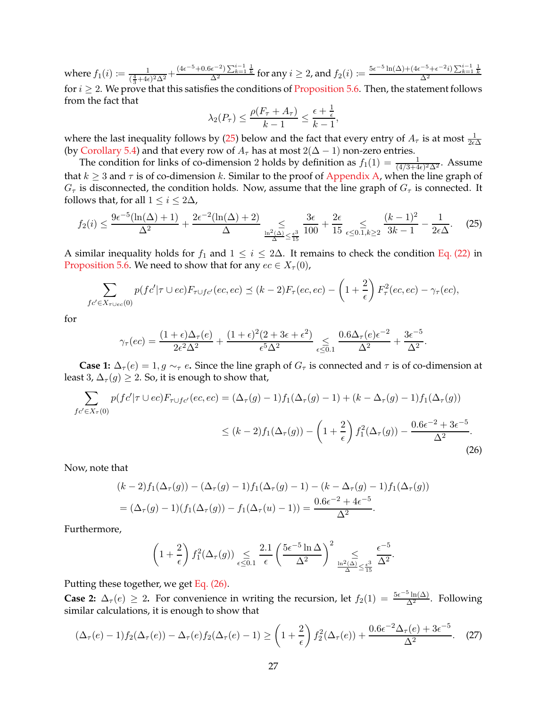where  $f_1(i) \coloneqq \frac{1}{\binom{4}{1}}$  $\frac{1}{(\frac{4}{3}+4\epsilon)^2\Delta^2} + \frac{(4\epsilon^{-5}+0.6\epsilon^{-2})\sum_{k=1}^{i-1}\frac{1}{k}}{\Delta^2}$  for any  $i \geq 2$ , and  $f_2(i) \coloneqq \frac{5\epsilon^{-5}\ln(\Delta) + (4\epsilon^{-5}+\epsilon^{-2}i)\sum_{k=1}^{i-1}\frac{1}{k}}{\Delta^2}$ for  $i \geq 2$ . We prove that this satisfies the conditions of [Proposition 5.6.](#page-24-3) Then, the statement follows from the fact that

<span id="page-26-0"></span>
$$
\lambda_2(P_\tau) \le \frac{\rho(F_\tau + A_\tau)}{k-1} \le \frac{\epsilon + \frac{1}{\epsilon}}{k-1},
$$

where the last inequality follows by [\(25\)](#page-26-0) below and the fact that every entry of  $A_{\tau}$  is at most  $\frac{1}{2\epsilon\Delta}$ (by [Corollary 5.4\)](#page-22-2) and that every row of  $A_\tau$  has at most  $2(\Delta - 1)$  non-zero entries.

The condition for links of co-dimension 2 holds by definition as  $f_1(1) = \frac{1}{(4/3+4\epsilon)^2\Delta^2}$ . Assume that  $k \geq 3$  and  $\tau$  is of co-dimension k. Similar to the proof of [Appendix A,](#page-30-13) when the line graph of  $G_{\tau}$  is disconnected, the condition holds. Now, assume that the line graph of  $G_{\tau}$  is connected. It follows that, for all  $1 \leq i \leq 2\Delta$ ,

$$
f_2(i) \le \frac{9\epsilon^{-5}(\ln(\Delta)+1)}{\Delta^2} + \frac{2\epsilon^{-2}(\ln(\Delta)+2)}{\Delta} \le \frac{3\epsilon}{\frac{\ln^2(\Delta)}{\Delta} \le \frac{\epsilon^3}{15}} \frac{3\epsilon}{100} + \frac{2\epsilon}{15} \le \epsilon \le 0.1, k \ge 2} \frac{(k-1)^2}{3k-1} - \frac{1}{2\epsilon\Delta}.
$$
 (25)

A similar inequality holds for  $f_1$  and  $1 \le i \le 2\Delta$ . It remains to check the condition [Eq. \(22\)](#page-24-2) in [Proposition 5.6.](#page-24-3) We need to show that for any  $ec \in X_\tau(0)$ ,

$$
\sum_{fc' \in X_{\tau \cup ec}(0)} p(fc' | \tau \cup ec) F_{\tau \cup fc'}(ec,ec) \preceq (k-2) F_{\tau}(ec,ec) - \left(1 + \frac{2}{\epsilon}\right) F_{\tau}^2(cc,ec) - \gamma_{\tau}(ec),
$$

for

$$
\gamma_{\tau}(ec) = \frac{(1+\epsilon)\Delta_{\tau}(e)}{2\epsilon^2\Delta^2} + \frac{(1+\epsilon)^2(2+3\epsilon+\epsilon^2)}{\epsilon^5\Delta^2} \underset{\epsilon \leq 0.1}{\leq} \frac{0.6\Delta_{\tau}(e)\epsilon^{-2}}{\Delta^2} + \frac{3\epsilon^{-5}}{\Delta^2}.
$$

**Case 1:**  $\Delta_{\tau}(e) = 1, g \sim_{\tau} e$ . Since the line graph of  $G_{\tau}$  is connected and  $\tau$  is of co-dimension at least 3,  $\Delta_{\tau}(g) \geq 2$ . So, it is enough to show that,

$$
\sum_{f c' \in X_{\tau}(0)} p(f c' | \tau \cup ec) F_{\tau \cup fc'}(ec, ec) = (\Delta_{\tau}(g) - 1) f_1(\Delta_{\tau}(g) - 1) + (k - \Delta_{\tau}(g) - 1) f_1(\Delta_{\tau}(g))
$$
  

$$
\leq (k - 2) f_1(\Delta_{\tau}(g)) - \left(1 + \frac{2}{\epsilon}\right) f_1^2(\Delta_{\tau}(g)) - \frac{0.6\epsilon^{-2} + 3\epsilon^{-5}}{\Delta^2}.
$$
 (26)

Now, note that

$$
(k-2)f_1(\Delta_\tau(g)) - (\Delta_\tau(g) - 1)f_1(\Delta_\tau(g) - 1) - (k - \Delta_\tau(g) - 1)f_1(\Delta_\tau(g))
$$
  
=  $(\Delta_\tau(g) - 1)(f_1(\Delta_\tau(g)) - f_1(\Delta_\tau(u) - 1)) = \frac{0.6\epsilon^{-2} + 4\epsilon^{-5}}{\Delta^2}.$ 

Furthermore,

<span id="page-26-2"></span><span id="page-26-1"></span>
$$
\left(1+\frac{2}{\epsilon}\right)f_1^2(\Delta_\tau(g))\underset{\epsilon\leq 0.1}{\leq} \frac{2.1}{\epsilon}\left(\frac{5\epsilon^{-5}\ln\Delta}{\Delta^2}\right)^2\underset{\frac{\ln^2(\Delta)}{\Delta}\leq \frac{\epsilon^3}{15}}{\leq} \frac{\epsilon^{-5}}{\Delta^2}.
$$

Putting these together, we get [Eq. \(26\).](#page-26-1)

**Case 2:**  $\Delta_{\tau}(e) \geq 2$ . For convenience in writing the recursion, let  $f_2(1) = \frac{5e^{-5} \ln(\Delta)}{\Delta^2}$ . Following similar calculations, it is enough to show that

$$
(\Delta_{\tau}(e)-1)f_2(\Delta_{\tau}(e)) - \Delta_{\tau}(e)f_2(\Delta_{\tau}(e)-1) \ge \left(1+\frac{2}{\epsilon}\right)f_2^2(\Delta_{\tau}(e)) + \frac{0.6\epsilon^{-2}\Delta_{\tau}(e) + 3\epsilon^{-5}}{\Delta^2}.
$$
 (27)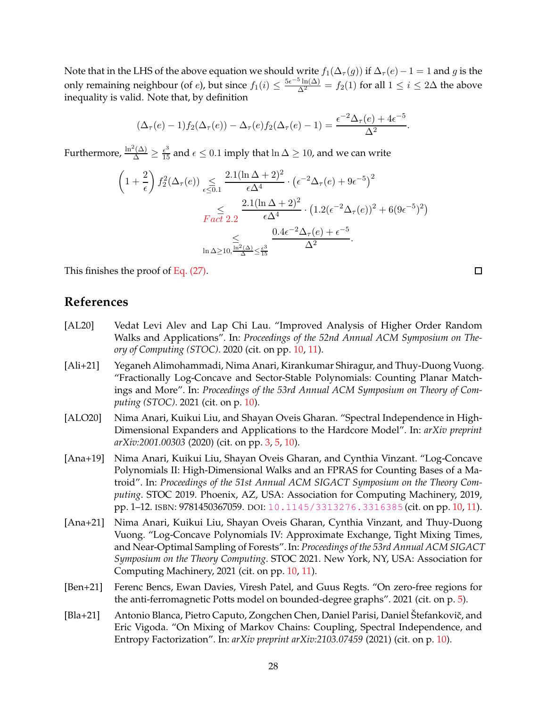Note that in the LHS of the above equation we should write  $f_1(\Delta_\tau(g))$  if  $\Delta_\tau(e)-1=1$  and g is the only remaining neighbour (of *e*), but since  $f_1(i) \le \frac{5e^{-5} \ln(\Delta)}{\Delta^2} = f_2(1)$  for all  $1 \le i \le 2\Delta$  the above inequality is valid. Note that, by definition

$$
(\Delta_{\tau}(e)-1)f_2(\Delta_{\tau}(e)) - \Delta_{\tau}(e)f_2(\Delta_{\tau}(e)-1) = \frac{\epsilon^{-2}\Delta_{\tau}(e) + 4\epsilon^{-5}}{\Delta^2}.
$$

Furthermore,  $\frac{\ln^2(\Delta)}{\Delta} \ge \frac{\epsilon^3}{15}$  and  $\epsilon \le 0.1$  imply that  $\ln \Delta \ge 10$ , and we can write

$$
\left(1+\frac{2}{\epsilon}\right) f_2^2(\Delta_\tau(e)) \underset{\epsilon \le 0.1}{\leq} \frac{2.1(\ln \Delta + 2)^2}{\epsilon \Delta^4} \cdot \left(\epsilon^{-2} \Delta_\tau(e) + 9\epsilon^{-5}\right)^2
$$

$$
\underset{\text{Fact 2.2}}{\leq} \frac{2.1(\ln \Delta + 2)^2}{\epsilon \Delta^4} \cdot \left(1.2(\epsilon^{-2} \Delta_\tau(e))^2 + 6(9\epsilon^{-5})^2\right)
$$

$$
\underset{\ln \Delta \ge 10, \frac{\ln^2(\Delta)}{\Delta} \leq \frac{6}{15}}{\leq} \frac{0.4\epsilon^{-2} \Delta_\tau(e) + \epsilon^{-5}}{\Delta^2}.
$$

This finishes the proof of [Eq. \(27\).](#page-26-2)

# <span id="page-27-2"></span>**References**

- [AL20] Vedat Levi Alev and Lap Chi Lau. "Improved Analysis of Higher Order Random Walks and Applications". In: *Proceedings of the 52nd Annual ACM Symposium on Theory of Computing (STOC)*. 2020 (cit. on pp. [10,](#page-9-4) [11\)](#page-10-1).
- <span id="page-27-3"></span>[Ali+21] Yeganeh Alimohammadi, Nima Anari, Kirankumar Shiragur, and Thuy-Duong Vuong. "Fractionally Log-Concave and Sector-Stable Polynomials: Counting Planar Matchings and More". In: *Proceedings of the 53rd Annual ACM Symposium on Theory of Computing (STOC)*. 2021 (cit. on p. [10\)](#page-9-4).
- <span id="page-27-0"></span>[ALO20] Nima Anari, Kuikui Liu, and Shayan Oveis Gharan. "Spectral Independence in High-Dimensional Expanders and Applications to the Hardcore Model". In: *arXiv preprint arXiv:2001.00303* (2020) (cit. on pp. [3,](#page-2-1) [5,](#page-4-0) [10\)](#page-9-4).
- <span id="page-27-4"></span>[Ana+19] Nima Anari, Kuikui Liu, Shayan Oveis Gharan, and Cynthia Vinzant. "Log-Concave Polynomials II: High-Dimensional Walks and an FPRAS for Counting Bases of a Matroid". In: *Proceedings of the 51st Annual ACM SIGACT Symposium on the Theory Computing*. STOC 2019. Phoenix, AZ, USA: Association for Computing Machinery, 2019, pp. 1–12. ISBN: 9781450367059. DOI: [10.1145/3313276.3316385](https://doi.org/10.1145/3313276.3316385) (cit. on pp. [10,](#page-9-4) [11\)](#page-10-1).
- <span id="page-27-5"></span>[Ana+21] Nima Anari, Kuikui Liu, Shayan Oveis Gharan, Cynthia Vinzant, and Thuy-Duong Vuong. "Log-Concave Polynomials IV: Approximate Exchange, Tight Mixing Times, and Near-Optimal Sampling of Forests". In: *Proceedings of the 53rd Annual ACM SIGACT Symposium on the Theory Computing*. STOC 2021. New York, NY, USA: Association for Computing Machinery, 2021 (cit. on pp. [10,](#page-9-4) [11\)](#page-10-1).
- <span id="page-27-1"></span>[Ben+21] Ferenc Bencs, Ewan Davies, Viresh Patel, and Guus Regts. "On zero-free regions for the anti-ferromagnetic Potts model on bounded-degree graphs". 2021 (cit. on p. [5\)](#page-4-0).
- <span id="page-27-6"></span>[Bla+21] Antonio Blanca, Pietro Caputo, Zongchen Chen, Daniel Parisi, Daniel Štefankovič, and Eric Vigoda. "On Mixing of Markov Chains: Coupling, Spectral Independence, and Entropy Factorization". In: *arXiv preprint arXiv:2103.07459* (2021) (cit. on p. [10\)](#page-9-4).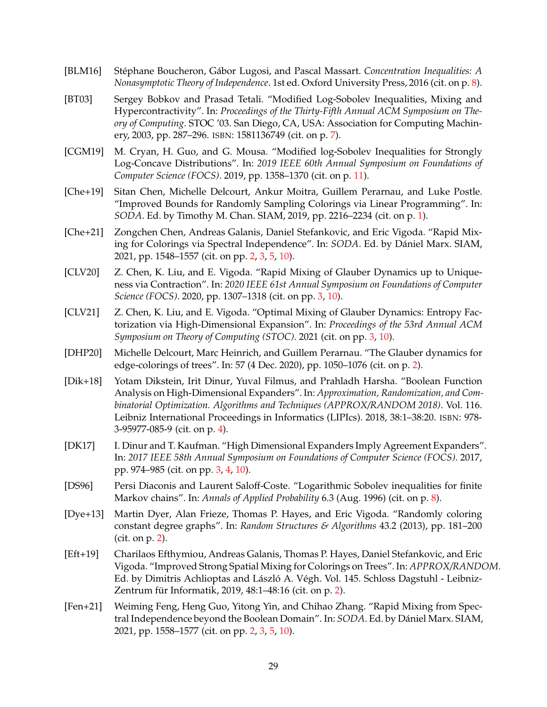- <span id="page-28-12"></span>[BLM16] St´ephane Boucheron, G ´abor Lugosi, and Pascal Massart. *Concentration Inequalities: A Nonasymptotic Theory of Independence*. 1st ed. Oxford University Press, 2016 (cit. on p. [8\)](#page-7-1).
- <span id="page-28-10"></span>[BT03] Sergey Bobkov and Prasad Tetali. "Modified Log-Sobolev Inequalities, Mixing and Hypercontractivity". In: *Proceedings of the Thirty-Fifth Annual ACM Symposium on Theory of Computing*. STOC '03. San Diego, CA, USA: Association for Computing Machinery, 2003, pp. 287–296. ISBN: 1581136749 (cit. on p. [7\)](#page-6-1).
- <span id="page-28-13"></span>[CGM19] M. Cryan, H. Guo, and G. Mousa. "Modified log-Sobolev Inequalities for Strongly Log-Concave Distributions". In: *2019 IEEE 60th Annual Symposium on Foundations of Computer Science (FOCS)*. 2019, pp. 1358–1370 (cit. on p. [11\)](#page-10-1).
- <span id="page-28-0"></span>[Che+19] Sitan Chen, Michelle Delcourt, Ankur Moitra, Guillem Perarnau, and Luke Postle. "Improved Bounds for Randomly Sampling Colorings via Linear Programming". In: *SODA*. Ed. by Timothy M. Chan. SIAM, 2019, pp. 2216–2234 (cit. on p. [1\)](#page-0-0).
- <span id="page-28-2"></span>[Che+21] Zongchen Chen, Andreas Galanis, Daniel Stefankovic, and Eric Vigoda. "Rapid Mixing for Colorings via Spectral Independence". In: *SODA*. Ed. by Dániel Marx. SIAM, 2021, pp. 1548–1557 (cit. on pp. [2,](#page-1-0) [3,](#page-2-1) [5,](#page-4-0) [10\)](#page-9-4).
- <span id="page-28-6"></span>[CLV20] Z. Chen, K. Liu, and E. Vigoda. "Rapid Mixing of Glauber Dynamics up to Uniqueness via Contraction". In: *2020 IEEE 61st Annual Symposium on Foundations of Computer Science (FOCS)*. 2020, pp. 1307–1318 (cit. on pp. [3,](#page-2-1) [10\)](#page-9-4).
- <span id="page-28-7"></span>[CLV21] Z. Chen, K. Liu, and E. Vigoda. "Optimal Mixing of Glauber Dynamics: Entropy Factorization via High-Dimensional Expansion". In: *Proceedings of the 53rd Annual ACM Symposium on Theory of Computing (STOC)*. 2021 (cit. on pp. [3,](#page-2-1) [10\)](#page-9-4).
- <span id="page-28-5"></span>[DHP20] Michelle Delcourt, Marc Heinrich, and Guillem Perarnau. "The Glauber dynamics for edge-colorings of trees". In: 57 (4 Dec. 2020), pp. 1050–1076 (cit. on p. [2\)](#page-1-0).
- <span id="page-28-9"></span>[Dik+18] Yotam Dikstein, Irit Dinur, Yuval Filmus, and Prahladh Harsha. "Boolean Function Analysis on High-Dimensional Expanders". In: *Approximation, Randomization, and Combinatorial Optimization. Algorithms and Techniques (APPROX/RANDOM 2018)*. Vol. 116. Leibniz International Proceedings in Informatics (LIPIcs). 2018, 38:1–38:20. ISBN: 978- 3-95977-085-9 (cit. on p. [4\)](#page-3-3).
- <span id="page-28-8"></span>[DK17] I. Dinur and T. Kaufman. "High Dimensional Expanders Imply Agreement Expanders". In: *2017 IEEE 58th Annual Symposium on Foundations of Computer Science (FOCS)*. 2017, pp. 974–985 (cit. on pp. [3,](#page-2-1) [4,](#page-3-3) [10\)](#page-9-4).
- <span id="page-28-11"></span>[DS96] Persi Diaconis and Laurent Saloff-Coste. "Logarithmic Sobolev inequalities for finite Markov chains". In: *Annals of Applied Probability* 6.3 (Aug. 1996) (cit. on p. [8\)](#page-7-1).
- <span id="page-28-1"></span>[Dye+13] Martin Dyer, Alan Frieze, Thomas P. Hayes, and Eric Vigoda. "Randomly coloring constant degree graphs". In: *Random Structures & Algorithms* 43.2 (2013), pp. 181–200 (cit. on p. [2\)](#page-1-0).
- <span id="page-28-4"></span>[Eft+19] Charilaos Efthymiou, Andreas Galanis, Thomas P. Hayes, Daniel Stefankovic, and Eric Vigoda. "Improved Strong Spatial Mixing for Colorings on Trees". In: *APPROX/RANDOM*. Ed. by Dimitris Achlioptas and László A. Végh. Vol. 145. Schloss Dagstuhl - Leibniz-Zentrum für Informatik, 2019,  $48:1-48:16$  (cit. on p. [2\)](#page-1-0).
- <span id="page-28-3"></span>[Fen+21] Weiming Feng, Heng Guo, Yitong Yin, and Chihao Zhang. "Rapid Mixing from Spectral Independence beyond the Boolean Domain". In: *SODA*. Ed. by Dániel Marx. SIAM, 2021, pp. 1558–1577 (cit. on pp. [2,](#page-1-0) [3,](#page-2-1) [5,](#page-4-0) [10\)](#page-9-4).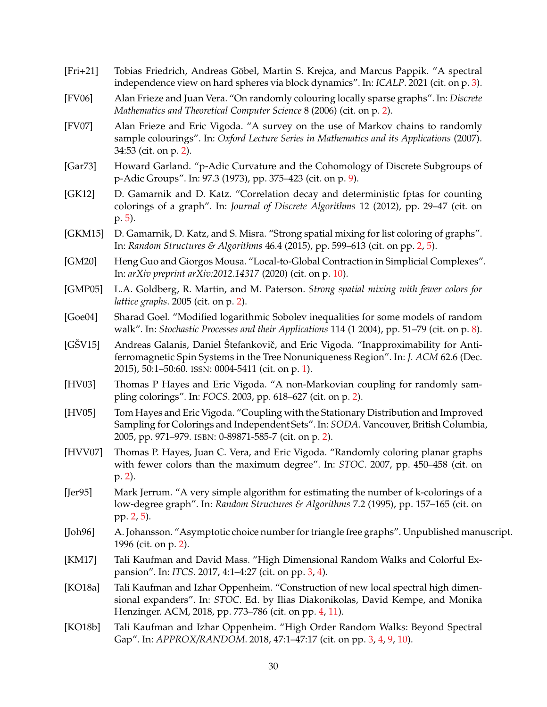- <span id="page-29-10"></span>[Fri+21] Tobias Friedrich, Andreas Göbel, Martin S. Krejca, and Marcus Pappik. "A spectral independence view on hard spheres via block dynamics". In: *ICALP*. 2021 (cit. on p. [3\)](#page-2-1).
- <span id="page-29-4"></span>[FV06] Alan Frieze and Juan Vera. "On randomly colouring locally sparse graphs". In: *Discrete Mathematics and Theoretical Computer Science* 8 (2006) (cit. on p. [2\)](#page-1-0).
- <span id="page-29-5"></span>[FV07] Alan Frieze and Eric Vigoda. "A survey on the use of Markov chains to randomly sample colourings". In: *Oxford Lecture Series in Mathematics and its Applications* (2007). 34:53 (cit. on p. [2\)](#page-1-0).
- <span id="page-29-16"></span>[Gar73] Howard Garland. "p-Adic Curvature and the Cohomology of Discrete Subgroups of p-Adic Groups". In: 97.3 (1973), pp. 375–423 (cit. on p. [9\)](#page-8-2).
- <span id="page-29-14"></span>[GK12] D. Gamarnik and D. Katz. "Correlation decay and deterministic fptas for counting colorings of a graph". In: *Journal of Discrete Algorithms* 12 (2012), pp. 29–47 (cit. on p. [5\)](#page-4-0).
- <span id="page-29-9"></span>[GKM15] D. Gamarnik, D. Katz, and S. Misra. "Strong spatial mixing for list coloring of graphs". In: *Random Structures & Algorithms* 46.4 (2015), pp. 599–613 (cit. on pp. [2,](#page-1-0) [5\)](#page-4-0).
- <span id="page-29-17"></span>[GM20] Heng Guo and Giorgos Mousa. "Local-to-Global Contraction in Simplicial Complexes". In: *arXiv preprint arXiv:2012.14317* (2020) (cit. on p. [10\)](#page-9-4).
- <span id="page-29-8"></span>[GMP05] L.A. Goldberg, R. Martin, and M. Paterson. *Strong spatial mixing with fewer colors for lattice graphs*. 2005 (cit. on p. [2\)](#page-1-0).
- <span id="page-29-15"></span>[Goe04] Sharad Goel. "Modified logarithmic Sobolev inequalities for some models of random walk". In: *Stochastic Processes and their Applications* 114 (1 2004), pp. 51–79 (cit. on p. [8\)](#page-7-1).
- <span id="page-29-0"></span>[GŠV15] Andreas Galanis, Daniel Štefankovič, and Eric Vigoda. "Inapproximability for Antiferromagnetic Spin Systems in the Tree Nonuniqueness Region". In: *J. ACM* 62.6 (Dec. 2015), 50:1–50:60. ISSN: 0004-5411 (cit. on p. [1\)](#page-0-0).
- <span id="page-29-2"></span>[HV03] Thomas P Hayes and Eric Vigoda. "A non-Markovian coupling for randomly sampling colorings". In: *FOCS*. 2003, pp. 618–627 (cit. on p. [2\)](#page-1-0).
- <span id="page-29-3"></span>[HV05] Tom Hayes and Eric Vigoda. "Coupling with the Stationary Distribution and Improved Sampling for Colorings and Independent Sets". In: *SODA*. Vancouver, British Columbia, 2005, pp. 971–979. ISBN: 0-89871-585-7 (cit. on p. [2\)](#page-1-0).
- <span id="page-29-6"></span>[HVV07] Thomas P. Hayes, Juan C. Vera, and Eric Vigoda. "Randomly coloring planar graphs with fewer colors than the maximum degree". In: *STOC*. 2007, pp. 450–458 (cit. on p. [2\)](#page-1-0).
- <span id="page-29-1"></span>[Jer95] Mark Jerrum. "A very simple algorithm for estimating the number of k-colorings of a low-degree graph". In: *Random Structures & Algorithms* 7.2 (1995), pp. 157–165 (cit. on pp. [2,](#page-1-0) [5\)](#page-4-0).
- <span id="page-29-7"></span>[Joh96] A. Johansson. "Asymptotic choice number for triangle free graphs". Unpublished manuscript. 1996 (cit. on p. [2\)](#page-1-0).
- <span id="page-29-11"></span>[KM17] Tali Kaufman and David Mass. "High Dimensional Random Walks and Colorful Expansion". In: *ITCS*. 2017, 4:1–4:27 (cit. on pp. [3,](#page-2-1) [4\)](#page-3-3).
- <span id="page-29-13"></span>[KO18a] Tali Kaufman and Izhar Oppenheim. "Construction of new local spectral high dimensional expanders". In: *STOC*. Ed. by Ilias Diakonikolas, David Kempe, and Monika Henzinger. ACM, 2018, pp. 773–786 (cit. on pp. [4,](#page-3-3) [11\)](#page-10-1).
- <span id="page-29-12"></span>[KO18b] Tali Kaufman and Izhar Oppenheim. "High Order Random Walks: Beyond Spectral Gap". In: *APPROX/RANDOM*. 2018, 47:1–47:17 (cit. on pp. [3,](#page-2-1) [4,](#page-3-3) [9,](#page-8-2) [10\)](#page-9-4).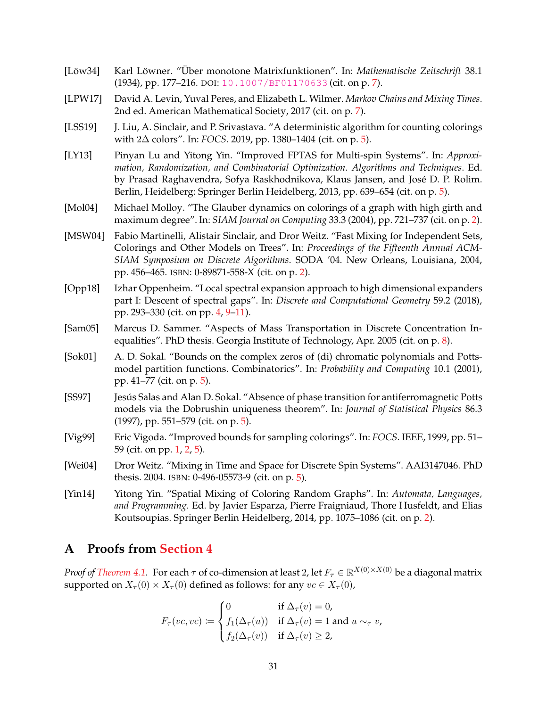- <span id="page-30-10"></span>[Löw34] Karl Löwner. "Über monotone Matrixfunktionen". In: Mathematische Zeitschrift 38.1 (1934), pp. 177–216. DOI: [10.1007/BF01170633](https://doi.org/10.1007/BF01170633) (cit. on p. [7\)](#page-6-1).
- <span id="page-30-11"></span>[LPW17] David A. Levin, Yuval Peres, and Elizabeth L. Wilmer. *Markov Chains and Mixing Times*. 2nd ed. American Mathematical Society, 2017 (cit. on p. [7\)](#page-6-1).
- <span id="page-30-9"></span>[LSS19] J. Liu, A. Sinclair, and P. Srivastava. "A deterministic algorithm for counting colorings with 2∆ colors". In: *FOCS*. 2019, pp. 1380–1404 (cit. on p. [5\)](#page-4-0).
- <span id="page-30-8"></span>[LY13] Pinyan Lu and Yitong Yin. "Improved FPTAS for Multi-spin Systems". In: *Approximation, Randomization, and Combinatorial Optimization. Algorithms and Techniques*. Ed. by Prasad Raghavendra, Sofya Raskhodnikova, Klaus Jansen, and José D. P. Rolim. Berlin, Heidelberg: Springer Berlin Heidelberg, 2013, pp. 639–654 (cit. on p. [5\)](#page-4-0).
- <span id="page-30-1"></span>[Mol04] Michael Molloy. "The Glauber dynamics on colorings of a graph with high girth and maximum degree". In: *SIAM Journal on Computing* 33.3 (2004), pp. 721–737 (cit. on p. [2\)](#page-1-0).
- <span id="page-30-3"></span>[MSW04] Fabio Martinelli, Alistair Sinclair, and Dror Weitz. "Fast Mixing for Independent Sets, Colorings and Other Models on Trees". In: *Proceedings of the Fifteenth Annual ACM-SIAM Symposium on Discrete Algorithms*. SODA '04. New Orleans, Louisiana, 2004, pp. 456–465. ISBN: 0-89871-558-X (cit. on p. [2\)](#page-1-0).
- <span id="page-30-4"></span>[Opp18] Izhar Oppenheim. "Local spectral expansion approach to high dimensional expanders part I: Descent of spectral gaps". In: *Discrete and Computational Geometry* 59.2 (2018), pp. 293–330 (cit. on pp. [4,](#page-3-3) [9–](#page-8-2)[11\)](#page-10-1).
- <span id="page-30-12"></span>[Sam05] Marcus D. Sammer. "Aspects of Mass Transportation in Discrete Concentration Inequalities". PhD thesis. Georgia Institute of Technology, Apr. 2005 (cit. on p. [8\)](#page-7-1).
- <span id="page-30-7"></span>[Sok01] A. D. Sokal. "Bounds on the complex zeros of (di) chromatic polynomials and Pottsmodel partition functions. Combinatorics". In: *Probability and Computing* 10.1 (2001), pp. 41–77 (cit. on p. [5\)](#page-4-0).
- <span id="page-30-5"></span>[SS97] Jesús Salas and Alan D. Sokal. "Absence of phase transition for antiferromagnetic Potts models via the Dobrushin uniqueness theorem". In: *Journal of Statistical Physics* 86.3 (1997), pp. 551–579 (cit. on p. [5\)](#page-4-0).
- <span id="page-30-0"></span>[Vig99] Eric Vigoda. "Improved bounds for sampling colorings". In: *FOCS*. IEEE, 1999, pp. 51– 59 (cit. on pp. [1,](#page-0-0) [2,](#page-1-0) [5\)](#page-4-0).
- <span id="page-30-6"></span>[Wei04] Dror Weitz. "Mixing in Time and Space for Discrete Spin Systems". AAI3147046. PhD thesis. 2004. ISBN: 0-496-05573-9 (cit. on p. [5\)](#page-4-0).
- <span id="page-30-2"></span>[Yin14] Yitong Yin. "Spatial Mixing of Coloring Random Graphs". In: *Automata, Languages, and Programming*. Ed. by Javier Esparza, Pierre Fraigniaud, Thore Husfeldt, and Elias Koutsoupias. Springer Berlin Heidelberg, 2014, pp. 1075–1086 (cit. on p. [2\)](#page-1-0).

# <span id="page-30-13"></span>**A Proofs from [Section 4](#page-12-2)**

*Proof of [Theorem 4.1.](#page-13-2)* For each  $\tau$  of co-dimension at least 2, let  $F_\tau\in\mathbb{R}^{X(0)\times X(0)}$  be a diagonal matrix supported on  $X_{\tau}(0) \times X_{\tau}(0)$  defined as follows: for any  $vc \in X_{\tau}(0)$ ,

$$
F_{\tau}(vc, vc) \coloneqq \begin{cases} 0 & \text{if } \Delta_{\tau}(v) = 0, \\ f_1(\Delta_{\tau}(u)) & \text{if } \Delta_{\tau}(v) = 1 \text{ and } u \sim_{\tau} v, \\ f_2(\Delta_{\tau}(v)) & \text{if } \Delta_{\tau}(v) \ge 2, \end{cases}
$$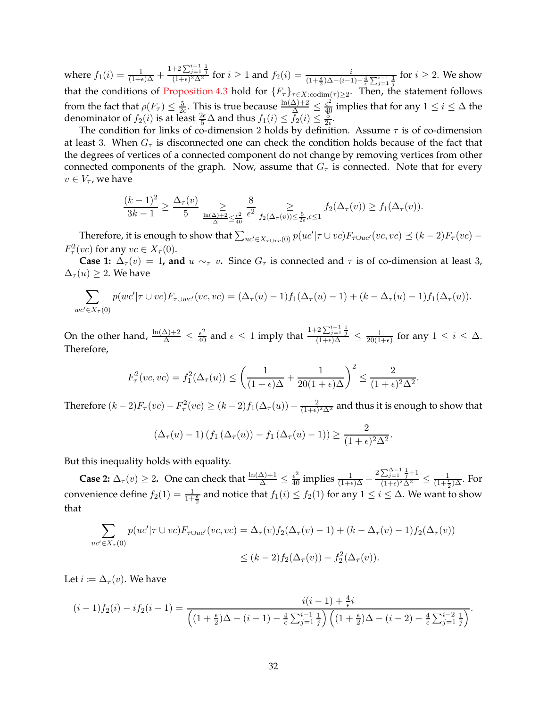where  $f_1(i) = \frac{1}{(1+\epsilon)\Delta} +$  $\frac{1+2\sum_{j=1}^{i-1}\frac{1}{j}}{(1+\epsilon)^2\Delta^2}$  for  $i \ge 1$  and  $f_2(i) = \frac{i}{(1+\frac{\epsilon}{2})\Delta-(i-1)-\frac{4}{\epsilon}\sum_{j=1}^{i-1}\frac{1}{j}}$  for  $i \ge 2$ . We show that the conditions of [Proposition 4.3](#page-15-0) hold for  $\{F_\tau\}_{\tau \in X:\text{codim}(\tau) \geq 2}$ . Then, the statement follows from the fact that  $\rho(F_\tau) \leq \frac{5}{2\epsilon}$ . This is true because  $\frac{\ln(\Delta)+2}{\Delta} \leq \frac{\epsilon^2}{40}$  implies that for any  $1 \leq i \leq \Delta$  the denominator of  $f_2(i)$  is at least  $\frac{2\epsilon}{5}\Delta$  and thus  $f_1(i) \le \overline{f_2}(i) \le \frac{5}{2\epsilon}$ .

The condition for links of co-dimension 2 holds by definition. Assume  $\tau$  is of co-dimension at least 3. When  $G<sub>\tau</sub>$  is disconnected one can check the condition holds because of the fact that the degrees of vertices of a connected component do not change by removing vertices from other connected components of the graph. Now, assume that  $G<sub>\tau</sub>$  is connected. Note that for every  $v \in V_{\tau}$ , we have

$$
\frac{(k-1)^2}{3k-1} \ge \frac{\Delta_\tau(v)}{5} \sum_{\frac{\ln(\Delta)+2}{\Delta} \le \frac{\epsilon^2}{40}} \frac{8}{\epsilon^2} \sum_{f_2(\Delta_\tau(v)) \le \frac{5}{2\epsilon}, \epsilon \le 1} f_2(\Delta_\tau(v)) \ge f_1(\Delta_\tau(v)).
$$

Therefore, it is enough to show that  $\sum_{uc'\in X_{\tau\cup vc}(0)} p(uc'|\tau \cup vc)F_{\tau\cup uc'}(vc, vc) \preceq (k-2)F_{\tau}(vc) F^2_\tau(vc)$  for any  $vc \in X_\tau(0)$ .

**Case 1:**  $\Delta_{\tau}(v) = 1$ , and  $u \sim_{\tau} v$ . Since  $G_{\tau}$  is connected and  $\tau$  is of co-dimension at least 3,  $\Delta_{\tau}(u) \geq 2$ . We have

$$
\sum_{w' \in X_{\tau}(0)} p(wc' | \tau \cup vc) F_{\tau \cup wc'}(vc, vc) = (\Delta_{\tau}(u) - 1) f_1(\Delta_{\tau}(u) - 1) + (k - \Delta_{\tau}(u) - 1) f_1(\Delta_{\tau}(u)).
$$

On the other hand,  $\frac{\ln(\Delta)+2}{\Delta} \leq \frac{\epsilon^2}{40}$  and  $\epsilon \leq 1$  imply that  $\frac{1+2\sum_{j=1}^{i-1}\frac{1}{j}}{(1+\epsilon)\Delta} \leq \frac{1}{20(1+\epsilon)}$  $\frac{1}{20(1+\epsilon)}$  for any  $1 \leq i \leq \Delta$ . Therefore,

$$
F_{\tau}^{2}(vc, vc) = f_{1}^{2}(\Delta_{\tau}(u)) \le \left(\frac{1}{(1+\epsilon)\Delta} + \frac{1}{20(1+\epsilon)\Delta}\right)^{2} \le \frac{2}{(1+\epsilon)^{2}\Delta^{2}}.
$$

Therefore  $(k-2)F_{\tau}(vc) - F_{\tau}^2(vc) \geq (k-2)f_1(\Delta_{\tau}(u)) - \frac{2}{(1+\epsilon)}$  $\frac{2}{(1+\epsilon)^2\Delta^2}$  and thus it is enough to show that

$$
\left(\Delta_{\tau}(u)-1\right)\left(f_1\left(\Delta_{\tau}(u)\right)-f_1\left(\Delta_{\tau}(u)-1\right)\right)\geq \frac{2}{(1+\epsilon)^2\Delta^2}.
$$

But this inequality holds with equality.

**Case 2:**  $\Delta_{\tau}(v) \geq 2$ . One can check that  $\frac{\ln(\Delta)+1}{\Delta} \leq \frac{\epsilon^2}{40}$  implies  $\frac{1}{(1+\epsilon)\Delta} + \frac{2\sum_{j=1}^{\Delta-1} \frac{1}{j}+1}{(1+\epsilon)^2\Delta^2}$  $\frac{\sum_{j=1}^{\infty} \frac{j}{j+1}}{(1+\epsilon)^2 \Delta^2} \leq \frac{1}{(1+\frac{\epsilon}{2})\Delta}$ . For convenience define  $f_2(1) = \frac{1}{1+\frac{\epsilon}{2}}$  and notice that  $f_1(i) \le f_2(1)$  for any  $1 \le i \le \Delta$ . We want to show that

$$
\sum_{uc'\in X_{\tau}(0)} p(uc'|\tau \cup vc)F_{\tau \cup uc'}(vc, vc) = \Delta_{\tau}(v)f_2(\Delta_{\tau}(v) - 1) + (k - \Delta_{\tau}(v) - 1)f_2(\Delta_{\tau}(v))
$$
  

$$
\leq (k - 2)f_2(\Delta_{\tau}(v)) - f_2^2(\Delta_{\tau}(v)).
$$

Let  $i \coloneqq \Delta_{\tau}(v)$ . We have

$$
(i-1) f_2(i) - if_2(i-1) = \frac{i(i-1) + \frac{4}{\epsilon}i}{\left( (1 + \frac{\epsilon}{2})\Delta - (i-1) - \frac{4}{\epsilon} \sum_{j=1}^{i-1} \frac{1}{j} \right) \left( (1 + \frac{\epsilon}{2})\Delta - (i-2) - \frac{4}{\epsilon} \sum_{j=1}^{i-2} \frac{1}{j} \right)}.
$$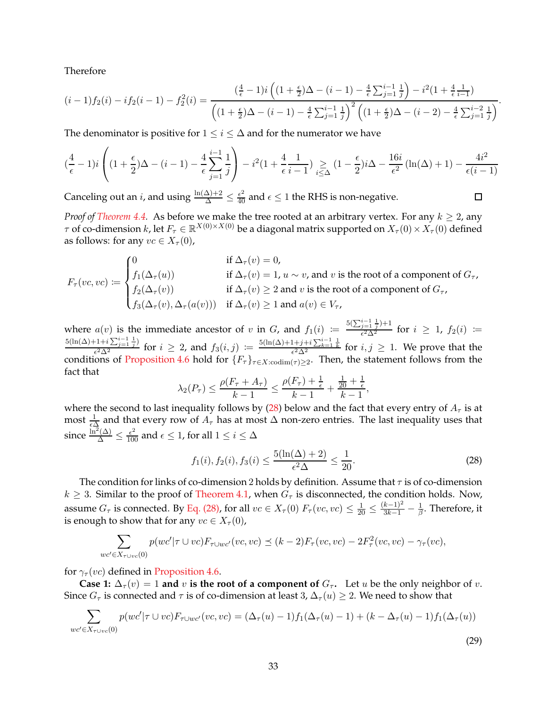Therefore

$$
(i-1) f_2(i) - i f_2(i-1) - f_2^2(i) = \frac{\left(\frac{4}{\epsilon} - 1\right) i \left(\left(1 + \frac{\epsilon}{2}\right) \Delta - (i-1) - \frac{4}{\epsilon} \sum_{j=1}^{i-1} \frac{1}{j}\right) - i^2 (1 + \frac{4}{\epsilon} \frac{1}{i-1})}{\left(\left(1 + \frac{\epsilon}{2}\right) \Delta - (i-1) - \frac{4}{\epsilon} \sum_{j=1}^{i-1} \frac{1}{j}\right)^2 \left(\left(1 + \frac{\epsilon}{2}\right) \Delta - (i-2) - \frac{4}{\epsilon} \sum_{j=1}^{i-2} \frac{1}{j}\right)}.
$$

The denominator is positive for  $1 \leq i \leq \Delta$  and for the numerator we have

$$
(\frac{4}{\epsilon}-1) i \left( (1+\frac{\epsilon}{2}) \Delta - (i-1) - \frac{4}{\epsilon} \sum_{j=1}^{i-1} \frac{1}{j} \right) - i^2 (1+\frac{4}{\epsilon} \frac{1}{i-1}) \underset{i \leq \Delta}{\geq} (1-\frac{\epsilon}{2}) i \Delta - \frac{16i}{\epsilon^2} \left( \ln(\Delta) + 1 \right) - \frac{4i^2}{\epsilon (i-1)}
$$

Canceling out an *i*, and using  $\frac{\ln(\Delta)+2}{\Delta} \leq \frac{\epsilon^2}{40}$  and  $\epsilon \leq 1$  the RHS is non-negative.

*Proof of [Theorem 4.4.](#page-16-2)* As before we make the tree rooted at an arbitrary vertex. For any  $k \geq 2$ , any  $\tau$  of co-dimension  $k$ , let  $F_\tau\in\mathbb{R}^{X(0)\times X(0)}$  be a diagonal matrix supported on  $X_\tau(0)\times X_\tau(0)$  defined as follows: for any  $vc \in X_\tau(0)$ ,

$$
F_{\tau}(vc, vc) := \begin{cases} 0 & \text{if } \Delta_{\tau}(v) = 0, \\ f_1(\Delta_{\tau}(u)) & \text{if } \Delta_{\tau}(v) = 1, u \sim v \text{, and } v \text{ is the root of a component of } G_{\tau}, \\ f_2(\Delta_{\tau}(v)) & \text{if } \Delta_{\tau}(v) \ge 2 \text{ and } v \text{ is the root of a component of } G_{\tau}, \\ f_3(\Delta_{\tau}(v), \Delta_{\tau}(a(v))) & \text{if } \Delta_{\tau}(v) \ge 1 \text{ and } a(v) \in V_{\tau}, \end{cases}
$$

where  $a(v)$  is the immediate ancestor of v in G, and  $f_1(i) :=$  $5(\sum_{j=1}^{i-1} \frac{1}{j})+1$  $\frac{j=1 \ j^{j+1}}{\epsilon^2 \Delta^2}$  for  $i \geq 1$ ,  $f_2(i) \coloneqq$  $5(\ln(\Delta)+1+i\sum_{j=1}^{i-1} \frac{1}{j})$  $\frac{(-1+i\sum_{j=1}^{i-1}\frac{1}{j})}{\epsilon^2\Delta^2}$  for  $i \geq 2$ , and  $f_3(i,j) := \frac{5(\ln(\Delta)+1+j+i\sum_{k=1}^{i-1}\frac{1}{k}}{\epsilon^2\Delta^2}$  for  $i,j \geq 1$ . We prove that the conditions of [Proposition 4.6](#page-17-2) hold for  $\{F_\tau\}_{\tau \in X: \text{codim}(\tau) \geq 2}$ . Then, the statement follows from the fact that

$$
\lambda_2(P_{\tau}) \le \frac{\rho(F_{\tau} + A_{\tau})}{k - 1} \le \frac{\rho(F_{\tau}) + \frac{1}{\epsilon}}{k - 1} + \frac{\frac{1}{20} + \frac{1}{\epsilon}}{k - 1},
$$

where the second to last inequality follows by [\(28\)](#page-32-0) below and the fact that every entry of  $A_\tau$  is at most  $\frac{1}{\epsilon \Delta}$  and that every row of  $A_\tau$  has at most  $\Delta$  non-zero entries. The last inequality uses that since  $\frac{\ln^2(\Delta)}{\Delta} \le \frac{\epsilon^2}{100}$  and  $\epsilon \le 1$ , for all  $1 \le i \le \Delta$ 

<span id="page-32-0"></span>
$$
f_1(i), f_2(i), f_3(i) \le \frac{5(\ln(\Delta) + 2)}{\epsilon^2 \Delta} \le \frac{1}{20}.
$$
 (28)

 $\Box$ 

The condition for links of co-dimension 2 holds by definition. Assume that  $\tau$  is of co-dimension  $k \geq 3$ . Similar to the proof of [Theorem 4.1,](#page-13-2) when  $G<sub>\tau</sub>$  is disconnected, the condition holds. Now, assume  $G_{\tau}$  is connected. By [Eq. \(28\),](#page-32-0) for all  $vc \in X_{\tau}(0)$   $F_{\tau}(vc, vc) \leq \frac{1}{20} \leq \frac{(k-1)^2}{3k-1} - \frac{1}{\beta}$  $\frac{1}{\beta}$ . Therefore, it is enough to show that for any  $vc \in X_\tau(0)$ ,

$$
\sum_{wc' \in X_{\tau \cup vc}(0)} p(wc' | \tau \cup vc) F_{\tau \cup wc'}(vc, vc) \preceq (k-2) F_{\tau}(vc, vc) - 2F_{\tau}^2(vc, vc) - \gamma_{\tau}(vc),
$$

for  $\gamma_{\tau}(vc)$  defined in [Proposition 4.6.](#page-17-2)

**Case 1:**  $\Delta_{\tau}(v) = 1$  and v is the root of a component of  $G_{\tau}$ . Let u be the only neighbor of v. Since  $G_{\tau}$  is connected and  $\tau$  is of co-dimension at least 3,  $\Delta_{\tau}(u) \geq 2$ . We need to show that

$$
\sum_{wc' \in X_{\tau \cup vc}(0)} p(wc' | \tau \cup vc) F_{\tau \cup wc'}(vc, vc) = (\Delta_{\tau}(u) - 1) f_1(\Delta_{\tau}(u) - 1) + (k - \Delta_{\tau}(u) - 1) f_1(\Delta_{\tau}(u))
$$
\n(29)